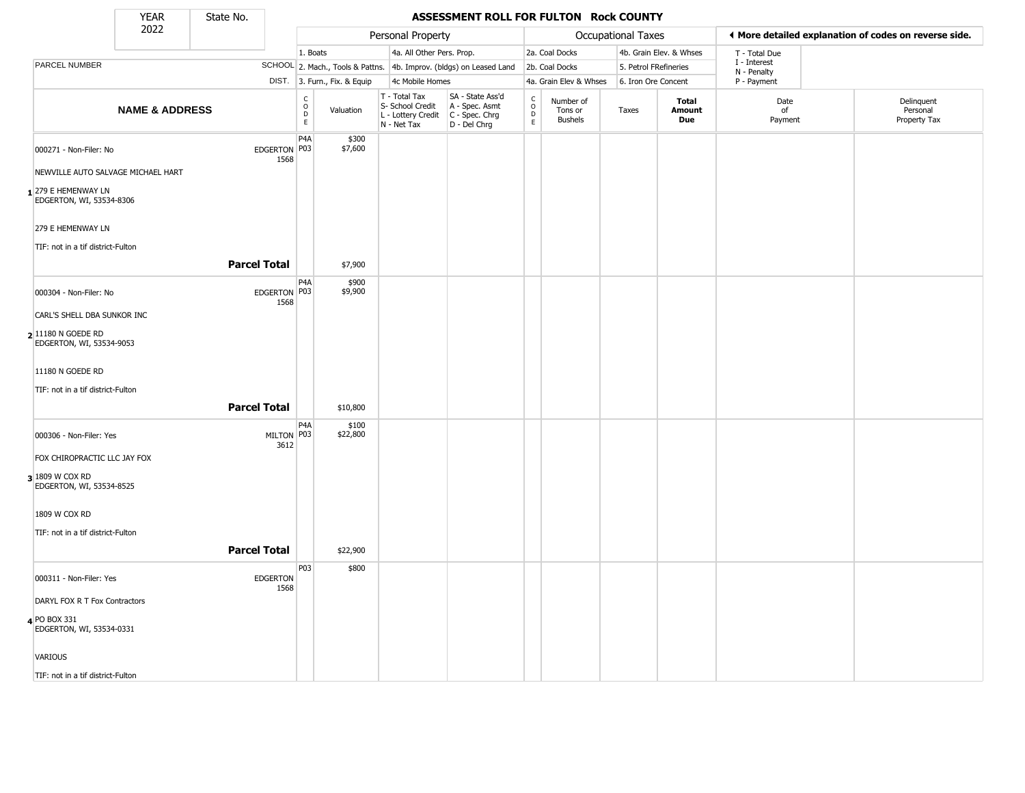State No.

т

#### **YEAR** State No. **ASSESSMENT ROLL FOR FULTON Rock COUNTY**

|                                                  | 2022                      |                         |                                              |                              | Personal Property                                                        |                                                                      |                                |                                        | <b>Occupational Taxes</b> |                         |                             | ◀ More detailed explanation of codes on reverse side. |
|--------------------------------------------------|---------------------------|-------------------------|----------------------------------------------|------------------------------|--------------------------------------------------------------------------|----------------------------------------------------------------------|--------------------------------|----------------------------------------|---------------------------|-------------------------|-----------------------------|-------------------------------------------------------|
|                                                  |                           |                         | 1. Boats                                     |                              | 4a. All Other Pers. Prop.                                                |                                                                      |                                | 2a. Coal Docks                         |                           | 4b. Grain Elev. & Whses | T - Total Due               |                                                       |
| PARCEL NUMBER                                    |                           |                         |                                              |                              |                                                                          | SCHOOL 2. Mach., Tools & Pattns. 4b. Improv. (bldgs) on Leased Land  |                                | 2b. Coal Docks                         | 5. Petrol FRefineries     |                         | I - Interest<br>N - Penalty |                                                       |
|                                                  |                           |                         |                                              | DIST. 3. Furn., Fix. & Equip | 4c Mobile Homes                                                          |                                                                      |                                | 4a. Grain Elev & Whses                 | 6. Iron Ore Concent       |                         | P - Payment                 |                                                       |
|                                                  | <b>NAME &amp; ADDRESS</b> |                         | $\begin{array}{c}\nC \\ O \\ E\n\end{array}$ | Valuation                    | T - Total Tax<br>S- School Credit<br>L - Lottery Credit<br>$N - Net Tax$ | SA - State Ass'd<br>A - Spec. Asmt<br>C - Spec. Chrg<br>D - Del Chrg | $\rm _o^C$<br>D<br>$\mathsf E$ | Number of<br>Tons or<br><b>Bushels</b> | Taxes                     | Total<br>Amount<br>Due  | Date<br>of<br>Payment       | Delinquent<br>Personal<br>Property Tax                |
| 000271 - Non-Filer: No                           |                           | EDGERTON P03<br>1568    | P4A                                          | \$300<br>\$7,600             |                                                                          |                                                                      |                                |                                        |                           |                         |                             |                                                       |
| NEWVILLE AUTO SALVAGE MICHAEL HART               |                           |                         |                                              |                              |                                                                          |                                                                      |                                |                                        |                           |                         |                             |                                                       |
| 1 279 E HEMENWAY LN<br>EDGERTON, WI, 53534-8306  |                           |                         |                                              |                              |                                                                          |                                                                      |                                |                                        |                           |                         |                             |                                                       |
| 279 E HEMENWAY LN                                |                           |                         |                                              |                              |                                                                          |                                                                      |                                |                                        |                           |                         |                             |                                                       |
| TIF: not in a tif district-Fulton                |                           |                         |                                              |                              |                                                                          |                                                                      |                                |                                        |                           |                         |                             |                                                       |
|                                                  |                           | <b>Parcel Total</b>     |                                              | \$7,900                      |                                                                          |                                                                      |                                |                                        |                           |                         |                             |                                                       |
| 000304 - Non-Filer: No                           |                           | EDGERTON P03<br>1568    | P4A                                          | \$900<br>\$9,900             |                                                                          |                                                                      |                                |                                        |                           |                         |                             |                                                       |
| CARL'S SHELL DBA SUNKOR INC                      |                           |                         |                                              |                              |                                                                          |                                                                      |                                |                                        |                           |                         |                             |                                                       |
| $2 11180 N$ GOEDE RD<br>EDGERTON, WI, 53534-9053 |                           |                         |                                              |                              |                                                                          |                                                                      |                                |                                        |                           |                         |                             |                                                       |
| 11180 N GOEDE RD                                 |                           |                         |                                              |                              |                                                                          |                                                                      |                                |                                        |                           |                         |                             |                                                       |
| TIF: not in a tif district-Fulton                |                           |                         |                                              |                              |                                                                          |                                                                      |                                |                                        |                           |                         |                             |                                                       |
|                                                  |                           | <b>Parcel Total</b>     |                                              | \$10,800                     |                                                                          |                                                                      |                                |                                        |                           |                         |                             |                                                       |
| 000306 - Non-Filer: Yes                          |                           | MILTON P03<br>3612      | P4A                                          | \$100<br>\$22,800            |                                                                          |                                                                      |                                |                                        |                           |                         |                             |                                                       |
| FOX CHIROPRACTIC LLC JAY FOX                     |                           |                         |                                              |                              |                                                                          |                                                                      |                                |                                        |                           |                         |                             |                                                       |
| 3 1809 W COX RD<br>EDGERTON, WI, 53534-8525      |                           |                         |                                              |                              |                                                                          |                                                                      |                                |                                        |                           |                         |                             |                                                       |
| 1809 W COX RD                                    |                           |                         |                                              |                              |                                                                          |                                                                      |                                |                                        |                           |                         |                             |                                                       |
| TIF: not in a tif district-Fulton                |                           |                         |                                              |                              |                                                                          |                                                                      |                                |                                        |                           |                         |                             |                                                       |
|                                                  |                           | <b>Parcel Total</b>     |                                              | \$22,900                     |                                                                          |                                                                      |                                |                                        |                           |                         |                             |                                                       |
| 000311 - Non-Filer: Yes                          |                           | <b>EDGERTON</b><br>1568 | P03                                          | \$800                        |                                                                          |                                                                      |                                |                                        |                           |                         |                             |                                                       |
| DARYL FOX R T Fox Contractors                    |                           |                         |                                              |                              |                                                                          |                                                                      |                                |                                        |                           |                         |                             |                                                       |
| 4 PO BOX 331<br>EDGERTON, WI, 53534-0331         |                           |                         |                                              |                              |                                                                          |                                                                      |                                |                                        |                           |                         |                             |                                                       |
| VARIOUS                                          |                           |                         |                                              |                              |                                                                          |                                                                      |                                |                                        |                           |                         |                             |                                                       |
| TIF: not in a tif district-Fulton                |                           |                         |                                              |                              |                                                                          |                                                                      |                                |                                        |                           |                         |                             |                                                       |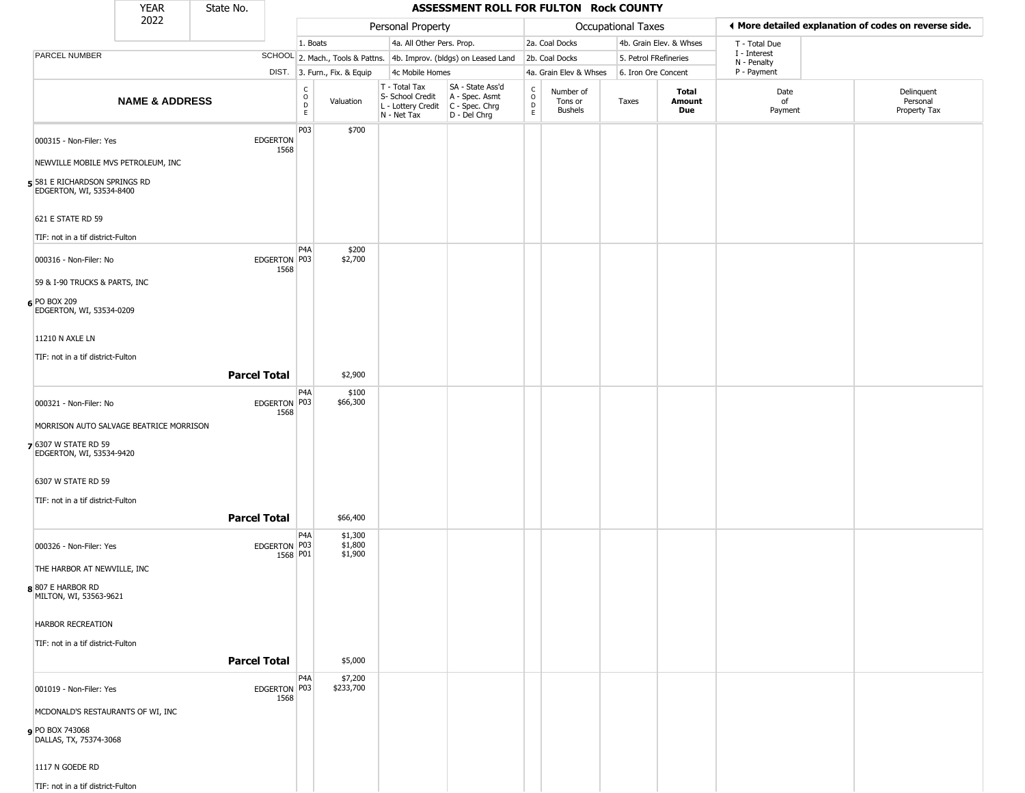|                                                           | YEAR                      | State No.           |                          |                         |                               |                                                  | ASSESSMENT ROLL FOR FULTON Rock COUNTY                                                  |                                              |                                        |                       |                         |                                                       |                                        |
|-----------------------------------------------------------|---------------------------|---------------------|--------------------------|-------------------------|-------------------------------|--------------------------------------------------|-----------------------------------------------------------------------------------------|----------------------------------------------|----------------------------------------|-----------------------|-------------------------|-------------------------------------------------------|----------------------------------------|
|                                                           | 2022                      |                     |                          |                         |                               | Personal Property                                |                                                                                         |                                              |                                        | Occupational Taxes    |                         | ♦ More detailed explanation of codes on reverse side. |                                        |
|                                                           |                           |                     |                          | 1. Boats                |                               | 4a. All Other Pers. Prop.                        |                                                                                         |                                              | 2a. Coal Docks                         |                       | 4b. Grain Elev. & Whses | T - Total Due                                         |                                        |
| PARCEL NUMBER                                             |                           |                     |                          |                         |                               |                                                  | SCHOOL 2. Mach., Tools & Pattns. 4b. Improv. (bldgs) on Leased Land                     |                                              | 2b. Coal Docks                         | 5. Petrol FRefineries |                         | I - Interest<br>N - Penalty                           |                                        |
|                                                           |                           |                     |                          |                         | DIST. 3. Furn., Fix. & Equip  | 4c Mobile Homes                                  |                                                                                         |                                              | 4a. Grain Elev & Whses                 | 6. Iron Ore Concent   |                         | P - Payment                                           |                                        |
|                                                           | <b>NAME &amp; ADDRESS</b> |                     |                          | $\frac{c}{0}$<br>D<br>E | Valuation                     | T - Total Tax<br>S- School Credit<br>N - Net Tax | SA - State Ass'd<br>A - Spec. Asmt<br>L - Lottery Credit C - Spec. Chrg<br>D - Del Chrg | $\mathsf{C}$<br>$\circ$<br>$\mathsf{D}$<br>E | Number of<br>Tons or<br><b>Bushels</b> | Taxes                 | Total<br>Amount<br>Due  | Date<br>of<br>Payment                                 | Delinquent<br>Personal<br>Property Tax |
| 000315 - Non-Filer: Yes                                   |                           |                     | <b>EDGERTON</b>          | P03                     | \$700                         |                                                  |                                                                                         |                                              |                                        |                       |                         |                                                       |                                        |
| NEWVILLE MOBILE MVS PETROLEUM, INC                        |                           |                     | 1568                     |                         |                               |                                                  |                                                                                         |                                              |                                        |                       |                         |                                                       |                                        |
| 5 581 E RICHARDSON SPRINGS RD<br>EDGERTON, WI, 53534-8400 |                           |                     |                          |                         |                               |                                                  |                                                                                         |                                              |                                        |                       |                         |                                                       |                                        |
| 621 E STATE RD 59                                         |                           |                     |                          |                         |                               |                                                  |                                                                                         |                                              |                                        |                       |                         |                                                       |                                        |
| TIF: not in a tif district-Fulton                         |                           |                     |                          |                         |                               |                                                  |                                                                                         |                                              |                                        |                       |                         |                                                       |                                        |
| 000316 - Non-Filer: No                                    |                           |                     | EDGERTON P03<br>1568     | P4A                     | \$200<br>\$2,700              |                                                  |                                                                                         |                                              |                                        |                       |                         |                                                       |                                        |
| 59 & I-90 TRUCKS & PARTS, INC                             |                           |                     |                          |                         |                               |                                                  |                                                                                         |                                              |                                        |                       |                         |                                                       |                                        |
| 6 PO BOX 209<br>EDGERTON, WI, 53534-0209                  |                           |                     |                          |                         |                               |                                                  |                                                                                         |                                              |                                        |                       |                         |                                                       |                                        |
| 11210 N AXLE LN                                           |                           |                     |                          |                         |                               |                                                  |                                                                                         |                                              |                                        |                       |                         |                                                       |                                        |
| TIF: not in a tif district-Fulton                         |                           |                     |                          |                         |                               |                                                  |                                                                                         |                                              |                                        |                       |                         |                                                       |                                        |
|                                                           |                           | <b>Parcel Total</b> |                          |                         | \$2,900                       |                                                  |                                                                                         |                                              |                                        |                       |                         |                                                       |                                        |
| 000321 - Non-Filer: No                                    |                           |                     | EDGERTON P03<br>1568     | P4A                     | \$100<br>\$66,300             |                                                  |                                                                                         |                                              |                                        |                       |                         |                                                       |                                        |
| MORRISON AUTO SALVAGE BEATRICE MORRISON                   |                           |                     |                          |                         |                               |                                                  |                                                                                         |                                              |                                        |                       |                         |                                                       |                                        |
| 7 6307 W STATE RD 59<br>EDGERTON, WI, 53534-9420          |                           |                     |                          |                         |                               |                                                  |                                                                                         |                                              |                                        |                       |                         |                                                       |                                        |
| 6307 W STATE RD 59                                        |                           |                     |                          |                         |                               |                                                  |                                                                                         |                                              |                                        |                       |                         |                                                       |                                        |
| TIF: not in a tif district-Fulton                         |                           |                     |                          |                         |                               |                                                  |                                                                                         |                                              |                                        |                       |                         |                                                       |                                        |
|                                                           |                           | <b>Parcel Total</b> |                          |                         | \$66,400                      |                                                  |                                                                                         |                                              |                                        |                       |                         |                                                       |                                        |
| 000326 - Non-Filer: Yes                                   |                           |                     | EDGERTON P03<br>1568 P01 | P4A                     | \$1,300<br>\$1,800<br>\$1,900 |                                                  |                                                                                         |                                              |                                        |                       |                         |                                                       |                                        |
| THE HARBOR AT NEWVILLE, INC                               |                           |                     |                          |                         |                               |                                                  |                                                                                         |                                              |                                        |                       |                         |                                                       |                                        |
| $8 807 \text{ E HARBOR RD}$<br>MILTON, WI, 53563-9621     |                           |                     |                          |                         |                               |                                                  |                                                                                         |                                              |                                        |                       |                         |                                                       |                                        |
| HARBOR RECREATION                                         |                           |                     |                          |                         |                               |                                                  |                                                                                         |                                              |                                        |                       |                         |                                                       |                                        |
| TIF: not in a tif district-Fulton                         |                           | <b>Parcel Total</b> |                          |                         | \$5,000                       |                                                  |                                                                                         |                                              |                                        |                       |                         |                                                       |                                        |
|                                                           |                           |                     |                          | P <sub>4</sub> A        |                               |                                                  |                                                                                         |                                              |                                        |                       |                         |                                                       |                                        |
| 001019 - Non-Filer: Yes                                   |                           |                     | EDGERTON P03<br>1568     |                         | \$7,200<br>\$233,700          |                                                  |                                                                                         |                                              |                                        |                       |                         |                                                       |                                        |
| MCDONALD'S RESTAURANTS OF WI, INC                         |                           |                     |                          |                         |                               |                                                  |                                                                                         |                                              |                                        |                       |                         |                                                       |                                        |
| PO BOX 743068<br>DALLAS, TX, 75374-3068                   |                           |                     |                          |                         |                               |                                                  |                                                                                         |                                              |                                        |                       |                         |                                                       |                                        |
| 1117 N GOEDE RD                                           |                           |                     |                          |                         |                               |                                                  |                                                                                         |                                              |                                        |                       |                         |                                                       |                                        |
| TIF: not in a tif district-Fulton                         |                           |                     |                          |                         |                               |                                                  |                                                                                         |                                              |                                        |                       |                         |                                                       |                                        |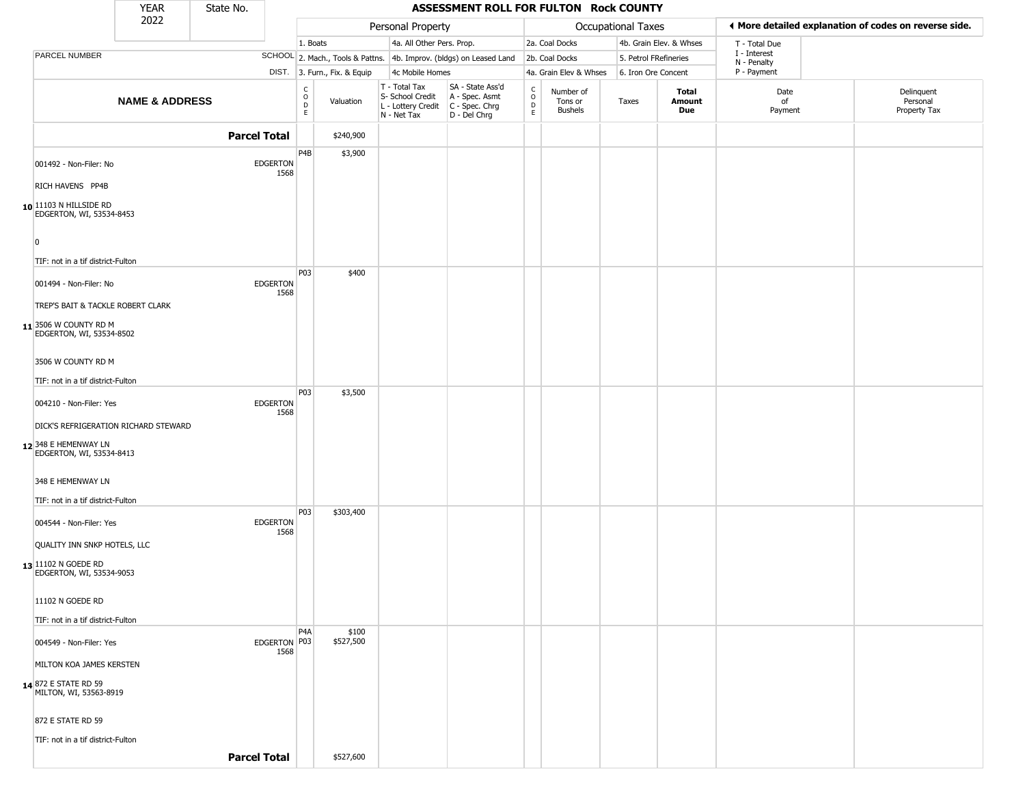|                                                             | <b>YEAR</b>               | State No.           |                         |                                                |                              |                                                                                             | ASSESSMENT ROLL FOR FULTON Rock COUNTY                              |                                                          |                                        |                    |                         |                             |                                                       |
|-------------------------------------------------------------|---------------------------|---------------------|-------------------------|------------------------------------------------|------------------------------|---------------------------------------------------------------------------------------------|---------------------------------------------------------------------|----------------------------------------------------------|----------------------------------------|--------------------|-------------------------|-----------------------------|-------------------------------------------------------|
|                                                             | 2022                      |                     |                         |                                                |                              | Personal Property                                                                           |                                                                     |                                                          |                                        | Occupational Taxes |                         |                             | ◀ More detailed explanation of codes on reverse side. |
|                                                             |                           |                     |                         | 1. Boats                                       |                              | 4a. All Other Pers. Prop.                                                                   |                                                                     |                                                          | 2a. Coal Docks                         |                    | 4b. Grain Elev. & Whses | T - Total Due               |                                                       |
| PARCEL NUMBER                                               |                           |                     |                         |                                                |                              |                                                                                             | SCHOOL 2. Mach., Tools & Pattns. 4b. Improv. (bldgs) on Leased Land |                                                          | 2b. Coal Docks                         |                    | 5. Petrol FRefineries   | I - Interest<br>N - Penalty |                                                       |
|                                                             |                           |                     |                         |                                                | DIST. 3. Furn., Fix. & Equip | 4c Mobile Homes                                                                             |                                                                     |                                                          | 4a. Grain Elev & Whses                 |                    | 6. Iron Ore Concent     | P - Payment                 |                                                       |
|                                                             | <b>NAME &amp; ADDRESS</b> |                     |                         | $\begin{matrix} 0 \\ 0 \\ D \end{matrix}$<br>E | Valuation                    | T - Total Tax<br>S- School Credit<br>$ L -$ Lottery Credit $ C -$ Spec. Chrg<br>N - Net Tax | SA - State Ass'd<br>A - Spec. Asmt<br>D - Del Chrg                  | $\begin{matrix} 0 \\ 0 \\ 0 \end{matrix}$<br>$\mathsf E$ | Number of<br>Tons or<br><b>Bushels</b> | Taxes              | Total<br>Amount<br>Due  | Date<br>of<br>Payment       | Delinquent<br>Personal<br>Property Tax                |
|                                                             |                           | <b>Parcel Total</b> |                         |                                                | \$240,900                    |                                                                                             |                                                                     |                                                          |                                        |                    |                         |                             |                                                       |
| 001492 - Non-Filer: No                                      |                           |                     | <b>EDGERTON</b><br>1568 | P4B                                            | \$3,900                      |                                                                                             |                                                                     |                                                          |                                        |                    |                         |                             |                                                       |
| RICH HAVENS PP4B                                            |                           |                     |                         |                                                |                              |                                                                                             |                                                                     |                                                          |                                        |                    |                         |                             |                                                       |
| 10 11103 N HILLSIDE RD<br>EDGERTON, WI, 53534-8453          |                           |                     |                         |                                                |                              |                                                                                             |                                                                     |                                                          |                                        |                    |                         |                             |                                                       |
| $\Omega$<br>TIF: not in a tif district-Fulton               |                           |                     |                         | <b>P03</b>                                     | \$400                        |                                                                                             |                                                                     |                                                          |                                        |                    |                         |                             |                                                       |
| 001494 - Non-Filer: No<br>TREP'S BAIT & TACKLE ROBERT CLARK |                           |                     | <b>EDGERTON</b><br>1568 |                                                |                              |                                                                                             |                                                                     |                                                          |                                        |                    |                         |                             |                                                       |
| 11 3506 W COUNTY RD M<br>EDGERTON, WI, 53534-8502           |                           |                     |                         |                                                |                              |                                                                                             |                                                                     |                                                          |                                        |                    |                         |                             |                                                       |
| 3506 W COUNTY RD M<br>TIF: not in a tif district-Fulton     |                           |                     |                         |                                                |                              |                                                                                             |                                                                     |                                                          |                                        |                    |                         |                             |                                                       |
| 004210 - Non-Filer: Yes                                     |                           |                     | <b>EDGERTON</b><br>1568 | P03                                            | \$3,500                      |                                                                                             |                                                                     |                                                          |                                        |                    |                         |                             |                                                       |
| DICK'S REFRIGERATION RICHARD STEWARD                        |                           |                     |                         |                                                |                              |                                                                                             |                                                                     |                                                          |                                        |                    |                         |                             |                                                       |
| 12 348 E HEMENWAY LN<br>EDGERTON, WI, 53534-8413            |                           |                     |                         |                                                |                              |                                                                                             |                                                                     |                                                          |                                        |                    |                         |                             |                                                       |
| 348 E HEMENWAY LN                                           |                           |                     |                         |                                                |                              |                                                                                             |                                                                     |                                                          |                                        |                    |                         |                             |                                                       |
| TIF: not in a tif district-Fulton                           |                           |                     |                         | P03                                            | \$303,400                    |                                                                                             |                                                                     |                                                          |                                        |                    |                         |                             |                                                       |
| 004544 - Non-Filer: Yes<br>QUALITY INN SNKP HOTELS, LLC     |                           |                     | <b>EDGERTON</b><br>1568 |                                                |                              |                                                                                             |                                                                     |                                                          |                                        |                    |                         |                             |                                                       |
| 13 11102 N GOEDE RD<br>EDGERTON, WI, 53534-9053             |                           |                     |                         |                                                |                              |                                                                                             |                                                                     |                                                          |                                        |                    |                         |                             |                                                       |
| 11102 N GOEDE RD                                            |                           |                     |                         |                                                |                              |                                                                                             |                                                                     |                                                          |                                        |                    |                         |                             |                                                       |
| TIF: not in a tif district-Fulton                           |                           |                     |                         | P <sub>4</sub> A                               | \$100                        |                                                                                             |                                                                     |                                                          |                                        |                    |                         |                             |                                                       |
| 004549 - Non-Filer: Yes                                     |                           |                     | EDGERTON P03<br>1568    |                                                | \$527,500                    |                                                                                             |                                                                     |                                                          |                                        |                    |                         |                             |                                                       |
| MILTON KOA JAMES KERSTEN                                    |                           |                     |                         |                                                |                              |                                                                                             |                                                                     |                                                          |                                        |                    |                         |                             |                                                       |
| 14 872 E STATE RD 59<br>MILTON, WI, 53563-8919              |                           |                     |                         |                                                |                              |                                                                                             |                                                                     |                                                          |                                        |                    |                         |                             |                                                       |
| 872 E STATE RD 59                                           |                           |                     |                         |                                                |                              |                                                                                             |                                                                     |                                                          |                                        |                    |                         |                             |                                                       |
| TIF: not in a tif district-Fulton                           |                           |                     |                         |                                                |                              |                                                                                             |                                                                     |                                                          |                                        |                    |                         |                             |                                                       |
|                                                             |                           | <b>Parcel Total</b> |                         |                                                | \$527,600                    |                                                                                             |                                                                     |                                                          |                                        |                    |                         |                             |                                                       |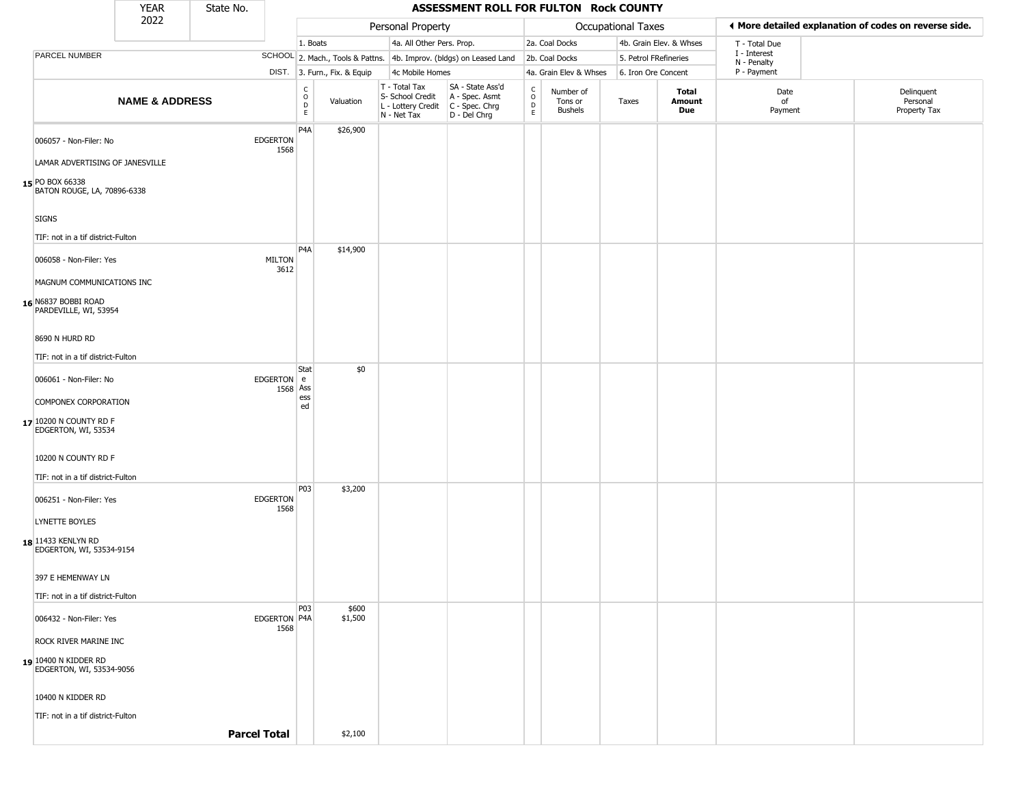|                                                      | <b>YEAR</b>               | State No.           |                         |                                                 |                              |                                                                                         | ASSESSMENT ROLL FOR FULTON Rock COUNTY                              |                                            |                                        |                       |                         |                             |                                                       |
|------------------------------------------------------|---------------------------|---------------------|-------------------------|-------------------------------------------------|------------------------------|-----------------------------------------------------------------------------------------|---------------------------------------------------------------------|--------------------------------------------|----------------------------------------|-----------------------|-------------------------|-----------------------------|-------------------------------------------------------|
|                                                      | 2022                      |                     |                         |                                                 |                              | Personal Property                                                                       |                                                                     |                                            |                                        | Occupational Taxes    |                         |                             | ♦ More detailed explanation of codes on reverse side. |
|                                                      |                           |                     |                         | 1. Boats                                        |                              | 4a. All Other Pers. Prop.                                                               |                                                                     |                                            | 2a. Coal Docks                         |                       | 4b. Grain Elev. & Whses | T - Total Due               |                                                       |
| PARCEL NUMBER                                        |                           |                     |                         |                                                 |                              |                                                                                         | SCHOOL 2. Mach., Tools & Pattns. 4b. Improv. (bldgs) on Leased Land |                                            | 2b. Coal Docks                         | 5. Petrol FRefineries |                         | I - Interest<br>N - Penalty |                                                       |
|                                                      |                           |                     |                         |                                                 | DIST. 3. Furn., Fix. & Equip | 4c Mobile Homes                                                                         |                                                                     |                                            | 4a. Grain Elev & Whses                 | 6. Iron Ore Concent   |                         | P - Payment                 |                                                       |
|                                                      | <b>NAME &amp; ADDRESS</b> |                     |                         | $\begin{array}{c} C \\ O \\ D \\ E \end{array}$ | Valuation                    | T - Total Tax<br>S- School Credit<br>L - Lottery Credit   C - Spec. Chrg<br>N - Net Tax | SA - State Ass'd<br>A - Spec. Asmt<br>D - Del Chrg                  | $\begin{array}{c} C \\ 0 \\ E \end{array}$ | Number of<br>Tons or<br><b>Bushels</b> | Taxes                 | Total<br>Amount<br>Due  | Date<br>of<br>Payment       | Delinquent<br>Personal<br>Property Tax                |
| 006057 - Non-Filer: No                               |                           |                     | EDGERTON<br>1568        | P4A                                             | \$26,900                     |                                                                                         |                                                                     |                                            |                                        |                       |                         |                             |                                                       |
| LAMAR ADVERTISING OF JANESVILLE                      |                           |                     |                         |                                                 |                              |                                                                                         |                                                                     |                                            |                                        |                       |                         |                             |                                                       |
| 15 PO BOX 66338<br>BATON ROUGE, LA, 70896-6338       |                           |                     |                         |                                                 |                              |                                                                                         |                                                                     |                                            |                                        |                       |                         |                             |                                                       |
| <b>SIGNS</b>                                         |                           |                     |                         |                                                 |                              |                                                                                         |                                                                     |                                            |                                        |                       |                         |                             |                                                       |
| TIF: not in a tif district-Fulton                    |                           |                     |                         |                                                 |                              |                                                                                         |                                                                     |                                            |                                        |                       |                         |                             |                                                       |
| 006058 - Non-Filer: Yes<br>MAGNUM COMMUNICATIONS INC |                           |                     | <b>MILTON</b><br>3612   | P4A                                             | \$14,900                     |                                                                                         |                                                                     |                                            |                                        |                       |                         |                             |                                                       |
|                                                      |                           |                     |                         |                                                 |                              |                                                                                         |                                                                     |                                            |                                        |                       |                         |                             |                                                       |
| 16 N6837 BOBBI ROAD<br>PARDEVILLE, WI, 53954         |                           |                     |                         |                                                 |                              |                                                                                         |                                                                     |                                            |                                        |                       |                         |                             |                                                       |
| 8690 N HURD RD                                       |                           |                     |                         |                                                 |                              |                                                                                         |                                                                     |                                            |                                        |                       |                         |                             |                                                       |
| TIF: not in a tif district-Fulton                    |                           |                     |                         |                                                 |                              |                                                                                         |                                                                     |                                            |                                        |                       |                         |                             |                                                       |
| 006061 - Non-Filer: No                               |                           |                     | EDGERTON e              | Stat<br>1568 Ass<br>ess                         | \$0                          |                                                                                         |                                                                     |                                            |                                        |                       |                         |                             |                                                       |
| COMPONEX CORPORATION                                 |                           |                     |                         | ed                                              |                              |                                                                                         |                                                                     |                                            |                                        |                       |                         |                             |                                                       |
| 17 10200 N COUNTY RD F<br>EDGERTON, WI, 53534        |                           |                     |                         |                                                 |                              |                                                                                         |                                                                     |                                            |                                        |                       |                         |                             |                                                       |
| 10200 N COUNTY RD F                                  |                           |                     |                         |                                                 |                              |                                                                                         |                                                                     |                                            |                                        |                       |                         |                             |                                                       |
| TIF: not in a tif district-Fulton                    |                           |                     |                         |                                                 |                              |                                                                                         |                                                                     |                                            |                                        |                       |                         |                             |                                                       |
| 006251 - Non-Filer: Yes                              |                           |                     | <b>EDGERTON</b><br>1568 | <b>P03</b>                                      | \$3,200                      |                                                                                         |                                                                     |                                            |                                        |                       |                         |                             |                                                       |
| LYNETTE BOYLES                                       |                           |                     |                         |                                                 |                              |                                                                                         |                                                                     |                                            |                                        |                       |                         |                             |                                                       |
| 18 11433 KENLYN RD<br>EDGERTON, WI, 53534-9154       |                           |                     |                         |                                                 |                              |                                                                                         |                                                                     |                                            |                                        |                       |                         |                             |                                                       |
| 397 E HEMENWAY LN                                    |                           |                     |                         |                                                 |                              |                                                                                         |                                                                     |                                            |                                        |                       |                         |                             |                                                       |
| TIF: not in a tif district-Fulton                    |                           |                     |                         |                                                 |                              |                                                                                         |                                                                     |                                            |                                        |                       |                         |                             |                                                       |
| 006432 - Non-Filer: Yes                              |                           |                     | EDGERTON P4A<br>1568    | P03                                             | \$600<br>\$1,500             |                                                                                         |                                                                     |                                            |                                        |                       |                         |                             |                                                       |
| ROCK RIVER MARINE INC                                |                           |                     |                         |                                                 |                              |                                                                                         |                                                                     |                                            |                                        |                       |                         |                             |                                                       |
| 19 10400 N KIDDER RD<br>EDGERTON, WI, 53534-9056     |                           |                     |                         |                                                 |                              |                                                                                         |                                                                     |                                            |                                        |                       |                         |                             |                                                       |
| 10400 N KIDDER RD                                    |                           |                     |                         |                                                 |                              |                                                                                         |                                                                     |                                            |                                        |                       |                         |                             |                                                       |
| TIF: not in a tif district-Fulton                    |                           |                     |                         |                                                 |                              |                                                                                         |                                                                     |                                            |                                        |                       |                         |                             |                                                       |
|                                                      |                           | <b>Parcel Total</b> |                         |                                                 | \$2,100                      |                                                                                         |                                                                     |                                            |                                        |                       |                         |                             |                                                       |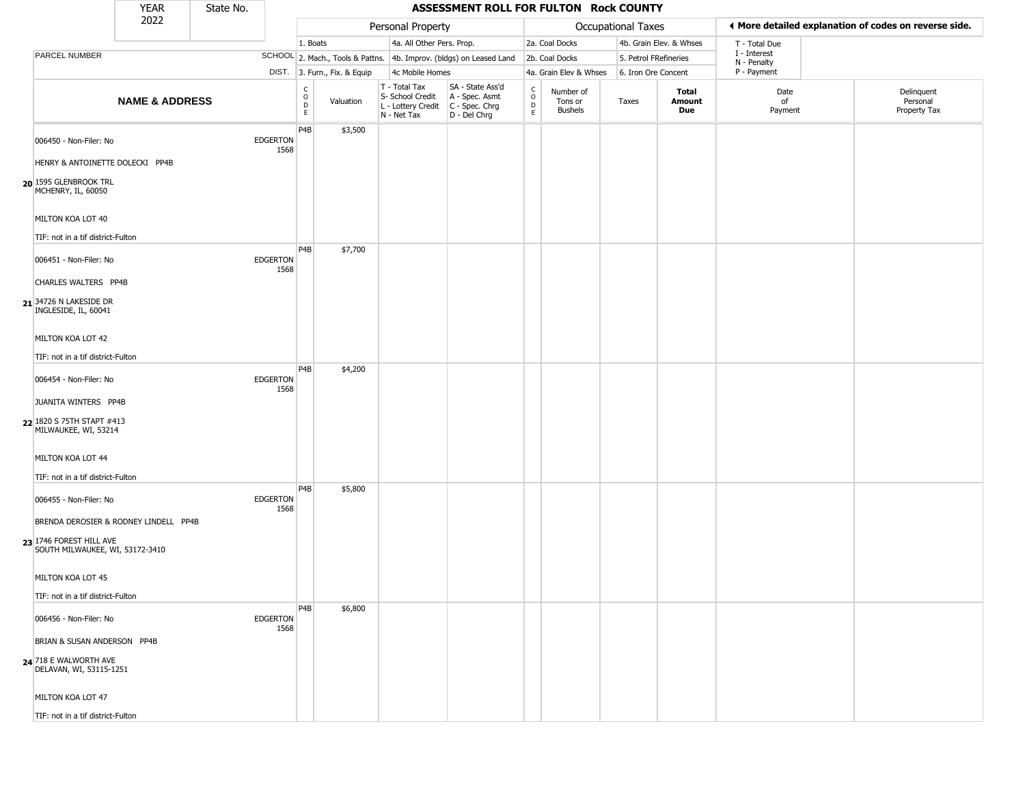|                                                                        | <b>YEAR</b>                           | State No. |                         |                                                 |                              |                                                                                         | ASSESSMENT ROLL FOR FULTON Rock COUNTY                              |                                              |                                        |                    |                         |                                                       |                                        |
|------------------------------------------------------------------------|---------------------------------------|-----------|-------------------------|-------------------------------------------------|------------------------------|-----------------------------------------------------------------------------------------|---------------------------------------------------------------------|----------------------------------------------|----------------------------------------|--------------------|-------------------------|-------------------------------------------------------|----------------------------------------|
|                                                                        | 2022                                  |           |                         |                                                 |                              | Personal Property                                                                       |                                                                     |                                              |                                        | Occupational Taxes |                         | ◀ More detailed explanation of codes on reverse side. |                                        |
|                                                                        |                                       |           |                         | 1. Boats                                        |                              | 4a. All Other Pers. Prop.                                                               |                                                                     |                                              | 2a. Coal Docks                         |                    | 4b. Grain Elev. & Whses | T - Total Due                                         |                                        |
| PARCEL NUMBER                                                          |                                       |           |                         |                                                 |                              |                                                                                         | SCHOOL 2. Mach., Tools & Pattns. 4b. Improv. (bldgs) on Leased Land |                                              | 2b. Coal Docks                         |                    | 5. Petrol FRefineries   | I - Interest<br>N - Penalty                           |                                        |
|                                                                        |                                       |           |                         |                                                 | DIST. 3. Furn., Fix. & Equip | 4c Mobile Homes                                                                         |                                                                     |                                              | 4a. Grain Elev & Whses                 |                    | 6. Iron Ore Concent     | P - Payment                                           |                                        |
|                                                                        | <b>NAME &amp; ADDRESS</b>             |           |                         | $\begin{array}{c} C \\ O \\ D \\ E \end{array}$ | Valuation                    | T - Total Tax<br>S- School Credit<br>L - Lottery Credit   C - Spec. Chrg<br>N - Net Tax | SA - State Ass'd<br>A - Spec. Asmt<br>D - Del Chrg                  | $\begin{array}{c}\nC \\ O \\ D\n\end{array}$ | Number of<br>Tons or<br><b>Bushels</b> | Taxes              | Total<br>Amount<br>Due  | Date<br>of<br>Payment                                 | Delinquent<br>Personal<br>Property Tax |
| 006450 - Non-Filer: No                                                 |                                       |           | <b>EDGERTON</b><br>1568 | P <sub>4</sub> B                                | \$3,500                      |                                                                                         |                                                                     |                                              |                                        |                    |                         |                                                       |                                        |
| HENRY & ANTOINETTE DOLECKI PP4B                                        |                                       |           |                         |                                                 |                              |                                                                                         |                                                                     |                                              |                                        |                    |                         |                                                       |                                        |
| 20 1595 GLENBROOK TRL<br>MCHENRY, IL, 60050                            |                                       |           |                         |                                                 |                              |                                                                                         |                                                                     |                                              |                                        |                    |                         |                                                       |                                        |
| MILTON KOA LOT 40                                                      |                                       |           |                         |                                                 |                              |                                                                                         |                                                                     |                                              |                                        |                    |                         |                                                       |                                        |
| TIF: not in a tif district-Fulton                                      |                                       |           |                         | P <sub>4</sub> B                                | \$7,700                      |                                                                                         |                                                                     |                                              |                                        |                    |                         |                                                       |                                        |
| 006451 - Non-Filer: No                                                 |                                       |           | <b>EDGERTON</b><br>1568 |                                                 |                              |                                                                                         |                                                                     |                                              |                                        |                    |                         |                                                       |                                        |
| CHARLES WALTERS PP4B<br>21 34726 N LAKESIDE DR<br>INGLESIDE, IL, 60041 |                                       |           |                         |                                                 |                              |                                                                                         |                                                                     |                                              |                                        |                    |                         |                                                       |                                        |
| MILTON KOA LOT 42                                                      |                                       |           |                         |                                                 |                              |                                                                                         |                                                                     |                                              |                                        |                    |                         |                                                       |                                        |
| TIF: not in a tif district-Fulton                                      |                                       |           |                         |                                                 |                              |                                                                                         |                                                                     |                                              |                                        |                    |                         |                                                       |                                        |
|                                                                        |                                       |           |                         | P <sub>4</sub> B                                | \$4,200                      |                                                                                         |                                                                     |                                              |                                        |                    |                         |                                                       |                                        |
| 006454 - Non-Filer: No                                                 |                                       |           | <b>EDGERTON</b><br>1568 |                                                 |                              |                                                                                         |                                                                     |                                              |                                        |                    |                         |                                                       |                                        |
| JUANITA WINTERS PP4B                                                   |                                       |           |                         |                                                 |                              |                                                                                         |                                                                     |                                              |                                        |                    |                         |                                                       |                                        |
| 22 1820 S 75TH STAPT #413<br>MILWAUKEE, WI, 53214                      |                                       |           |                         |                                                 |                              |                                                                                         |                                                                     |                                              |                                        |                    |                         |                                                       |                                        |
| MILTON KOA LOT 44                                                      |                                       |           |                         |                                                 |                              |                                                                                         |                                                                     |                                              |                                        |                    |                         |                                                       |                                        |
| TIF: not in a tif district-Fulton                                      |                                       |           |                         |                                                 |                              |                                                                                         |                                                                     |                                              |                                        |                    |                         |                                                       |                                        |
| 006455 - Non-Filer: No                                                 |                                       |           | <b>EDGERTON</b><br>1568 | P <sub>4</sub> B                                | \$5,800                      |                                                                                         |                                                                     |                                              |                                        |                    |                         |                                                       |                                        |
|                                                                        | BRENDA DEROSIER & RODNEY LINDELL PP4B |           |                         |                                                 |                              |                                                                                         |                                                                     |                                              |                                        |                    |                         |                                                       |                                        |
| 23 1746 FOREST HILL AVE<br>SOUTH MILWAUKEE, WI, 53172-3410             |                                       |           |                         |                                                 |                              |                                                                                         |                                                                     |                                              |                                        |                    |                         |                                                       |                                        |
| MILTON KOA LOT 45                                                      |                                       |           |                         |                                                 |                              |                                                                                         |                                                                     |                                              |                                        |                    |                         |                                                       |                                        |
| TIF: not in a tif district-Fulton                                      |                                       |           |                         |                                                 |                              |                                                                                         |                                                                     |                                              |                                        |                    |                         |                                                       |                                        |
| 006456 - Non-Filer: No                                                 |                                       |           | <b>EDGERTON</b><br>1568 | P <sub>4</sub> B                                | \$6,800                      |                                                                                         |                                                                     |                                              |                                        |                    |                         |                                                       |                                        |
| BRIAN & SUSAN ANDERSON PP4B                                            |                                       |           |                         |                                                 |                              |                                                                                         |                                                                     |                                              |                                        |                    |                         |                                                       |                                        |
| 24 718 E WALWORTH AVE<br>DELAVAN, WI, 53115-1251                       |                                       |           |                         |                                                 |                              |                                                                                         |                                                                     |                                              |                                        |                    |                         |                                                       |                                        |
| MILTON KOA LOT 47                                                      |                                       |           |                         |                                                 |                              |                                                                                         |                                                                     |                                              |                                        |                    |                         |                                                       |                                        |
| TIF: not in a tif district-Fulton                                      |                                       |           |                         |                                                 |                              |                                                                                         |                                                                     |                                              |                                        |                    |                         |                                                       |                                        |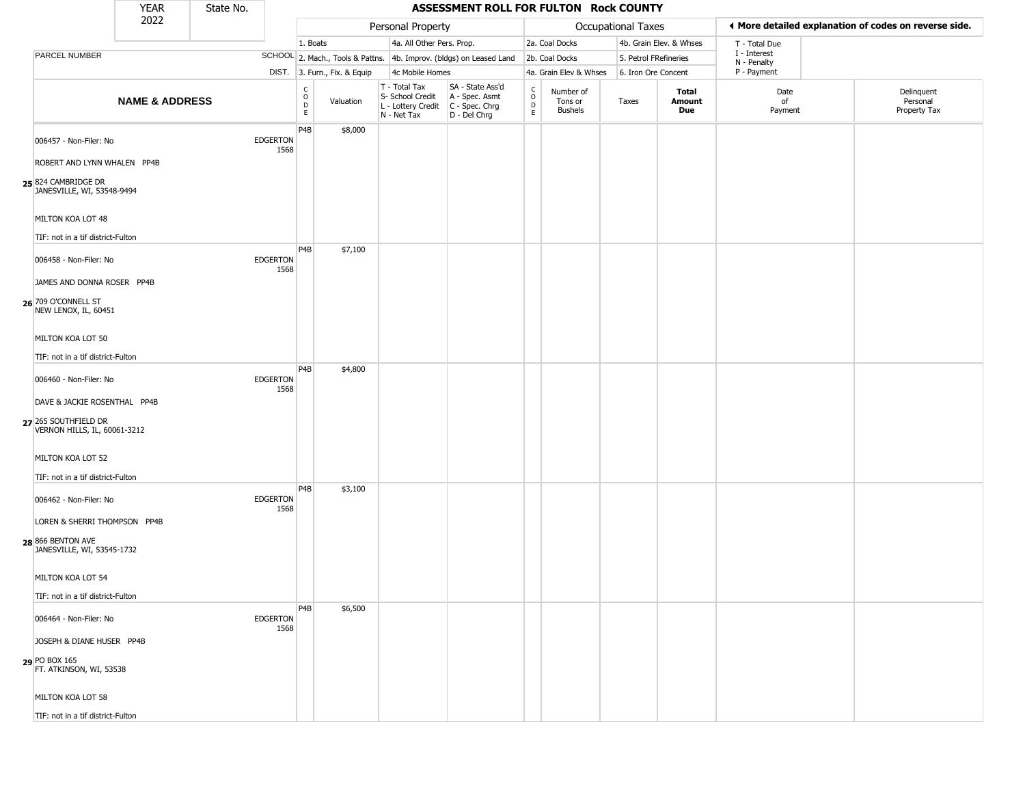|                                                             | <b>YEAR</b>               | State No. |                         |                                                 |                              |                                                                                         | ASSESSMENT ROLL FOR FULTON Rock COUNTY                              |                                                                    |                                        |                       |                         |                             |                                                       |
|-------------------------------------------------------------|---------------------------|-----------|-------------------------|-------------------------------------------------|------------------------------|-----------------------------------------------------------------------------------------|---------------------------------------------------------------------|--------------------------------------------------------------------|----------------------------------------|-----------------------|-------------------------|-----------------------------|-------------------------------------------------------|
|                                                             | 2022                      |           |                         |                                                 |                              | Personal Property                                                                       |                                                                     |                                                                    |                                        | Occupational Taxes    |                         |                             | ♦ More detailed explanation of codes on reverse side. |
|                                                             |                           |           |                         | 1. Boats                                        |                              | 4a. All Other Pers. Prop.                                                               |                                                                     |                                                                    | 2a. Coal Docks                         |                       | 4b. Grain Elev. & Whses | T - Total Due               |                                                       |
| PARCEL NUMBER                                               |                           |           |                         |                                                 |                              |                                                                                         | SCHOOL 2. Mach., Tools & Pattns. 4b. Improv. (bldgs) on Leased Land |                                                                    | 2b. Coal Docks                         | 5. Petrol FRefineries |                         | I - Interest<br>N - Penalty |                                                       |
|                                                             |                           |           |                         |                                                 | DIST. 3. Furn., Fix. & Equip | 4c Mobile Homes                                                                         |                                                                     |                                                                    | 4a. Grain Elev & Whses                 | 6. Iron Ore Concent   |                         | P - Payment                 |                                                       |
|                                                             | <b>NAME &amp; ADDRESS</b> |           |                         | $\begin{array}{c} C \\ O \\ D \\ E \end{array}$ | Valuation                    | T - Total Tax<br>S- School Credit<br>L - Lottery Credit   C - Spec. Chrg<br>N - Net Tax | SA - State Ass'd<br>A - Spec. Asmt<br>D - Del Chrg                  | $\begin{smallmatrix} C \\ O \\ D \end{smallmatrix}$<br>$\mathsf E$ | Number of<br>Tons or<br><b>Bushels</b> | Taxes                 | Total<br>Amount<br>Due  | Date<br>of<br>Payment       | Delinquent<br>Personal<br>Property Tax                |
| 006457 - Non-Filer: No<br>ROBERT AND LYNN WHALEN PP4B       |                           |           | <b>EDGERTON</b><br>1568 | P <sub>4</sub> B                                | \$8,000                      |                                                                                         |                                                                     |                                                                    |                                        |                       |                         |                             |                                                       |
| 25 824 CAMBRIDGE DR<br>JANESVILLE, WI, 53548-9494           |                           |           |                         |                                                 |                              |                                                                                         |                                                                     |                                                                    |                                        |                       |                         |                             |                                                       |
| MILTON KOA LOT 48<br>TIF: not in a tif district-Fulton      |                           |           |                         |                                                 |                              |                                                                                         |                                                                     |                                                                    |                                        |                       |                         |                             |                                                       |
| 006458 - Non-Filer: No<br>JAMES AND DONNA ROSER PP4B        |                           |           | <b>EDGERTON</b><br>1568 | P4B                                             | \$7,100                      |                                                                                         |                                                                     |                                                                    |                                        |                       |                         |                             |                                                       |
| 26 709 O'CONNELL ST<br>NEW LENOX, IL, 60451                 |                           |           |                         |                                                 |                              |                                                                                         |                                                                     |                                                                    |                                        |                       |                         |                             |                                                       |
| MILTON KOA LOT 50<br>TIF: not in a tif district-Fulton      |                           |           |                         |                                                 |                              |                                                                                         |                                                                     |                                                                    |                                        |                       |                         |                             |                                                       |
| 006460 - Non-Filer: No                                      |                           |           | <b>EDGERTON</b>         | P <sub>4</sub> B                                | \$4,800                      |                                                                                         |                                                                     |                                                                    |                                        |                       |                         |                             |                                                       |
| DAVE & JACKIE ROSENTHAL PP4B                                |                           |           | 1568                    |                                                 |                              |                                                                                         |                                                                     |                                                                    |                                        |                       |                         |                             |                                                       |
| 27 265 SOUTHFIELD DR<br>VERNON HILLS, IL, 60061-3212        |                           |           |                         |                                                 |                              |                                                                                         |                                                                     |                                                                    |                                        |                       |                         |                             |                                                       |
| MILTON KOA LOT 52                                           |                           |           |                         |                                                 |                              |                                                                                         |                                                                     |                                                                    |                                        |                       |                         |                             |                                                       |
| TIF: not in a tif district-Fulton<br>006462 - Non-Filer: No |                           |           | <b>EDGERTON</b>         | P <sub>4</sub> B                                | \$3,100                      |                                                                                         |                                                                     |                                                                    |                                        |                       |                         |                             |                                                       |
| LOREN & SHERRI THOMPSON PP4B                                |                           |           | 1568                    |                                                 |                              |                                                                                         |                                                                     |                                                                    |                                        |                       |                         |                             |                                                       |
| 28 866 BENTON AVE<br>JANESVILLE, WI, 53545-1732             |                           |           |                         |                                                 |                              |                                                                                         |                                                                     |                                                                    |                                        |                       |                         |                             |                                                       |
| MILTON KOA LOT 54                                           |                           |           |                         |                                                 |                              |                                                                                         |                                                                     |                                                                    |                                        |                       |                         |                             |                                                       |
| TIF: not in a tif district-Fulton                           |                           |           |                         | P <sub>4</sub> B                                | \$6,500                      |                                                                                         |                                                                     |                                                                    |                                        |                       |                         |                             |                                                       |
| 006464 - Non-Filer: No                                      |                           |           | <b>EDGERTON</b><br>1568 |                                                 |                              |                                                                                         |                                                                     |                                                                    |                                        |                       |                         |                             |                                                       |
| JOSEPH & DIANE HUSER PP4B                                   |                           |           |                         |                                                 |                              |                                                                                         |                                                                     |                                                                    |                                        |                       |                         |                             |                                                       |
| 29 PO BOX 165<br>FT. ATKINSON, WI, 53538                    |                           |           |                         |                                                 |                              |                                                                                         |                                                                     |                                                                    |                                        |                       |                         |                             |                                                       |
| MILTON KOA LOT 58                                           |                           |           |                         |                                                 |                              |                                                                                         |                                                                     |                                                                    |                                        |                       |                         |                             |                                                       |
| TIF: not in a tif district-Fulton                           |                           |           |                         |                                                 |                              |                                                                                         |                                                                     |                                                                    |                                        |                       |                         |                             |                                                       |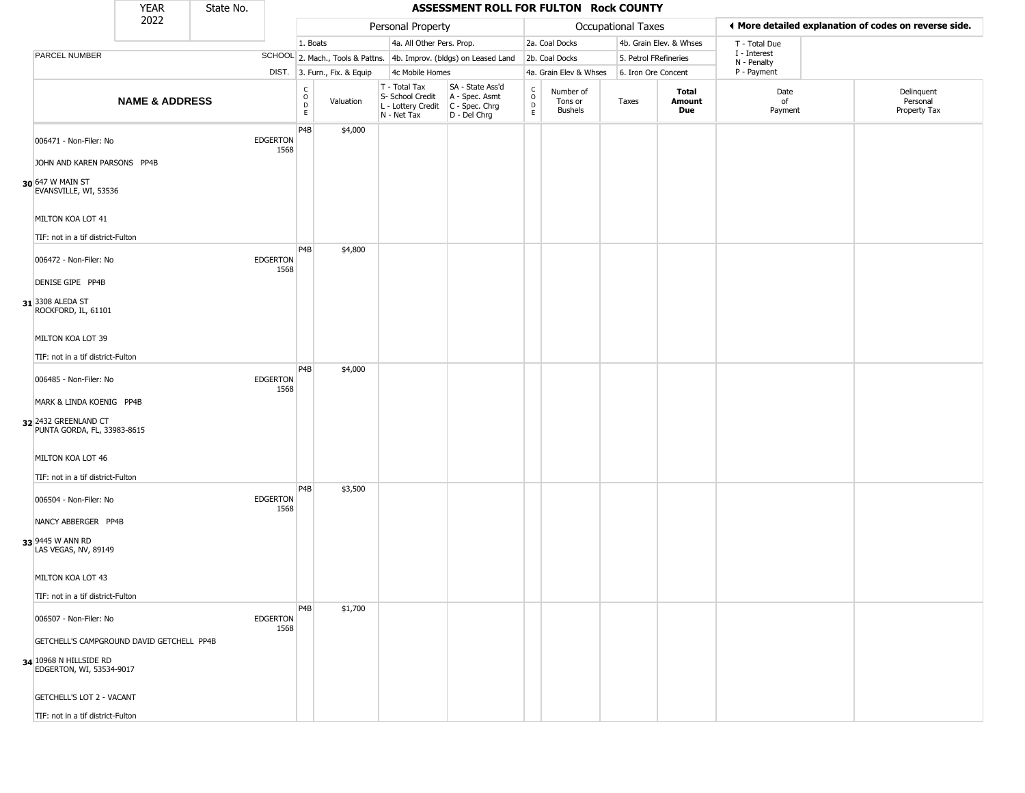|                                                                                                           | <b>YEAR</b>               | State No. |                         |                                        |                              |                                                                        | ASSESSMENT ROLL FOR FULTON Rock COUNTY                               |                  |                                 |                       |                         |                             |                                                       |
|-----------------------------------------------------------------------------------------------------------|---------------------------|-----------|-------------------------|----------------------------------------|------------------------------|------------------------------------------------------------------------|----------------------------------------------------------------------|------------------|---------------------------------|-----------------------|-------------------------|-----------------------------|-------------------------------------------------------|
|                                                                                                           | 2022                      |           |                         |                                        |                              | Personal Property                                                      |                                                                      |                  |                                 | Occupational Taxes    |                         |                             | ◀ More detailed explanation of codes on reverse side. |
|                                                                                                           |                           |           |                         | 1. Boats                               |                              | 4a. All Other Pers. Prop.                                              |                                                                      |                  | 2a. Coal Docks                  |                       | 4b. Grain Elev. & Whses | T - Total Due               |                                                       |
| PARCEL NUMBER                                                                                             |                           |           |                         |                                        |                              |                                                                        | SCHOOL 2. Mach., Tools & Pattns. 4b. Improv. (bldgs) on Leased Land  |                  | 2b. Coal Docks                  | 5. Petrol FRefineries |                         | I - Interest<br>N - Penalty |                                                       |
|                                                                                                           |                           |           |                         |                                        | DIST. 3. Furn., Fix. & Equip | 4c Mobile Homes                                                        |                                                                      |                  | 4a. Grain Elev & Whses          | 6. Iron Ore Concent   |                         | P - Payment                 |                                                       |
|                                                                                                           | <b>NAME &amp; ADDRESS</b> |           |                         | C<br>$_{\rm D}^{\rm O}$<br>$\mathsf E$ | Valuation                    | T - Total Tax<br>S- School Credit<br>L - Lottery Credit<br>N - Net Tax | SA - State Ass'd<br>A - Spec. Asmt<br>C - Spec. Chrg<br>D - Del Chrg | C<br>D<br>D<br>E | Number of<br>Tons or<br>Bushels | Taxes                 | Total<br>Amount<br>Due  | Date<br>of<br>Payment       | Delinquent<br>Personal<br>Property Tax                |
| 006471 - Non-Filer: No<br>JOHN AND KAREN PARSONS PP4B<br>30 647 W MAIN ST<br>EVANSVILLE, WI, 53536        |                           |           | <b>EDGERTON</b><br>1568 | P4B                                    | \$4,000                      |                                                                        |                                                                      |                  |                                 |                       |                         |                             |                                                       |
| MILTON KOA LOT 41<br>TIF: not in a tif district-Fulton                                                    |                           |           |                         |                                        |                              |                                                                        |                                                                      |                  |                                 |                       |                         |                             |                                                       |
| 006472 - Non-Filer: No<br>DENISE GIPE PP4B<br>31 3308 ALEDA ST<br>ROCKFORD, IL, 61101                     |                           |           | <b>EDGERTON</b><br>1568 | P4B                                    | \$4,800                      |                                                                        |                                                                      |                  |                                 |                       |                         |                             |                                                       |
| MILTON KOA LOT 39<br>TIF: not in a tif district-Fulton                                                    |                           |           |                         | P4B                                    | \$4,000                      |                                                                        |                                                                      |                  |                                 |                       |                         |                             |                                                       |
| 006485 - Non-Filer: No<br>MARK & LINDA KOENIG PP4B<br>32 2432 GREENLAND CT<br>PUNTA GORDA, FL, 33983-8615 |                           |           | <b>EDGERTON</b><br>1568 |                                        |                              |                                                                        |                                                                      |                  |                                 |                       |                         |                             |                                                       |
| MILTON KOA LOT 46<br>TIF: not in a tif district-Fulton                                                    |                           |           |                         |                                        |                              |                                                                        |                                                                      |                  |                                 |                       |                         |                             |                                                       |
| 006504 - Non-Filer: No<br>NANCY ABBERGER PP4B                                                             |                           |           | <b>EDGERTON</b><br>1568 | P4B                                    | \$3,500                      |                                                                        |                                                                      |                  |                                 |                       |                         |                             |                                                       |
| 33 9445 W ANN RD<br>LAS VEGAS, NV, 89149<br>MILTON KOA LOT 43                                             |                           |           |                         |                                        |                              |                                                                        |                                                                      |                  |                                 |                       |                         |                             |                                                       |
|                                                                                                           |                           |           |                         |                                        |                              |                                                                        |                                                                      |                  |                                 |                       |                         |                             |                                                       |
| TIF: not in a tif district-Fulton<br>006507 - Non-Filer: No                                               |                           |           | <b>EDGERTON</b><br>1568 | P4B                                    | \$1,700                      |                                                                        |                                                                      |                  |                                 |                       |                         |                             |                                                       |
| GETCHELL'S CAMPGROUND DAVID GETCHELL PP4B<br>34 10968 N HILLSIDE RD<br>EDGERTON, WI, 53534-9017           |                           |           |                         |                                        |                              |                                                                        |                                                                      |                  |                                 |                       |                         |                             |                                                       |
| <b>GETCHELL'S LOT 2 - VACANT</b>                                                                          |                           |           |                         |                                        |                              |                                                                        |                                                                      |                  |                                 |                       |                         |                             |                                                       |
| TIF: not in a tif district-Fulton                                                                         |                           |           |                         |                                        |                              |                                                                        |                                                                      |                  |                                 |                       |                         |                             |                                                       |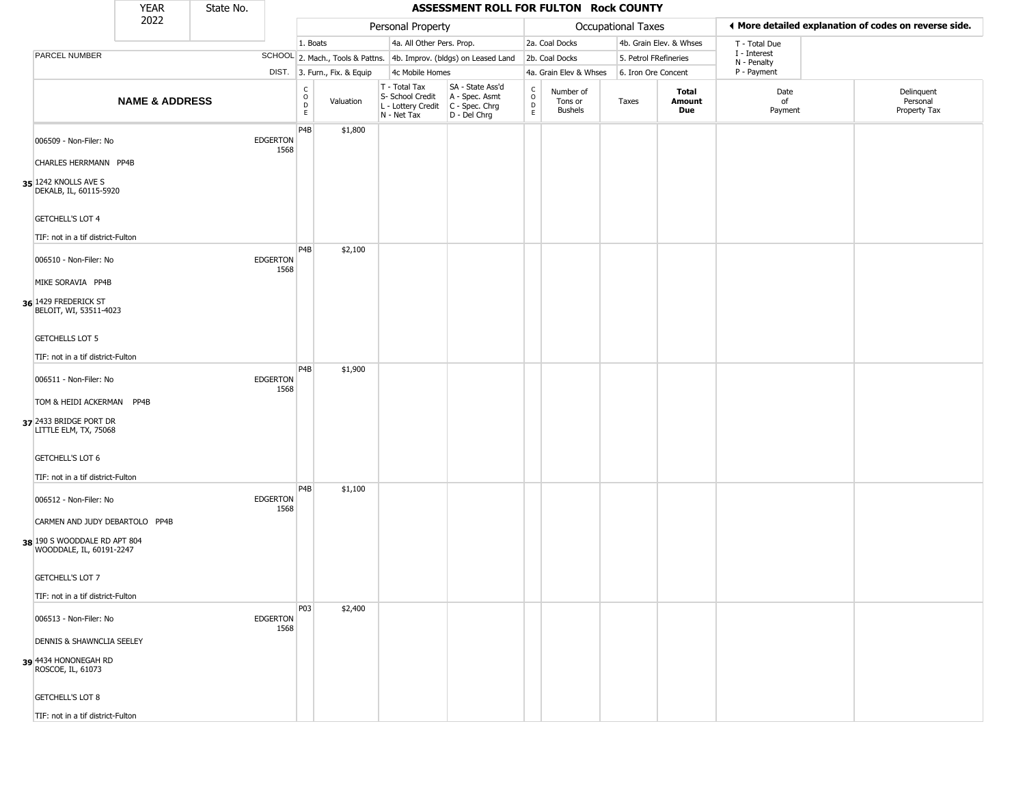|                                                                                                                      | <b>YEAR</b>               | State No. |                         |                                              |                              |                                                                        | ASSESSMENT ROLL FOR FULTON Rock COUNTY                               |                         |                                        |                       |                         |                             |                                                       |
|----------------------------------------------------------------------------------------------------------------------|---------------------------|-----------|-------------------------|----------------------------------------------|------------------------------|------------------------------------------------------------------------|----------------------------------------------------------------------|-------------------------|----------------------------------------|-----------------------|-------------------------|-----------------------------|-------------------------------------------------------|
|                                                                                                                      | 2022                      |           |                         |                                              |                              | Personal Property                                                      |                                                                      |                         |                                        | Occupational Taxes    |                         |                             | ♦ More detailed explanation of codes on reverse side. |
|                                                                                                                      |                           |           |                         | 1. Boats                                     |                              | 4a. All Other Pers. Prop.                                              |                                                                      |                         | 2a. Coal Docks                         |                       | 4b. Grain Elev. & Whses | T - Total Due               |                                                       |
| PARCEL NUMBER                                                                                                        |                           |           |                         |                                              |                              |                                                                        | SCHOOL 2. Mach., Tools & Pattns. 4b. Improv. (bldgs) on Leased Land  |                         | 2b. Coal Docks                         | 5. Petrol FRefineries |                         | I - Interest<br>N - Penalty |                                                       |
|                                                                                                                      |                           |           |                         |                                              | DIST. 3. Furn., Fix. & Equip | 4c Mobile Homes                                                        |                                                                      |                         | 4a. Grain Elev & Whses                 | 6. Iron Ore Concent   |                         | P - Payment                 |                                                       |
|                                                                                                                      | <b>NAME &amp; ADDRESS</b> |           |                         | $\begin{array}{c}\nC \\ O \\ D\n\end{array}$ | Valuation                    | T - Total Tax<br>S- School Credit<br>L - Lottery Credit<br>N - Net Tax | SA - State Ass'd<br>A - Spec. Asmt<br>C - Spec. Chrg<br>D - Del Chrg | $\rm_{o}^{c}$<br>D<br>E | Number of<br>Tons or<br><b>Bushels</b> | Taxes                 | Total<br>Amount<br>Due  | Date<br>of<br>Payment       | Delinquent<br>Personal<br>Property Tax                |
| 006509 - Non-Filer: No<br><b>CHARLES HERRMANN PP4B</b><br>35 1242 KNOLLS AVE S                                       |                           |           | <b>EDGERTON</b><br>1568 | P <sub>4</sub> B                             | \$1,800                      |                                                                        |                                                                      |                         |                                        |                       |                         |                             |                                                       |
| DEKALB, IL, 60115-5920<br><b>GETCHELL'S LOT 4</b><br>TIF: not in a tif district-Fulton                               |                           |           |                         | P4B                                          | \$2,100                      |                                                                        |                                                                      |                         |                                        |                       |                         |                             |                                                       |
| 006510 - Non-Filer: No<br>MIKE SORAVIA PP4B<br>36 1429 FREDERICK ST<br>BELOIT, WI, 53511-4023                        |                           |           | <b>EDGERTON</b><br>1568 |                                              |                              |                                                                        |                                                                      |                         |                                        |                       |                         |                             |                                                       |
| <b>GETCHELLS LOT 5</b><br>TIF: not in a tif district-Fulton                                                          |                           |           |                         | P4B                                          | \$1,900                      |                                                                        |                                                                      |                         |                                        |                       |                         |                             |                                                       |
| 006511 - Non-Filer: No<br>TOM & HEIDI ACKERMAN PP4B<br>37 2433 BRIDGE PORT DR<br>LITTLE ELM, TX, 75068               |                           |           | <b>EDGERTON</b><br>1568 |                                              |                              |                                                                        |                                                                      |                         |                                        |                       |                         |                             |                                                       |
| <b>GETCHELL'S LOT 6</b><br>TIF: not in a tif district-Fulton                                                         |                           |           |                         |                                              |                              |                                                                        |                                                                      |                         |                                        |                       |                         |                             |                                                       |
| 006512 - Non-Filer: No<br>CARMEN AND JUDY DEBARTOLO PP4B<br>38 190 S WOODDALE RD APT 804<br>WOODDALE, IL, 60191-2247 |                           |           | <b>EDGERTON</b><br>1568 | P4B                                          | \$1,100                      |                                                                        |                                                                      |                         |                                        |                       |                         |                             |                                                       |
| GETCHELL'S LOT 7<br>TIF: not in a tif district-Fulton                                                                |                           |           |                         |                                              |                              |                                                                        |                                                                      |                         |                                        |                       |                         |                             |                                                       |
| 006513 - Non-Filer: No                                                                                               |                           |           | <b>EDGERTON</b><br>1568 | P03                                          | \$2,400                      |                                                                        |                                                                      |                         |                                        |                       |                         |                             |                                                       |
| <b>DENNIS &amp; SHAWNCLIA SEELEY</b><br>39 4434 HONONEGAH RD<br>ROSCOE, IL, 61073                                    |                           |           |                         |                                              |                              |                                                                        |                                                                      |                         |                                        |                       |                         |                             |                                                       |
| <b>GETCHELL'S LOT 8</b>                                                                                              |                           |           |                         |                                              |                              |                                                                        |                                                                      |                         |                                        |                       |                         |                             |                                                       |
| TIF: not in a tif district-Fulton                                                                                    |                           |           |                         |                                              |                              |                                                                        |                                                                      |                         |                                        |                       |                         |                             |                                                       |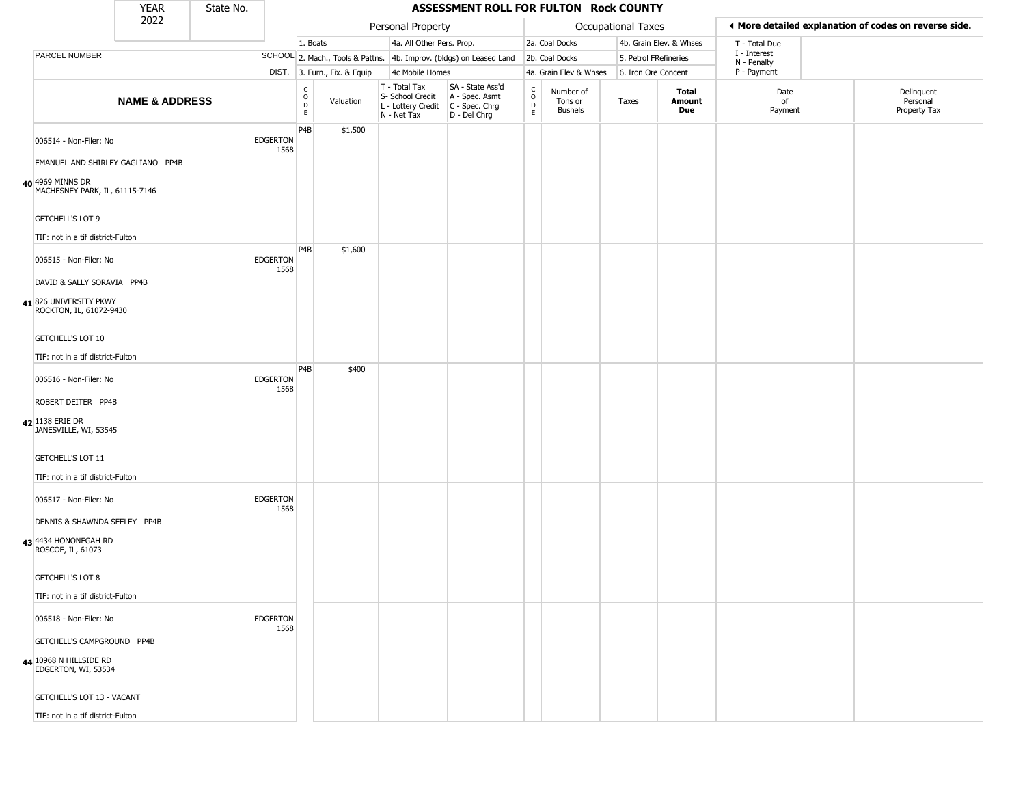|                                               |                                   | <b>YEAR</b>                       | State No. |                         |                                       |                              |                                                                                         | ASSESSMENT ROLL FOR FULTON Rock COUNTY                              |                                                |                                        |                       |                         |                             |                                                       |
|-----------------------------------------------|-----------------------------------|-----------------------------------|-----------|-------------------------|---------------------------------------|------------------------------|-----------------------------------------------------------------------------------------|---------------------------------------------------------------------|------------------------------------------------|----------------------------------------|-----------------------|-------------------------|-----------------------------|-------------------------------------------------------|
|                                               |                                   | 2022                              |           |                         |                                       |                              | Personal Property                                                                       |                                                                     |                                                |                                        | Occupational Taxes    |                         |                             | ◀ More detailed explanation of codes on reverse side. |
|                                               |                                   |                                   |           |                         | 1. Boats                              |                              | 4a. All Other Pers. Prop.                                                               |                                                                     |                                                | 2a. Coal Docks                         |                       | 4b. Grain Elev. & Whses | T - Total Due               |                                                       |
| PARCEL NUMBER                                 |                                   |                                   |           |                         |                                       |                              |                                                                                         | SCHOOL 2. Mach., Tools & Pattns. 4b. Improv. (bldgs) on Leased Land |                                                | 2b. Coal Docks                         | 5. Petrol FRefineries |                         | I - Interest<br>N - Penalty |                                                       |
|                                               |                                   |                                   |           |                         |                                       | DIST. 3. Furn., Fix. & Equip | 4c Mobile Homes                                                                         |                                                                     |                                                | 4a. Grain Elev & Whses                 | 6. Iron Ore Concent   |                         | P - Payment                 |                                                       |
|                                               |                                   | <b>NAME &amp; ADDRESS</b>         |           |                         | C<br>$\mathsf O$<br>$\mathsf{D}$<br>E | Valuation                    | T - Total Tax<br>S- School Credit<br>L - Lottery Credit   C - Spec. Chrg<br>N - Net Tax | SA - State Ass'd<br>A - Spec. Asmt<br>D - Del Chrg                  | $\begin{matrix} 0 \\ 0 \\ D \end{matrix}$<br>E | Number of<br>Tons or<br><b>Bushels</b> | Taxes                 | Total<br>Amount<br>Due  | Date<br>of<br>Payment       | Delinquent<br>Personal<br>Property Tax                |
|                                               | 006514 - Non-Filer: No            | EMANUEL AND SHIRLEY GAGLIANO PP4B |           | <b>EDGERTON</b><br>1568 | P4B                                   | \$1,500                      |                                                                                         |                                                                     |                                                |                                        |                       |                         |                             |                                                       |
| 40 4969 MINNS DR                              | MACHESNEY PARK, IL, 61115-7146    |                                   |           |                         |                                       |                              |                                                                                         |                                                                     |                                                |                                        |                       |                         |                             |                                                       |
| <b>GETCHELL'S LOT 9</b>                       | TIF: not in a tif district-Fulton |                                   |           |                         |                                       |                              |                                                                                         |                                                                     |                                                |                                        |                       |                         |                             |                                                       |
|                                               | 006515 - Non-Filer: No            |                                   |           | <b>EDGERTON</b>         | P4B                                   | \$1,600                      |                                                                                         |                                                                     |                                                |                                        |                       |                         |                             |                                                       |
|                                               | DAVID & SALLY SORAVIA PP4B        |                                   |           | 1568                    |                                       |                              |                                                                                         |                                                                     |                                                |                                        |                       |                         |                             |                                                       |
| 41826 UNIVERSITY PKWY                         | ROCKTON, IL, 61072-9430           |                                   |           |                         |                                       |                              |                                                                                         |                                                                     |                                                |                                        |                       |                         |                             |                                                       |
| GETCHELL'S LOT 10                             |                                   |                                   |           |                         |                                       |                              |                                                                                         |                                                                     |                                                |                                        |                       |                         |                             |                                                       |
|                                               | TIF: not in a tif district-Fulton |                                   |           |                         |                                       |                              |                                                                                         |                                                                     |                                                |                                        |                       |                         |                             |                                                       |
|                                               | 006516 - Non-Filer: No            |                                   |           | <b>EDGERTON</b><br>1568 | P <sub>4</sub> B                      | \$400                        |                                                                                         |                                                                     |                                                |                                        |                       |                         |                             |                                                       |
|                                               | ROBERT DEITER PP4B                |                                   |           |                         |                                       |                              |                                                                                         |                                                                     |                                                |                                        |                       |                         |                             |                                                       |
| 42 1138 ERIE DR                               | JANESVILLE, WI, 53545             |                                   |           |                         |                                       |                              |                                                                                         |                                                                     |                                                |                                        |                       |                         |                             |                                                       |
| GETCHELL'S LOT 11                             |                                   |                                   |           |                         |                                       |                              |                                                                                         |                                                                     |                                                |                                        |                       |                         |                             |                                                       |
|                                               | TIF: not in a tif district-Fulton |                                   |           |                         |                                       |                              |                                                                                         |                                                                     |                                                |                                        |                       |                         |                             |                                                       |
|                                               | 006517 - Non-Filer: No            |                                   |           | <b>EDGERTON</b><br>1568 |                                       |                              |                                                                                         |                                                                     |                                                |                                        |                       |                         |                             |                                                       |
|                                               |                                   | DENNIS & SHAWNDA SEELEY PP4B      |           |                         |                                       |                              |                                                                                         |                                                                     |                                                |                                        |                       |                         |                             |                                                       |
| 43 4434 HONONEGAH RD<br>ROSCOE, IL, 61073     |                                   |                                   |           |                         |                                       |                              |                                                                                         |                                                                     |                                                |                                        |                       |                         |                             |                                                       |
| <b>GETCHELL'S LOT 8</b>                       |                                   |                                   |           |                         |                                       |                              |                                                                                         |                                                                     |                                                |                                        |                       |                         |                             |                                                       |
|                                               | TIF: not in a tif district-Fulton |                                   |           |                         |                                       |                              |                                                                                         |                                                                     |                                                |                                        |                       |                         |                             |                                                       |
|                                               | 006518 - Non-Filer: No            |                                   |           | <b>EDGERTON</b><br>1568 |                                       |                              |                                                                                         |                                                                     |                                                |                                        |                       |                         |                             |                                                       |
|                                               | GETCHELL'S CAMPGROUND PP4B        |                                   |           |                         |                                       |                              |                                                                                         |                                                                     |                                                |                                        |                       |                         |                             |                                                       |
| 44 10968 N HILLSIDE RD<br>EDGERTON, WI, 53534 |                                   |                                   |           |                         |                                       |                              |                                                                                         |                                                                     |                                                |                                        |                       |                         |                             |                                                       |
|                                               | GETCHELL'S LOT 13 - VACANT        |                                   |           |                         |                                       |                              |                                                                                         |                                                                     |                                                |                                        |                       |                         |                             |                                                       |
|                                               | TIF: not in a tif district-Fulton |                                   |           |                         |                                       |                              |                                                                                         |                                                                     |                                                |                                        |                       |                         |                             |                                                       |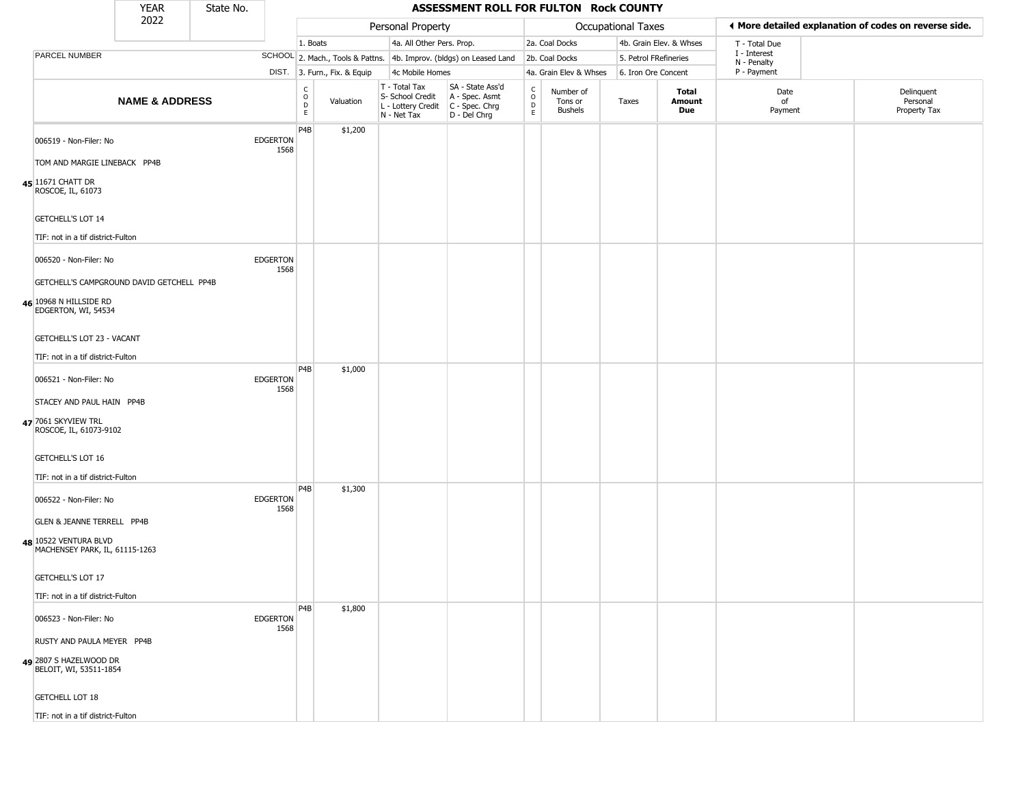|                                                                                       | <b>YEAR</b>                               | State No. |                         |                                                  |                              |                                                  | ASSESSMENT ROLL FOR FULTON Rock COUNTY                                                      |                                   |                                        |                       |                         |                             |                                                       |
|---------------------------------------------------------------------------------------|-------------------------------------------|-----------|-------------------------|--------------------------------------------------|------------------------------|--------------------------------------------------|---------------------------------------------------------------------------------------------|-----------------------------------|----------------------------------------|-----------------------|-------------------------|-----------------------------|-------------------------------------------------------|
|                                                                                       | 2022                                      |           |                         |                                                  |                              | Personal Property                                |                                                                                             |                                   |                                        | Occupational Taxes    |                         |                             | I More detailed explanation of codes on reverse side. |
|                                                                                       |                                           |           |                         | 1. Boats                                         |                              | 4a. All Other Pers. Prop.                        |                                                                                             |                                   | 2a. Coal Docks                         |                       | 4b. Grain Elev. & Whses | T - Total Due               |                                                       |
| PARCEL NUMBER                                                                         |                                           |           |                         |                                                  |                              |                                                  | SCHOOL 2. Mach., Tools & Pattns. 4b. Improv. (bldgs) on Leased Land                         |                                   | 2b. Coal Docks                         | 5. Petrol FRefineries |                         | I - Interest<br>N - Penalty |                                                       |
|                                                                                       |                                           |           |                         |                                                  | DIST. 3. Furn., Fix. & Equip | 4c Mobile Homes                                  |                                                                                             |                                   | 4a. Grain Elev & Whses                 | 6. Iron Ore Concent   |                         | P - Payment                 |                                                       |
|                                                                                       | <b>NAME &amp; ADDRESS</b>                 |           |                         | $_{\rm o}^{\rm c}$<br>$\mathsf D$<br>$\mathsf E$ | Valuation                    | T - Total Tax<br>S- School Credit<br>N - Net Tax | SA - State Ass'd<br>A - Spec. Asmt<br>L - Lottery Credit   C - Spec. Chrg<br>$D - Del Chrg$ | C<br>$\circ$<br>$\mathsf D$<br>E. | Number of<br>Tons or<br><b>Bushels</b> | Taxes                 | Total<br>Amount<br>Due  | Date<br>of<br>Payment       | Delinquent<br>Personal<br>Property Tax                |
| 006519 - Non-Filer: No<br>TOM AND MARGIE LINEBACK PP4B                                |                                           |           | EDGERTON<br>1568        | P <sub>4</sub> B                                 | \$1,200                      |                                                  |                                                                                             |                                   |                                        |                       |                         |                             |                                                       |
| 45 11671 CHATT DR<br>ROSCOE, IL, 61073                                                |                                           |           |                         |                                                  |                              |                                                  |                                                                                             |                                   |                                        |                       |                         |                             |                                                       |
| <b>GETCHELL'S LOT 14</b><br>TIF: not in a tif district-Fulton                         |                                           |           |                         |                                                  |                              |                                                  |                                                                                             |                                   |                                        |                       |                         |                             |                                                       |
| 006520 - Non-Filer: No                                                                |                                           |           | <b>EDGERTON</b><br>1568 |                                                  |                              |                                                  |                                                                                             |                                   |                                        |                       |                         |                             |                                                       |
| 46 10968 N HILLSIDE RD                                                                | GETCHELL'S CAMPGROUND DAVID GETCHELL PP4B |           |                         |                                                  |                              |                                                  |                                                                                             |                                   |                                        |                       |                         |                             |                                                       |
| EDGERTON, WI, 54534<br>GETCHELL'S LOT 23 - VACANT                                     |                                           |           |                         |                                                  |                              |                                                  |                                                                                             |                                   |                                        |                       |                         |                             |                                                       |
| TIF: not in a tif district-Fulton                                                     |                                           |           |                         |                                                  |                              |                                                  |                                                                                             |                                   |                                        |                       |                         |                             |                                                       |
| 006521 - Non-Filer: No                                                                |                                           |           | <b>EDGERTON</b><br>1568 | P <sub>4</sub> B                                 | \$1,000                      |                                                  |                                                                                             |                                   |                                        |                       |                         |                             |                                                       |
| STACEY AND PAUL HAIN PP4B                                                             |                                           |           |                         |                                                  |                              |                                                  |                                                                                             |                                   |                                        |                       |                         |                             |                                                       |
| 47 7061 SKYVIEW TRL<br>ROSCOE, IL, 61073-9102                                         |                                           |           |                         |                                                  |                              |                                                  |                                                                                             |                                   |                                        |                       |                         |                             |                                                       |
| <b>GETCHELL'S LOT 16</b>                                                              |                                           |           |                         |                                                  |                              |                                                  |                                                                                             |                                   |                                        |                       |                         |                             |                                                       |
| TIF: not in a tif district-Fulton                                                     |                                           |           |                         |                                                  |                              |                                                  |                                                                                             |                                   |                                        |                       |                         |                             |                                                       |
| 006522 - Non-Filer: No                                                                |                                           |           | <b>EDGERTON</b><br>1568 | P <sub>4</sub> B                                 | \$1,300                      |                                                  |                                                                                             |                                   |                                        |                       |                         |                             |                                                       |
| GLEN & JEANNE TERRELL PP4B<br>48 10522 VENTURA BLVD<br>MACHENSEY PARK, IL, 61115-1263 |                                           |           |                         |                                                  |                              |                                                  |                                                                                             |                                   |                                        |                       |                         |                             |                                                       |
| GETCHELL'S LOT 17                                                                     |                                           |           |                         |                                                  |                              |                                                  |                                                                                             |                                   |                                        |                       |                         |                             |                                                       |
| TIF: not in a tif district-Fulton                                                     |                                           |           |                         |                                                  |                              |                                                  |                                                                                             |                                   |                                        |                       |                         |                             |                                                       |
| 006523 - Non-Filer: No                                                                |                                           |           | <b>EDGERTON</b><br>1568 | P4B                                              | \$1,800                      |                                                  |                                                                                             |                                   |                                        |                       |                         |                             |                                                       |
| RUSTY AND PAULA MEYER PP4B                                                            |                                           |           |                         |                                                  |                              |                                                  |                                                                                             |                                   |                                        |                       |                         |                             |                                                       |
| 49 2807 S HAZELWOOD DR<br>BELOIT, WI, 53511-1854                                      |                                           |           |                         |                                                  |                              |                                                  |                                                                                             |                                   |                                        |                       |                         |                             |                                                       |
| <b>GETCHELL LOT 18</b>                                                                |                                           |           |                         |                                                  |                              |                                                  |                                                                                             |                                   |                                        |                       |                         |                             |                                                       |
| TIF: not in a tif district-Fulton                                                     |                                           |           |                         |                                                  |                              |                                                  |                                                                                             |                                   |                                        |                       |                         |                             |                                                       |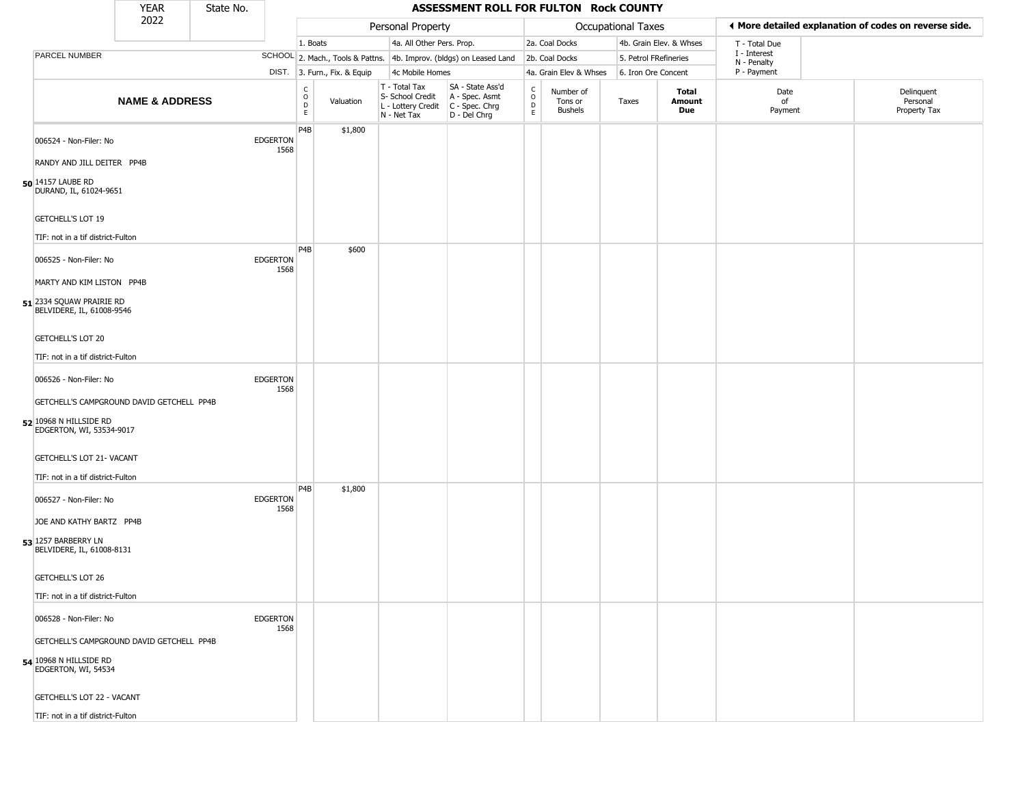|                                                                                                                                 | <b>YEAR</b>               | State No. |                         |                                            |                              |                                                                        | ASSESSMENT ROLL FOR FULTON Rock COUNTY                                 |                                   |                                 |                       |                         |                             |                                                       |
|---------------------------------------------------------------------------------------------------------------------------------|---------------------------|-----------|-------------------------|--------------------------------------------|------------------------------|------------------------------------------------------------------------|------------------------------------------------------------------------|-----------------------------------|---------------------------------|-----------------------|-------------------------|-----------------------------|-------------------------------------------------------|
|                                                                                                                                 | 2022                      |           |                         |                                            |                              | Personal Property                                                      |                                                                        |                                   |                                 | Occupational Taxes    |                         |                             | ◀ More detailed explanation of codes on reverse side. |
|                                                                                                                                 |                           |           |                         | 1. Boats                                   |                              | 4a. All Other Pers. Prop.                                              |                                                                        |                                   | 2a. Coal Docks                  |                       | 4b. Grain Elev. & Whses | T - Total Due               |                                                       |
| PARCEL NUMBER                                                                                                                   |                           |           |                         |                                            |                              |                                                                        | SCHOOL 2. Mach., Tools & Pattns. 4b. Improv. (bldgs) on Leased Land    |                                   | 2b. Coal Docks                  | 5. Petrol FRefineries |                         | I - Interest<br>N - Penalty |                                                       |
|                                                                                                                                 |                           |           |                         |                                            | DIST. 3. Furn., Fix. & Equip | 4c Mobile Homes                                                        |                                                                        |                                   | 4a. Grain Elev & Whses          | 6. Iron Ore Concent   |                         | P - Payment                 |                                                       |
|                                                                                                                                 | <b>NAME &amp; ADDRESS</b> |           |                         | $\begin{array}{c} C \\ 0 \\ E \end{array}$ | Valuation                    | T - Total Tax<br>S- School Credit<br>L - Lottery Credit<br>N - Net Tax | SA - State Ass'd<br>A - Spec. Asmt<br>$C - Spec. Chrg$<br>D - Del Chrg | $\frac{c}{0}$<br>D<br>$\mathsf E$ | Number of<br>Tons or<br>Bushels | Taxes                 | Total<br>Amount<br>Due  | Date<br>of<br>Payment       | Delinquent<br>Personal<br>Property Tax                |
| 006524 - Non-Filer: No<br>RANDY AND JILL DEITER PP4B<br>50 14157 LAUBE RD<br>DURAND, IL, 61024-9651<br><b>GETCHELL'S LOT 19</b> |                           |           | <b>EDGERTON</b><br>1568 | P <sub>4</sub> B                           | \$1,800                      |                                                                        |                                                                        |                                   |                                 |                       |                         |                             |                                                       |
| TIF: not in a tif district-Fulton                                                                                               |                           |           |                         |                                            |                              |                                                                        |                                                                        |                                   |                                 |                       |                         |                             |                                                       |
| 006525 - Non-Filer: No<br>MARTY AND KIM LISTON PP4B                                                                             |                           |           | <b>EDGERTON</b><br>1568 | P4B                                        | \$600                        |                                                                        |                                                                        |                                   |                                 |                       |                         |                             |                                                       |
| 51 2334 SQUAW PRAIRIE RD<br>BELVIDERE, IL, 61008-9546<br><b>GETCHELL'S LOT 20</b>                                               |                           |           |                         |                                            |                              |                                                                        |                                                                        |                                   |                                 |                       |                         |                             |                                                       |
| TIF: not in a tif district-Fulton                                                                                               |                           |           |                         |                                            |                              |                                                                        |                                                                        |                                   |                                 |                       |                         |                             |                                                       |
| 006526 - Non-Filer: No                                                                                                          |                           |           | <b>EDGERTON</b><br>1568 |                                            |                              |                                                                        |                                                                        |                                   |                                 |                       |                         |                             |                                                       |
| GETCHELL'S CAMPGROUND DAVID GETCHELL PP4B<br>52 10968 N HILLSIDE RD<br>EDGERTON, WI, 53534-9017                                 |                           |           |                         |                                            |                              |                                                                        |                                                                        |                                   |                                 |                       |                         |                             |                                                       |
| <b>GETCHELL'S LOT 21- VACANT</b><br>TIF: not in a tif district-Fulton                                                           |                           |           |                         |                                            |                              |                                                                        |                                                                        |                                   |                                 |                       |                         |                             |                                                       |
| 006527 - Non-Filer: No                                                                                                          |                           |           | <b>EDGERTON</b><br>1568 | P4B                                        | \$1,800                      |                                                                        |                                                                        |                                   |                                 |                       |                         |                             |                                                       |
| JOE AND KATHY BARTZ PP4B<br>53 1257 BARBERRY LN<br>BELVIDERE, IL, 61008-8131                                                    |                           |           |                         |                                            |                              |                                                                        |                                                                        |                                   |                                 |                       |                         |                             |                                                       |
| GETCHELL'S LOT 26                                                                                                               |                           |           |                         |                                            |                              |                                                                        |                                                                        |                                   |                                 |                       |                         |                             |                                                       |
| TIF: not in a tif district-Fulton                                                                                               |                           |           |                         |                                            |                              |                                                                        |                                                                        |                                   |                                 |                       |                         |                             |                                                       |
| 006528 - Non-Filer: No                                                                                                          |                           |           | <b>EDGERTON</b><br>1568 |                                            |                              |                                                                        |                                                                        |                                   |                                 |                       |                         |                             |                                                       |
| GETCHELL'S CAMPGROUND DAVID GETCHELL PP4B<br>54 10968 N HILLSIDE RD<br>EDGERTON, WI, 54534                                      |                           |           |                         |                                            |                              |                                                                        |                                                                        |                                   |                                 |                       |                         |                             |                                                       |
| GETCHELL'S LOT 22 - VACANT                                                                                                      |                           |           |                         |                                            |                              |                                                                        |                                                                        |                                   |                                 |                       |                         |                             |                                                       |
| TIF: not in a tif district-Fulton                                                                                               |                           |           |                         |                                            |                              |                                                                        |                                                                        |                                   |                                 |                       |                         |                             |                                                       |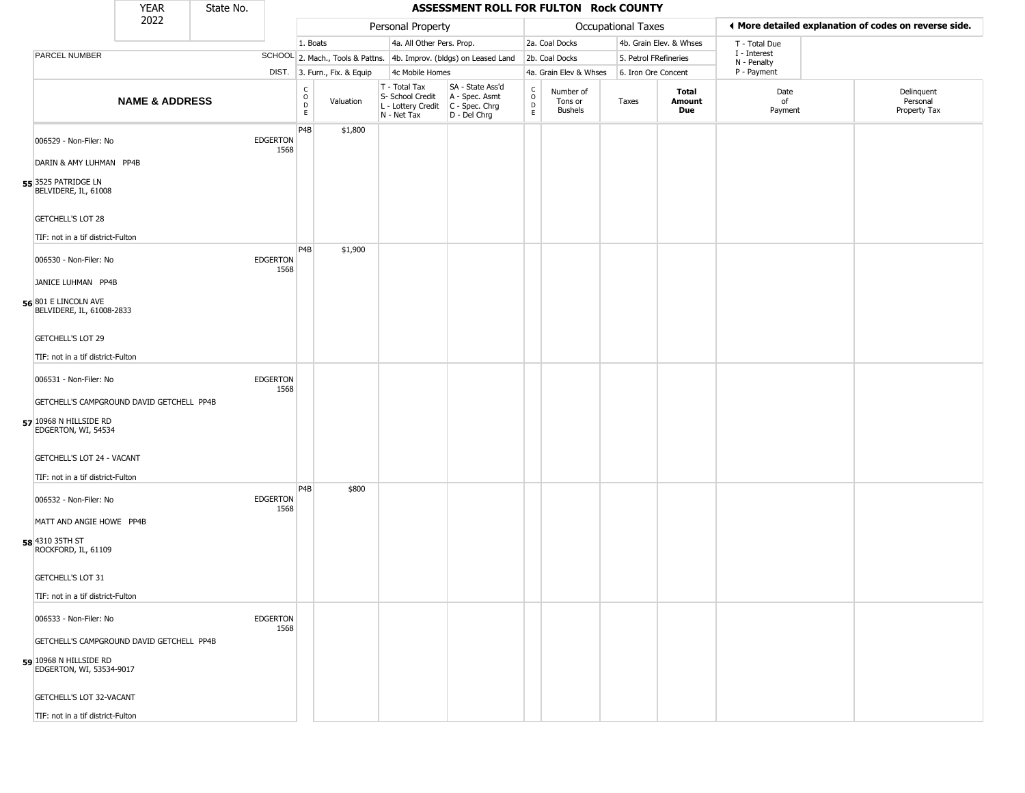|                                                                                                   | <b>YEAR</b>               | State No. |                         |                                                |                              |                                                                        | ASSESSMENT ROLL FOR FULTON Rock COUNTY                                 |                             |                                        |                       |                         |                             |                                                       |
|---------------------------------------------------------------------------------------------------|---------------------------|-----------|-------------------------|------------------------------------------------|------------------------------|------------------------------------------------------------------------|------------------------------------------------------------------------|-----------------------------|----------------------------------------|-----------------------|-------------------------|-----------------------------|-------------------------------------------------------|
|                                                                                                   | 2022                      |           |                         |                                                |                              | Personal Property                                                      |                                                                        |                             |                                        | Occupational Taxes    |                         |                             | ◀ More detailed explanation of codes on reverse side. |
|                                                                                                   |                           |           |                         | 1. Boats                                       |                              | 4a. All Other Pers. Prop.                                              |                                                                        |                             | 2a. Coal Docks                         |                       | 4b. Grain Elev. & Whses | T - Total Due               |                                                       |
| <b>PARCEL NUMBER</b>                                                                              |                           |           |                         |                                                |                              |                                                                        | SCHOOL 2. Mach., Tools & Pattns. 4b. Improv. (bldgs) on Leased Land    |                             | 2b. Coal Docks                         | 5. Petrol FRefineries |                         | I - Interest<br>N - Penalty |                                                       |
|                                                                                                   |                           |           |                         |                                                | DIST. 3. Furn., Fix. & Equip | 4c Mobile Homes                                                        |                                                                        |                             | 4a. Grain Elev & Whses                 | 6. Iron Ore Concent   |                         | P - Payment                 |                                                       |
|                                                                                                   | <b>NAME &amp; ADDRESS</b> |           |                         | $\begin{matrix} 0 \\ 0 \\ D \end{matrix}$<br>E | Valuation                    | T - Total Tax<br>S- School Credit<br>L - Lottery Credit<br>N - Net Tax | SA - State Ass'd<br>A - Spec. Asmt<br>$C - Spec. Chrg$<br>D - Del Chrg | $\rm_{o}^{\rm c}$<br>D<br>E | Number of<br>Tons or<br><b>Bushels</b> | Taxes                 | Total<br>Amount<br>Due  | Date<br>of<br>Payment       | Delinquent<br>Personal<br>Property Tax                |
| 006529 - Non-Filer: No<br>DARIN & AMY LUHMAN PP4B                                                 |                           |           | <b>EDGERTON</b><br>1568 | P <sub>4</sub> B                               | \$1,800                      |                                                                        |                                                                        |                             |                                        |                       |                         |                             |                                                       |
| 55 3525 PATRIDGE LN<br>BELVIDERE, IL, 61008<br><b>GETCHELL'S LOT 28</b>                           |                           |           |                         |                                                |                              |                                                                        |                                                                        |                             |                                        |                       |                         |                             |                                                       |
| TIF: not in a tif district-Fulton                                                                 |                           |           |                         |                                                |                              |                                                                        |                                                                        |                             |                                        |                       |                         |                             |                                                       |
| 006530 - Non-Filer: No<br>JANICE LUHMAN PP4B                                                      |                           |           | <b>EDGERTON</b><br>1568 | P4B                                            | \$1,900                      |                                                                        |                                                                        |                             |                                        |                       |                         |                             |                                                       |
| 56 801 E LINCOLN AVE<br>BELVIDERE, IL, 61008-2833                                                 |                           |           |                         |                                                |                              |                                                                        |                                                                        |                             |                                        |                       |                         |                             |                                                       |
| <b>GETCHELL'S LOT 29</b>                                                                          |                           |           |                         |                                                |                              |                                                                        |                                                                        |                             |                                        |                       |                         |                             |                                                       |
| TIF: not in a tif district-Fulton                                                                 |                           |           |                         |                                                |                              |                                                                        |                                                                        |                             |                                        |                       |                         |                             |                                                       |
| 006531 - Non-Filer: No                                                                            |                           |           | <b>EDGERTON</b><br>1568 |                                                |                              |                                                                        |                                                                        |                             |                                        |                       |                         |                             |                                                       |
| GETCHELL'S CAMPGROUND DAVID GETCHELL PP4B<br>57 10968 N HILLSIDE RD<br>EDGERTON, WI, 54534        |                           |           |                         |                                                |                              |                                                                        |                                                                        |                             |                                        |                       |                         |                             |                                                       |
| GETCHELL'S LOT 24 - VACANT<br>TIF: not in a tif district-Fulton                                   |                           |           |                         |                                                |                              |                                                                        |                                                                        |                             |                                        |                       |                         |                             |                                                       |
| 006532 - Non-Filer: No                                                                            |                           |           | <b>EDGERTON</b><br>1568 | P <sub>4</sub> B                               | \$800                        |                                                                        |                                                                        |                             |                                        |                       |                         |                             |                                                       |
| MATT AND ANGIE HOWE PP4B<br>58 4310 35TH ST<br>ROCKFORD, IL, 61109                                |                           |           |                         |                                                |                              |                                                                        |                                                                        |                             |                                        |                       |                         |                             |                                                       |
| GETCHELL'S LOT 31                                                                                 |                           |           |                         |                                                |                              |                                                                        |                                                                        |                             |                                        |                       |                         |                             |                                                       |
| TIF: not in a tif district-Fulton                                                                 |                           |           |                         |                                                |                              |                                                                        |                                                                        |                             |                                        |                       |                         |                             |                                                       |
| 006533 - Non-Filer: No                                                                            |                           |           | <b>EDGERTON</b><br>1568 |                                                |                              |                                                                        |                                                                        |                             |                                        |                       |                         |                             |                                                       |
| GETCHELL'S CAMPGROUND DAVID GETCHELL PP4B<br>$59$ 10968 N HILLSIDE RD<br>EDGERTON, WI, 53534-9017 |                           |           |                         |                                                |                              |                                                                        |                                                                        |                             |                                        |                       |                         |                             |                                                       |
| GETCHELL'S LOT 32-VACANT                                                                          |                           |           |                         |                                                |                              |                                                                        |                                                                        |                             |                                        |                       |                         |                             |                                                       |
| TIF: not in a tif district-Fulton                                                                 |                           |           |                         |                                                |                              |                                                                        |                                                                        |                             |                                        |                       |                         |                             |                                                       |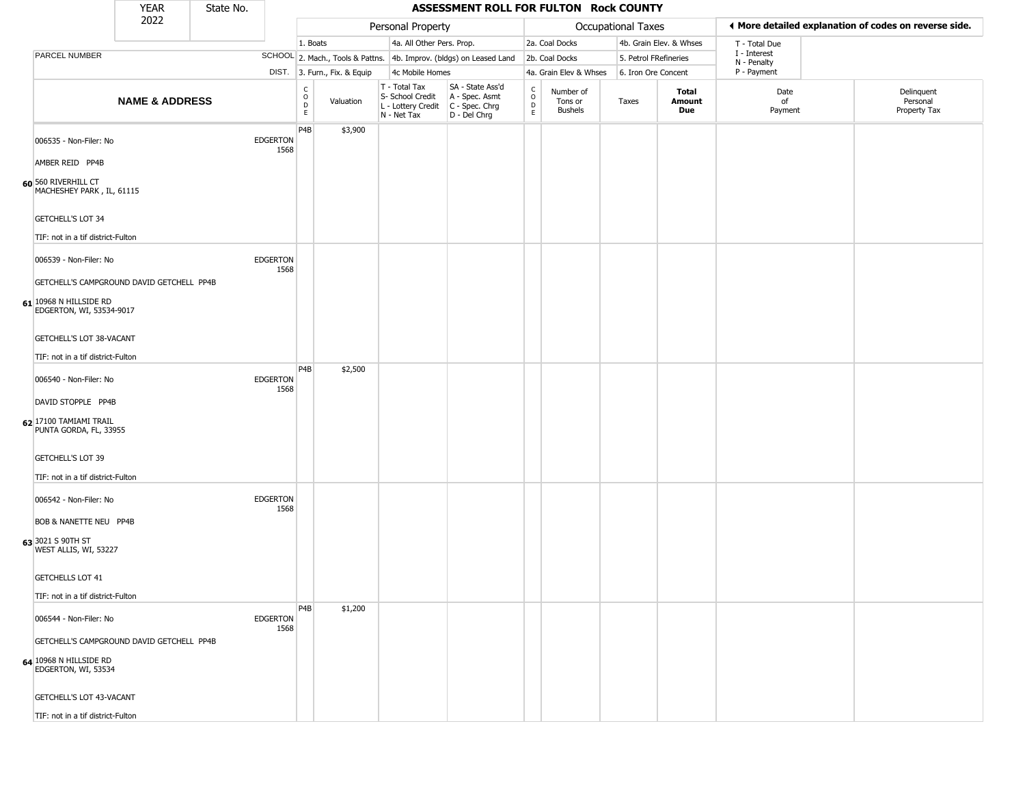|                                                               | <b>YEAR</b>                               | State No. |                         |                                          |                              |                                                                                         | ASSESSMENT ROLL FOR FULTON Rock COUNTY                              |                            |                                        |                           |                         |                             |                                                       |
|---------------------------------------------------------------|-------------------------------------------|-----------|-------------------------|------------------------------------------|------------------------------|-----------------------------------------------------------------------------------------|---------------------------------------------------------------------|----------------------------|----------------------------------------|---------------------------|-------------------------|-----------------------------|-------------------------------------------------------|
|                                                               | 2022                                      |           |                         |                                          |                              | Personal Property                                                                       |                                                                     |                            |                                        | <b>Occupational Taxes</b> |                         |                             | ◀ More detailed explanation of codes on reverse side. |
|                                                               |                                           |           |                         | 1. Boats                                 |                              | 4a. All Other Pers. Prop.                                                               |                                                                     |                            | 2a. Coal Docks                         |                           | 4b. Grain Elev. & Whses | T - Total Due               |                                                       |
| PARCEL NUMBER                                                 |                                           |           |                         |                                          |                              |                                                                                         | SCHOOL 2. Mach., Tools & Pattns. 4b. Improv. (bldgs) on Leased Land |                            | 2b. Coal Docks                         | 5. Petrol FRefineries     |                         | I - Interest<br>N - Penalty |                                                       |
|                                                               |                                           |           |                         |                                          | DIST. 3. Furn., Fix. & Equip | 4c Mobile Homes                                                                         |                                                                     |                            | 4a. Grain Elev & Whses                 | 6. Iron Ore Concent       |                         | P - Payment                 |                                                       |
|                                                               | <b>NAME &amp; ADDRESS</b>                 |           |                         | $\rm _o^C$<br>$\mathsf D$<br>$\mathsf E$ | Valuation                    | T - Total Tax<br>S- School Credit<br>L - Lottery Credit   C - Spec. Chrg<br>N - Net Tax | SA - State Ass'd<br>A - Spec. Asmt<br>D - Del Chrg                  | C<br>$\mathsf O$<br>D<br>E | Number of<br>Tons or<br><b>Bushels</b> | Taxes                     | Total<br>Amount<br>Due  | Date<br>of<br>Payment       | Delinquent<br>Personal<br>Property Tax                |
| 006535 - Non-Filer: No<br>AMBER REID PP4B                     |                                           |           | <b>EDGERTON</b><br>1568 | P4B                                      | \$3,900                      |                                                                                         |                                                                     |                            |                                        |                           |                         |                             |                                                       |
| 60 560 RIVERHILL CT<br>MACHESHEY PARK, IL, 61115              |                                           |           |                         |                                          |                              |                                                                                         |                                                                     |                            |                                        |                           |                         |                             |                                                       |
| <b>GETCHELL'S LOT 34</b><br>TIF: not in a tif district-Fulton |                                           |           |                         |                                          |                              |                                                                                         |                                                                     |                            |                                        |                           |                         |                             |                                                       |
| 006539 - Non-Filer: No                                        |                                           |           | <b>EDGERTON</b><br>1568 |                                          |                              |                                                                                         |                                                                     |                            |                                        |                           |                         |                             |                                                       |
|                                                               | GETCHELL'S CAMPGROUND DAVID GETCHELL PP4B |           |                         |                                          |                              |                                                                                         |                                                                     |                            |                                        |                           |                         |                             |                                                       |
| 61 10968 N HILLSIDE RD<br>EDGERTON, WI, 53534-9017            |                                           |           |                         |                                          |                              |                                                                                         |                                                                     |                            |                                        |                           |                         |                             |                                                       |
| GETCHELL'S LOT 38-VACANT                                      |                                           |           |                         |                                          |                              |                                                                                         |                                                                     |                            |                                        |                           |                         |                             |                                                       |
| TIF: not in a tif district-Fulton                             |                                           |           |                         |                                          |                              |                                                                                         |                                                                     |                            |                                        |                           |                         |                             |                                                       |
| 006540 - Non-Filer: No                                        |                                           |           | <b>EDGERTON</b><br>1568 | P <sub>4</sub> B                         | \$2,500                      |                                                                                         |                                                                     |                            |                                        |                           |                         |                             |                                                       |
| DAVID STOPPLE PP4B                                            |                                           |           |                         |                                          |                              |                                                                                         |                                                                     |                            |                                        |                           |                         |                             |                                                       |
| 62 17100 TAMIAMI TRAIL<br>PUNTA GORDA, FL, 33955              |                                           |           |                         |                                          |                              |                                                                                         |                                                                     |                            |                                        |                           |                         |                             |                                                       |
| <b>GETCHELL'S LOT 39</b>                                      |                                           |           |                         |                                          |                              |                                                                                         |                                                                     |                            |                                        |                           |                         |                             |                                                       |
| TIF: not in a tif district-Fulton                             |                                           |           |                         |                                          |                              |                                                                                         |                                                                     |                            |                                        |                           |                         |                             |                                                       |
| 006542 - Non-Filer: No                                        |                                           |           | <b>EDGERTON</b><br>1568 |                                          |                              |                                                                                         |                                                                     |                            |                                        |                           |                         |                             |                                                       |
| <b>BOB &amp; NANETTE NEU PP4B</b>                             |                                           |           |                         |                                          |                              |                                                                                         |                                                                     |                            |                                        |                           |                         |                             |                                                       |
| 63 3021 S 90TH ST<br>WEST ALLIS, WI, 53227                    |                                           |           |                         |                                          |                              |                                                                                         |                                                                     |                            |                                        |                           |                         |                             |                                                       |
| <b>GETCHELLS LOT 41</b>                                       |                                           |           |                         |                                          |                              |                                                                                         |                                                                     |                            |                                        |                           |                         |                             |                                                       |
| TIF: not in a tif district-Fulton                             |                                           |           |                         |                                          |                              |                                                                                         |                                                                     |                            |                                        |                           |                         |                             |                                                       |
| 006544 - Non-Filer: No                                        |                                           |           | <b>EDGERTON</b><br>1568 | P <sub>4</sub> B                         | \$1,200                      |                                                                                         |                                                                     |                            |                                        |                           |                         |                             |                                                       |
|                                                               | GETCHELL'S CAMPGROUND DAVID GETCHELL PP4B |           |                         |                                          |                              |                                                                                         |                                                                     |                            |                                        |                           |                         |                             |                                                       |
| 64 10968 N HILLSIDE RD<br>EDGERTON, WI, 53534                 |                                           |           |                         |                                          |                              |                                                                                         |                                                                     |                            |                                        |                           |                         |                             |                                                       |
| GETCHELL'S LOT 43-VACANT                                      |                                           |           |                         |                                          |                              |                                                                                         |                                                                     |                            |                                        |                           |                         |                             |                                                       |
| TIF: not in a tif district-Fulton                             |                                           |           |                         |                                          |                              |                                                                                         |                                                                     |                            |                                        |                           |                         |                             |                                                       |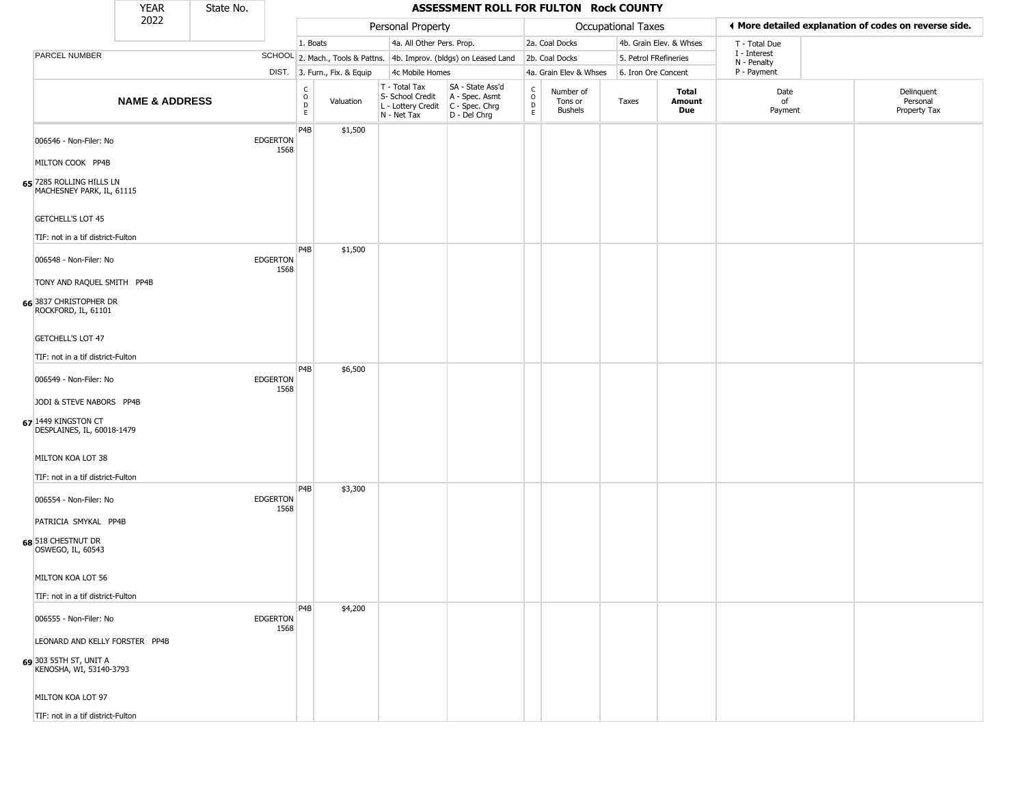|                                                                                                                | <b>YEAR</b>               | State No. |                         |                                            |                              |                                                                                         | ASSESSMENT ROLL FOR FULTON Rock COUNTY                              |                          |                                        |                       |                         |                             |                                                       |
|----------------------------------------------------------------------------------------------------------------|---------------------------|-----------|-------------------------|--------------------------------------------|------------------------------|-----------------------------------------------------------------------------------------|---------------------------------------------------------------------|--------------------------|----------------------------------------|-----------------------|-------------------------|-----------------------------|-------------------------------------------------------|
|                                                                                                                | 2022                      |           |                         |                                            |                              | Personal Property                                                                       |                                                                     |                          |                                        | Occupational Taxes    |                         |                             | ♦ More detailed explanation of codes on reverse side. |
|                                                                                                                |                           |           |                         | 1. Boats                                   |                              | 4a. All Other Pers. Prop.                                                               |                                                                     |                          | 2a. Coal Docks                         |                       | 4b. Grain Elev. & Whses | T - Total Due               |                                                       |
| PARCEL NUMBER                                                                                                  |                           |           |                         |                                            |                              |                                                                                         | SCHOOL 2. Mach., Tools & Pattns. 4b. Improv. (bldgs) on Leased Land |                          | 2b. Coal Docks                         | 5. Petrol FRefineries |                         | I - Interest<br>N - Penalty |                                                       |
|                                                                                                                |                           |           |                         |                                            | DIST. 3. Furn., Fix. & Equip | 4c Mobile Homes                                                                         |                                                                     |                          | 4a. Grain Elev & Whses                 | 6. Iron Ore Concent   |                         | P - Payment                 |                                                       |
|                                                                                                                | <b>NAME &amp; ADDRESS</b> |           |                         | $\begin{array}{c} C \\ 0 \\ E \end{array}$ | Valuation                    | T - Total Tax<br>S- School Credit<br>L - Lottery Credit   C - Spec. Chrg<br>N - Net Tax | SA - State Ass'd<br>A - Spec. Asmt<br>D - Del Chrg                  | $\int_{0}^{c}$<br>D<br>E | Number of<br>Tons or<br><b>Bushels</b> | Taxes                 | Total<br>Amount<br>Due  | Date<br>of<br>Payment       | Delinquent<br>Personal<br>Property Tax                |
| 006546 - Non-Filer: No<br>MILTON COOK PP4B                                                                     |                           |           | <b>EDGERTON</b><br>1568 | P4B                                        | \$1,500                      |                                                                                         |                                                                     |                          |                                        |                       |                         |                             |                                                       |
| 65 7285 ROLLING HILLS LN<br>MACHESNEY PARK, IL, 61115<br><b>GETCHELL'S LOT 45</b>                              |                           |           |                         |                                            |                              |                                                                                         |                                                                     |                          |                                        |                       |                         |                             |                                                       |
| TIF: not in a tif district-Fulton                                                                              |                           |           |                         |                                            |                              |                                                                                         |                                                                     |                          |                                        |                       |                         |                             |                                                       |
| 006548 - Non-Filer: No<br>TONY AND RAQUEL SMITH PP4B                                                           |                           |           | <b>EDGERTON</b><br>1568 | P <sub>4</sub> B                           | \$1,500                      |                                                                                         |                                                                     |                          |                                        |                       |                         |                             |                                                       |
| 66 3837 CHRISTOPHER DR<br>ROCKFORD, IL, 61101<br><b>GETCHELL'S LOT 47</b><br>TIF: not in a tif district-Fulton |                           |           |                         |                                            |                              |                                                                                         |                                                                     |                          |                                        |                       |                         |                             |                                                       |
|                                                                                                                |                           |           |                         | P <sub>4</sub> B                           | \$6,500                      |                                                                                         |                                                                     |                          |                                        |                       |                         |                             |                                                       |
| 006549 - Non-Filer: No                                                                                         |                           |           | <b>EDGERTON</b><br>1568 |                                            |                              |                                                                                         |                                                                     |                          |                                        |                       |                         |                             |                                                       |
| JODI & STEVE NABORS PP4B<br>67 1449 KINGSTON CT<br>DESPLAINES, IL, 60018-1479                                  |                           |           |                         |                                            |                              |                                                                                         |                                                                     |                          |                                        |                       |                         |                             |                                                       |
| MILTON KOA LOT 38                                                                                              |                           |           |                         |                                            |                              |                                                                                         |                                                                     |                          |                                        |                       |                         |                             |                                                       |
| TIF: not in a tif district-Fulton<br>006554 - Non-Filer: No                                                    |                           |           | <b>EDGERTON</b><br>1568 | P4B                                        | \$3,300                      |                                                                                         |                                                                     |                          |                                        |                       |                         |                             |                                                       |
| PATRICIA SMYKAL PP4B<br>68 518 CHESTNUT DR<br>OSWEGO, IL, 60543                                                |                           |           |                         |                                            |                              |                                                                                         |                                                                     |                          |                                        |                       |                         |                             |                                                       |
| MILTON KOA LOT 56                                                                                              |                           |           |                         |                                            |                              |                                                                                         |                                                                     |                          |                                        |                       |                         |                             |                                                       |
| TIF: not in a tif district-Fulton                                                                              |                           |           |                         |                                            |                              |                                                                                         |                                                                     |                          |                                        |                       |                         |                             |                                                       |
| 006555 - Non-Filer: No                                                                                         |                           |           | <b>EDGERTON</b><br>1568 | P <sub>4</sub> B                           | \$4,200                      |                                                                                         |                                                                     |                          |                                        |                       |                         |                             |                                                       |
| LEONARD AND KELLY FORSTER PP4B                                                                                 |                           |           |                         |                                            |                              |                                                                                         |                                                                     |                          |                                        |                       |                         |                             |                                                       |
| 69 303 55TH ST, UNIT A<br>KENOSHA, WI, 53140-3793                                                              |                           |           |                         |                                            |                              |                                                                                         |                                                                     |                          |                                        |                       |                         |                             |                                                       |
| MILTON KOA LOT 97                                                                                              |                           |           |                         |                                            |                              |                                                                                         |                                                                     |                          |                                        |                       |                         |                             |                                                       |
| TIF: not in a tif district-Fulton                                                                              |                           |           |                         |                                            |                              |                                                                                         |                                                                     |                          |                                        |                       |                         |                             |                                                       |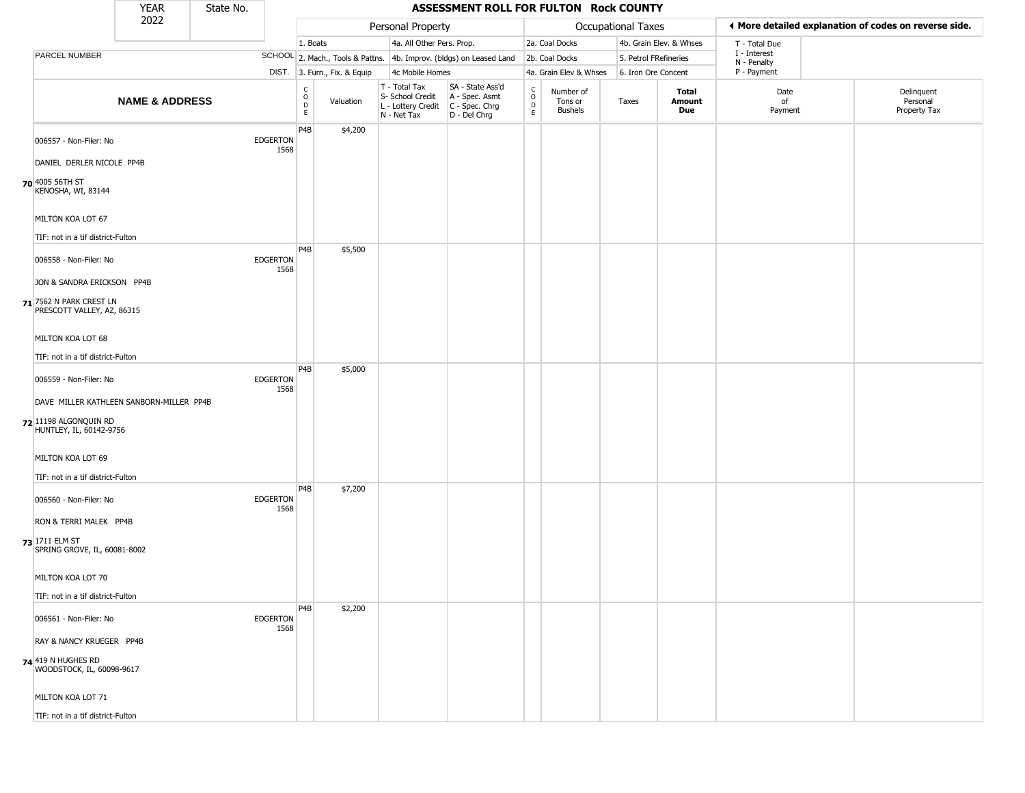|                                                                                              | <b>YEAR</b>               | State No. |                         |                                            |                              |                                                                        | ASSESSMENT ROLL FOR FULTON Rock COUNTY                                 |                                              |                                 |                       |                         |                                                       |                                        |
|----------------------------------------------------------------------------------------------|---------------------------|-----------|-------------------------|--------------------------------------------|------------------------------|------------------------------------------------------------------------|------------------------------------------------------------------------|----------------------------------------------|---------------------------------|-----------------------|-------------------------|-------------------------------------------------------|----------------------------------------|
|                                                                                              | 2022                      |           |                         |                                            |                              | Personal Property                                                      |                                                                        |                                              |                                 | Occupational Taxes    |                         | ◀ More detailed explanation of codes on reverse side. |                                        |
|                                                                                              |                           |           |                         | 1. Boats                                   |                              | 4a. All Other Pers. Prop.                                              |                                                                        |                                              | 2a. Coal Docks                  |                       | 4b. Grain Elev. & Whses | T - Total Due                                         |                                        |
| PARCEL NUMBER                                                                                |                           |           |                         |                                            |                              |                                                                        | SCHOOL 2. Mach., Tools & Pattns. 4b. Improv. (bldgs) on Leased Land    |                                              | 2b. Coal Docks                  | 5. Petrol FRefineries |                         | I - Interest<br>N - Penalty                           |                                        |
|                                                                                              |                           |           |                         |                                            | DIST. 3. Furn., Fix. & Equip | 4c Mobile Homes                                                        |                                                                        |                                              | 4a. Grain Elev & Whses          | 6. Iron Ore Concent   |                         | P - Payment                                           |                                        |
|                                                                                              | <b>NAME &amp; ADDRESS</b> |           |                         | $\begin{array}{c} C \\ 0 \\ E \end{array}$ | Valuation                    | T - Total Tax<br>S- School Credit<br>L - Lottery Credit<br>N - Net Tax | SA - State Ass'd<br>A - Spec. Asmt<br>$C - Spec. Chrg$<br>D - Del Chrg | $\frac{c}{0}$<br>$\mathsf{D}$<br>$\mathsf E$ | Number of<br>Tons or<br>Bushels | Taxes                 | Total<br>Amount<br>Due  | Date<br>of<br>Payment                                 | Delinquent<br>Personal<br>Property Tax |
| 006557 - Non-Filer: No<br>DANIEL DERLER NICOLE PP4B                                          |                           |           | <b>EDGERTON</b><br>1568 | P <sub>4</sub> B                           | \$4,200                      |                                                                        |                                                                        |                                              |                                 |                       |                         |                                                       |                                        |
| 70 4005 56TH ST<br>KENOSHA, WI, 83144                                                        |                           |           |                         |                                            |                              |                                                                        |                                                                        |                                              |                                 |                       |                         |                                                       |                                        |
| MILTON KOA LOT 67<br>TIF: not in a tif district-Fulton                                       |                           |           |                         |                                            |                              |                                                                        |                                                                        |                                              |                                 |                       |                         |                                                       |                                        |
| 006558 - Non-Filer: No                                                                       |                           |           | <b>EDGERTON</b><br>1568 | P4B                                        | \$5,500                      |                                                                        |                                                                        |                                              |                                 |                       |                         |                                                       |                                        |
| JON & SANDRA ERICKSON PP4B<br>71 7562 N PARK CREST LN<br>PRESCOTT VALLEY, AZ, 86315          |                           |           |                         |                                            |                              |                                                                        |                                                                        |                                              |                                 |                       |                         |                                                       |                                        |
| MILTON KOA LOT 68<br>TIF: not in a tif district-Fulton                                       |                           |           |                         |                                            |                              |                                                                        |                                                                        |                                              |                                 |                       |                         |                                                       |                                        |
| 006559 - Non-Filer: No                                                                       |                           |           | <b>EDGERTON</b><br>1568 | P4B                                        | \$5,000                      |                                                                        |                                                                        |                                              |                                 |                       |                         |                                                       |                                        |
| DAVE MILLER KATHLEEN SANBORN-MILLER PP4B<br>72 11198 ALGONQUIN RD<br>HUNTLEY, IL, 60142-9756 |                           |           |                         |                                            |                              |                                                                        |                                                                        |                                              |                                 |                       |                         |                                                       |                                        |
| MILTON KOA LOT 69<br>TIF: not in a tif district-Fulton                                       |                           |           |                         |                                            |                              |                                                                        |                                                                        |                                              |                                 |                       |                         |                                                       |                                        |
| 006560 - Non-Filer: No                                                                       |                           |           | <b>EDGERTON</b><br>1568 | P4B                                        | \$7,200                      |                                                                        |                                                                        |                                              |                                 |                       |                         |                                                       |                                        |
| RON & TERRI MALEK PP4B<br>73 1711 ELM ST<br>SPRING GROVE, IL, 60081-8002                     |                           |           |                         |                                            |                              |                                                                        |                                                                        |                                              |                                 |                       |                         |                                                       |                                        |
| MILTON KOA LOT 70                                                                            |                           |           |                         |                                            |                              |                                                                        |                                                                        |                                              |                                 |                       |                         |                                                       |                                        |
| TIF: not in a tif district-Fulton                                                            |                           |           |                         |                                            |                              |                                                                        |                                                                        |                                              |                                 |                       |                         |                                                       |                                        |
| 006561 - Non-Filer: No                                                                       |                           |           | <b>EDGERTON</b><br>1568 | P4B                                        | \$2,200                      |                                                                        |                                                                        |                                              |                                 |                       |                         |                                                       |                                        |
| RAY & NANCY KRUEGER PP4B                                                                     |                           |           |                         |                                            |                              |                                                                        |                                                                        |                                              |                                 |                       |                         |                                                       |                                        |
| <b>74</b> 419 N HUGHES RD<br>WOODSTOCK, IL, 60098-9617                                       |                           |           |                         |                                            |                              |                                                                        |                                                                        |                                              |                                 |                       |                         |                                                       |                                        |
| MILTON KOA LOT 71                                                                            |                           |           |                         |                                            |                              |                                                                        |                                                                        |                                              |                                 |                       |                         |                                                       |                                        |
| TIF: not in a tif district-Fulton                                                            |                           |           |                         |                                            |                              |                                                                        |                                                                        |                                              |                                 |                       |                         |                                                       |                                        |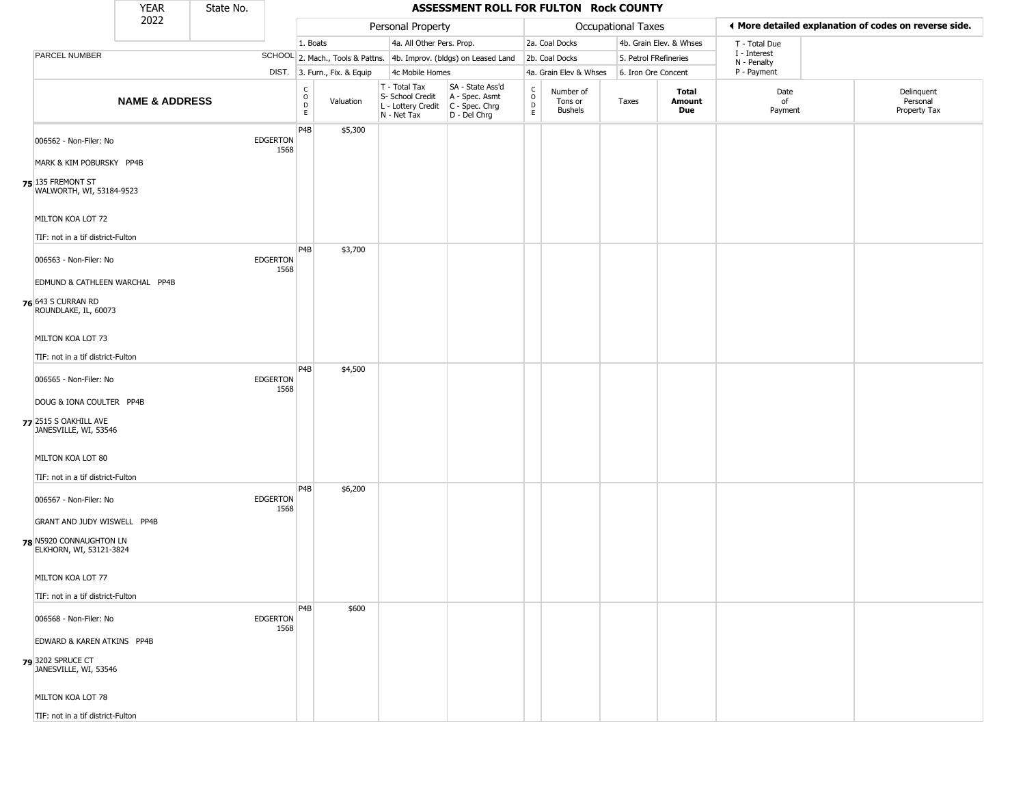|                                                                                                                          | <b>YEAR</b>               | State No. |                         |                                                   |                              |                                                                        | ASSESSMENT ROLL FOR FULTON Rock COUNTY                               |                                                 |                                        |                       |                         |                             |                                                       |
|--------------------------------------------------------------------------------------------------------------------------|---------------------------|-----------|-------------------------|---------------------------------------------------|------------------------------|------------------------------------------------------------------------|----------------------------------------------------------------------|-------------------------------------------------|----------------------------------------|-----------------------|-------------------------|-----------------------------|-------------------------------------------------------|
|                                                                                                                          | 2022                      |           |                         |                                                   |                              | Personal Property                                                      |                                                                      |                                                 |                                        | Occupational Taxes    |                         |                             | ◀ More detailed explanation of codes on reverse side. |
|                                                                                                                          |                           |           |                         | 1. Boats                                          |                              | 4a. All Other Pers. Prop.                                              |                                                                      |                                                 | 2a. Coal Docks                         |                       | 4b. Grain Elev. & Whses | T - Total Due               |                                                       |
| PARCEL NUMBER                                                                                                            |                           |           |                         |                                                   |                              |                                                                        | SCHOOL 2. Mach., Tools & Pattns. 4b. Improv. (bldgs) on Leased Land  |                                                 | 2b. Coal Docks                         | 5. Petrol FRefineries |                         | I - Interest<br>N - Penalty |                                                       |
|                                                                                                                          |                           |           |                         |                                                   | DIST. 3. Furn., Fix. & Equip | 4c Mobile Homes                                                        |                                                                      |                                                 | 4a. Grain Elev & Whses                 | 6. Iron Ore Concent   |                         | P - Payment                 |                                                       |
|                                                                                                                          | <b>NAME &amp; ADDRESS</b> |           |                         | C<br>$\begin{array}{c}\n0 \\ D \\ E\n\end{array}$ | Valuation                    | T - Total Tax<br>S- School Credit<br>L - Lottery Credit<br>N - Net Tax | SA - State Ass'd<br>A - Spec. Asmt<br>C - Spec. Chrg<br>D - Del Chrg | $\begin{array}{c} C \\ O \\ D \\ E \end{array}$ | Number of<br>Tons or<br><b>Bushels</b> | Taxes                 | Total<br>Amount<br>Due  | Date<br>of<br>Payment       | Delinquent<br>Personal<br>Property Tax                |
| 006562 - Non-Filer: No<br>MARK & KIM POBURSKY PP4B<br>75 135 FREMONT ST<br>WALWORTH, WI, 53184-9523<br>MILTON KOA LOT 72 |                           |           | <b>EDGERTON</b><br>1568 | P4B                                               | \$5,300                      |                                                                        |                                                                      |                                                 |                                        |                       |                         |                             |                                                       |
| TIF: not in a tif district-Fulton                                                                                        |                           |           |                         |                                                   |                              |                                                                        |                                                                      |                                                 |                                        |                       |                         |                             |                                                       |
| 006563 - Non-Filer: No<br>EDMUND & CATHLEEN WARCHAL PP4B<br>76 643 S CURRAN RD<br>ROUNDLAKE, IL, 60073                   |                           |           | <b>EDGERTON</b><br>1568 | P <sub>4</sub> B                                  | \$3,700                      |                                                                        |                                                                      |                                                 |                                        |                       |                         |                             |                                                       |
| MILTON KOA LOT 73                                                                                                        |                           |           |                         |                                                   |                              |                                                                        |                                                                      |                                                 |                                        |                       |                         |                             |                                                       |
|                                                                                                                          |                           |           |                         |                                                   |                              |                                                                        |                                                                      |                                                 |                                        |                       |                         |                             |                                                       |
| TIF: not in a tif district-Fulton                                                                                        |                           |           |                         |                                                   |                              |                                                                        |                                                                      |                                                 |                                        |                       |                         |                             |                                                       |
| 006565 - Non-Filer: No<br>DOUG & IONA COULTER PP4B<br>77 2515 S OAKHILL AVE<br>JANESVILLE, WI, 53546                     |                           |           | <b>EDGERTON</b><br>1568 | P4B                                               | \$4,500                      |                                                                        |                                                                      |                                                 |                                        |                       |                         |                             |                                                       |
| MILTON KOA LOT 80<br>TIF: not in a tif district-Fulton                                                                   |                           |           |                         |                                                   |                              |                                                                        |                                                                      |                                                 |                                        |                       |                         |                             |                                                       |
| 006567 - Non-Filer: No                                                                                                   |                           |           | <b>EDGERTON</b><br>1568 | P <sub>4</sub> B                                  | \$6,200                      |                                                                        |                                                                      |                                                 |                                        |                       |                         |                             |                                                       |
| GRANT AND JUDY WISWELL PP4B<br>78 N5920 CONNAUGHTON LN<br>ELKHORN, WI, 53121-3824                                        |                           |           |                         |                                                   |                              |                                                                        |                                                                      |                                                 |                                        |                       |                         |                             |                                                       |
| MILTON KOA LOT 77                                                                                                        |                           |           |                         |                                                   |                              |                                                                        |                                                                      |                                                 |                                        |                       |                         |                             |                                                       |
|                                                                                                                          |                           |           |                         |                                                   |                              |                                                                        |                                                                      |                                                 |                                        |                       |                         |                             |                                                       |
| TIF: not in a tif district-Fulton                                                                                        |                           |           |                         | P4B                                               | \$600                        |                                                                        |                                                                      |                                                 |                                        |                       |                         |                             |                                                       |
| 006568 - Non-Filer: No                                                                                                   |                           |           | <b>EDGERTON</b><br>1568 |                                                   |                              |                                                                        |                                                                      |                                                 |                                        |                       |                         |                             |                                                       |
| EDWARD & KAREN ATKINS PP4B<br>79 3202 SPRUCE CT<br>JANESVILLE, WI, 53546                                                 |                           |           |                         |                                                   |                              |                                                                        |                                                                      |                                                 |                                        |                       |                         |                             |                                                       |
| MILTON KOA LOT 78                                                                                                        |                           |           |                         |                                                   |                              |                                                                        |                                                                      |                                                 |                                        |                       |                         |                             |                                                       |
| TIF: not in a tif district-Fulton                                                                                        |                           |           |                         |                                                   |                              |                                                                        |                                                                      |                                                 |                                        |                       |                         |                             |                                                       |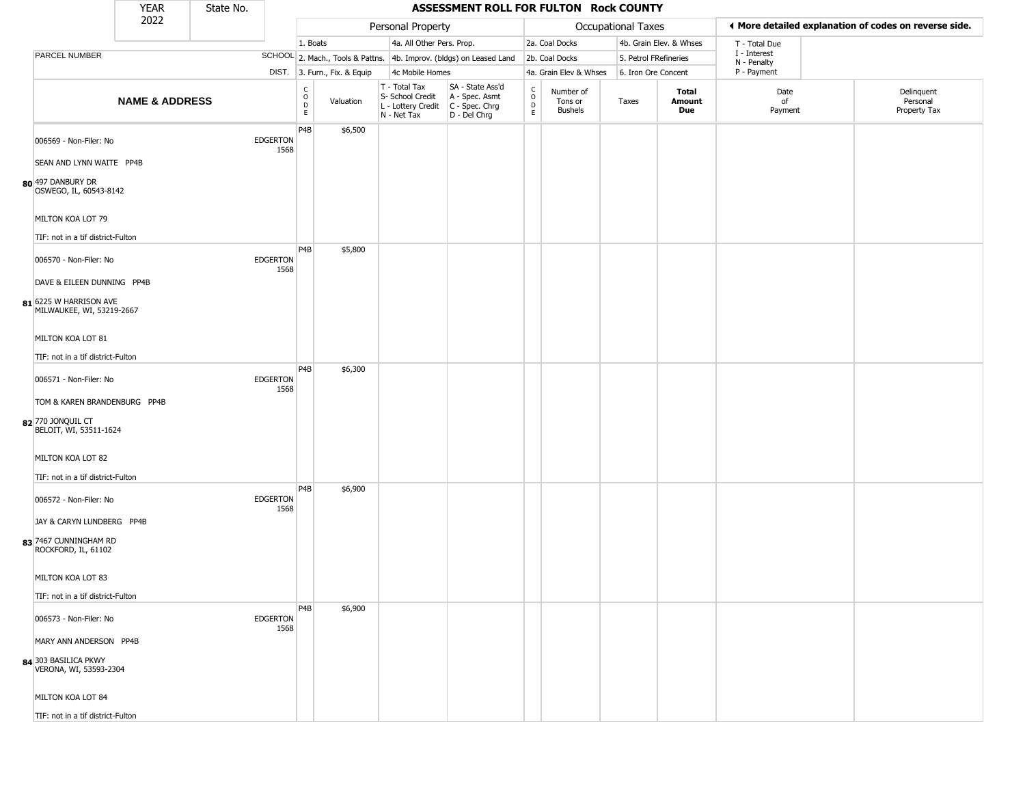|                                                                             | <b>YEAR</b>               | State No. |                         |                        |                              |                                                                        | ASSESSMENT ROLL FOR FULTON Rock COUNTY                               |                                                 |                                 |                       |                         |                             |                                                       |
|-----------------------------------------------------------------------------|---------------------------|-----------|-------------------------|------------------------|------------------------------|------------------------------------------------------------------------|----------------------------------------------------------------------|-------------------------------------------------|---------------------------------|-----------------------|-------------------------|-----------------------------|-------------------------------------------------------|
|                                                                             | 2022                      |           |                         |                        |                              | Personal Property                                                      |                                                                      |                                                 |                                 | Occupational Taxes    |                         |                             | ♦ More detailed explanation of codes on reverse side. |
|                                                                             |                           |           |                         | 1. Boats               |                              | 4a. All Other Pers. Prop.                                              |                                                                      |                                                 | 2a. Coal Docks                  |                       | 4b. Grain Elev. & Whses | T - Total Due               |                                                       |
| PARCEL NUMBER                                                               |                           |           |                         |                        |                              |                                                                        | SCHOOL 2. Mach., Tools & Pattns. 4b. Improv. (bldgs) on Leased Land  |                                                 | 2b. Coal Docks                  | 5. Petrol FRefineries |                         | I - Interest<br>N - Penalty |                                                       |
|                                                                             |                           |           |                         |                        | DIST. 3. Furn., Fix. & Equip | 4c Mobile Homes                                                        |                                                                      |                                                 | 4a. Grain Elev & Whses          | 6. Iron Ore Concent   |                         | P - Payment                 |                                                       |
|                                                                             | <b>NAME &amp; ADDRESS</b> |           |                         | C<br>$\circ$<br>D<br>E | Valuation                    | T - Total Tax<br>S- School Credit<br>L - Lottery Credit<br>N - Net Tax | SA - State Ass'd<br>A - Spec. Asmt<br>C - Spec. Chrg<br>D - Del Chrg | $\begin{array}{c} C \\ C \\ D \\ E \end{array}$ | Number of<br>Tons or<br>Bushels | Taxes                 | Total<br>Amount<br>Due  | Date<br>of<br>Payment       | Delinquent<br>Personal<br>Property Tax                |
| 006569 - Non-Filer: No<br>SEAN AND LYNN WAITE PP4B                          |                           |           | <b>EDGERTON</b><br>1568 | P4B                    | \$6,500                      |                                                                        |                                                                      |                                                 |                                 |                       |                         |                             |                                                       |
| 80 497 DANBURY DR<br>OSWEGO, IL, 60543-8142                                 |                           |           |                         |                        |                              |                                                                        |                                                                      |                                                 |                                 |                       |                         |                             |                                                       |
| MILTON KOA LOT 79<br>TIF: not in a tif district-Fulton                      |                           |           |                         |                        |                              |                                                                        |                                                                      |                                                 |                                 |                       |                         |                             |                                                       |
| 006570 - Non-Filer: No                                                      |                           |           | <b>EDGERTON</b><br>1568 | P4B                    | \$5,800                      |                                                                        |                                                                      |                                                 |                                 |                       |                         |                             |                                                       |
| DAVE & EILEEN DUNNING PP4B<br>81 6225 W HARRISON AVE                        |                           |           |                         |                        |                              |                                                                        |                                                                      |                                                 |                                 |                       |                         |                             |                                                       |
| MILWAUKEE, WI, 53219-2667<br>MILTON KOA LOT 81                              |                           |           |                         |                        |                              |                                                                        |                                                                      |                                                 |                                 |                       |                         |                             |                                                       |
| TIF: not in a tif district-Fulton                                           |                           |           |                         |                        |                              |                                                                        |                                                                      |                                                 |                                 |                       |                         |                             |                                                       |
| 006571 - Non-Filer: No                                                      |                           |           | <b>EDGERTON</b><br>1568 | P <sub>4</sub> B       | \$6,300                      |                                                                        |                                                                      |                                                 |                                 |                       |                         |                             |                                                       |
| TOM & KAREN BRANDENBURG PP4B<br>82 770 JONQUIL CT<br>BELOIT, WI, 53511-1624 |                           |           |                         |                        |                              |                                                                        |                                                                      |                                                 |                                 |                       |                         |                             |                                                       |
| MILTON KOA LOT 82                                                           |                           |           |                         |                        |                              |                                                                        |                                                                      |                                                 |                                 |                       |                         |                             |                                                       |
| TIF: not in a tif district-Fulton                                           |                           |           |                         |                        |                              |                                                                        |                                                                      |                                                 |                                 |                       |                         |                             |                                                       |
| 006572 - Non-Filer: No                                                      |                           |           | <b>EDGERTON</b><br>1568 | P <sub>4</sub> B       | \$6,900                      |                                                                        |                                                                      |                                                 |                                 |                       |                         |                             |                                                       |
| JAY & CARYN LUNDBERG PP4B<br>83 7467 CUNNINGHAM RD<br>ROCKFORD, IL, 61102   |                           |           |                         |                        |                              |                                                                        |                                                                      |                                                 |                                 |                       |                         |                             |                                                       |
| MILTON KOA LOT 83                                                           |                           |           |                         |                        |                              |                                                                        |                                                                      |                                                 |                                 |                       |                         |                             |                                                       |
| TIF: not in a tif district-Fulton                                           |                           |           |                         |                        |                              |                                                                        |                                                                      |                                                 |                                 |                       |                         |                             |                                                       |
| 006573 - Non-Filer: No                                                      |                           |           | <b>EDGERTON</b><br>1568 | P4B                    | \$6,900                      |                                                                        |                                                                      |                                                 |                                 |                       |                         |                             |                                                       |
| MARY ANN ANDERSON PP4B                                                      |                           |           |                         |                        |                              |                                                                        |                                                                      |                                                 |                                 |                       |                         |                             |                                                       |
| 84 303 BASILICA PKWY<br>VERONA, WI, 53593-2304                              |                           |           |                         |                        |                              |                                                                        |                                                                      |                                                 |                                 |                       |                         |                             |                                                       |
| MILTON KOA LOT 84                                                           |                           |           |                         |                        |                              |                                                                        |                                                                      |                                                 |                                 |                       |                         |                             |                                                       |
| TIF: not in a tif district-Fulton                                           |                           |           |                         |                        |                              |                                                                        |                                                                      |                                                 |                                 |                       |                         |                             |                                                       |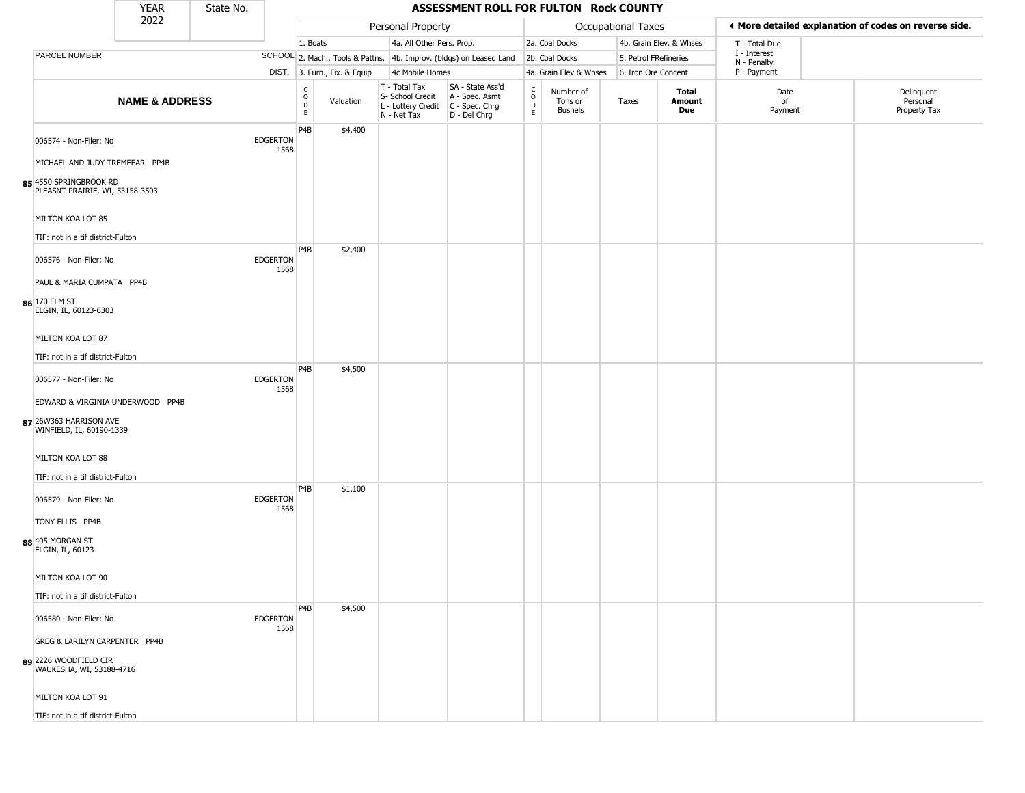|                                                                                                                       | <b>YEAR</b>               | State No. |                         |                                      |                              |                                                                        | ASSESSMENT ROLL FOR FULTON Rock COUNTY                               |                                                |                                        |                       |                               |                             |                                                       |
|-----------------------------------------------------------------------------------------------------------------------|---------------------------|-----------|-------------------------|--------------------------------------|------------------------------|------------------------------------------------------------------------|----------------------------------------------------------------------|------------------------------------------------|----------------------------------------|-----------------------|-------------------------------|-----------------------------|-------------------------------------------------------|
|                                                                                                                       | 2022                      |           |                         |                                      |                              | Personal Property                                                      |                                                                      |                                                |                                        | Occupational Taxes    |                               |                             | ◀ More detailed explanation of codes on reverse side. |
|                                                                                                                       |                           |           |                         | 1. Boats                             |                              | 4a. All Other Pers. Prop.                                              |                                                                      |                                                | 2a. Coal Docks                         |                       | 4b. Grain Elev. & Whses       | T - Total Due               |                                                       |
| PARCEL NUMBER                                                                                                         |                           |           |                         |                                      |                              |                                                                        | SCHOOL 2. Mach., Tools & Pattns. 4b. Improv. (bldgs) on Leased Land  |                                                | 2b. Coal Docks                         | 5. Petrol FRefineries |                               | I - Interest<br>N - Penalty |                                                       |
|                                                                                                                       |                           |           |                         |                                      | DIST. 3. Furn., Fix. & Equip | 4c Mobile Homes                                                        |                                                                      |                                                | 4a. Grain Elev & Whses                 | 6. Iron Ore Concent   |                               | P - Payment                 |                                                       |
|                                                                                                                       | <b>NAME &amp; ADDRESS</b> |           |                         | C<br>$\mathsf O$<br>D<br>$\mathsf E$ | Valuation                    | T - Total Tax<br>S- School Credit<br>L - Lottery Credit<br>N - Net Tax | SA - State Ass'd<br>A - Spec. Asmt<br>C - Spec. Chrg<br>D - Del Chrg | $\begin{matrix} 0 \\ 0 \\ D \end{matrix}$<br>E | Number of<br>Tons or<br><b>Bushels</b> | Taxes                 | <b>Total</b><br>Amount<br>Due | Date<br>of<br>Payment       | Delinquent<br>Personal<br>Property Tax                |
| 006574 - Non-Filer: No<br>MICHAEL AND JUDY TREMEEAR PP4B<br>85 4550 SPRINGBROOK RD<br>PLEASNT PRAIRIE, WI, 53158-3503 |                           |           | <b>EDGERTON</b><br>1568 | P4B                                  | \$4,400                      |                                                                        |                                                                      |                                                |                                        |                       |                               |                             |                                                       |
| MILTON KOA LOT 85<br>TIF: not in a tif district-Fulton                                                                |                           |           |                         |                                      |                              |                                                                        |                                                                      |                                                |                                        |                       |                               |                             |                                                       |
| 006576 - Non-Filer: No<br>PAUL & MARIA CUMPATA PP4B<br>86 170 ELM ST                                                  |                           |           | <b>EDGERTON</b><br>1568 | P4B                                  | \$2,400                      |                                                                        |                                                                      |                                                |                                        |                       |                               |                             |                                                       |
| ELGIN, IL, 60123-6303<br>MILTON KOA LOT 87<br>TIF: not in a tif district-Fulton                                       |                           |           |                         |                                      |                              |                                                                        |                                                                      |                                                |                                        |                       |                               |                             |                                                       |
| 006577 - Non-Filer: No<br>EDWARD & VIRGINIA UNDERWOOD PP4B                                                            |                           |           | <b>EDGERTON</b><br>1568 | P <sub>4</sub> B                     | \$4,500                      |                                                                        |                                                                      |                                                |                                        |                       |                               |                             |                                                       |
| 87 26W363 HARRISON AVE<br>WINFIELD, IL, 60190-1339<br>MILTON KOA LOT 88                                               |                           |           |                         |                                      |                              |                                                                        |                                                                      |                                                |                                        |                       |                               |                             |                                                       |
|                                                                                                                       |                           |           |                         |                                      |                              |                                                                        |                                                                      |                                                |                                        |                       |                               |                             |                                                       |
| TIF: not in a tif district-Fulton<br>006579 - Non-Filer: No                                                           |                           |           | <b>EDGERTON</b><br>1568 | P4B                                  | \$1,100                      |                                                                        |                                                                      |                                                |                                        |                       |                               |                             |                                                       |
| TONY ELLIS PP4B<br>88 405 MORGAN ST<br>ELGIN, IL, 60123                                                               |                           |           |                         |                                      |                              |                                                                        |                                                                      |                                                |                                        |                       |                               |                             |                                                       |
| MILTON KOA LOT 90                                                                                                     |                           |           |                         |                                      |                              |                                                                        |                                                                      |                                                |                                        |                       |                               |                             |                                                       |
| TIF: not in a tif district-Fulton                                                                                     |                           |           |                         |                                      |                              |                                                                        |                                                                      |                                                |                                        |                       |                               |                             |                                                       |
| 006580 - Non-Filer: No                                                                                                |                           |           | <b>EDGERTON</b><br>1568 | P4B                                  | \$4,500                      |                                                                        |                                                                      |                                                |                                        |                       |                               |                             |                                                       |
| GREG & LARILYN CARPENTER PP4B                                                                                         |                           |           |                         |                                      |                              |                                                                        |                                                                      |                                                |                                        |                       |                               |                             |                                                       |
| 89 2226 WOODFIELD CIR<br>WAUKESHA, WI, 53188-4716                                                                     |                           |           |                         |                                      |                              |                                                                        |                                                                      |                                                |                                        |                       |                               |                             |                                                       |
| MILTON KOA LOT 91                                                                                                     |                           |           |                         |                                      |                              |                                                                        |                                                                      |                                                |                                        |                       |                               |                             |                                                       |
| TIF: not in a tif district-Fulton                                                                                     |                           |           |                         |                                      |                              |                                                                        |                                                                      |                                                |                                        |                       |                               |                             |                                                       |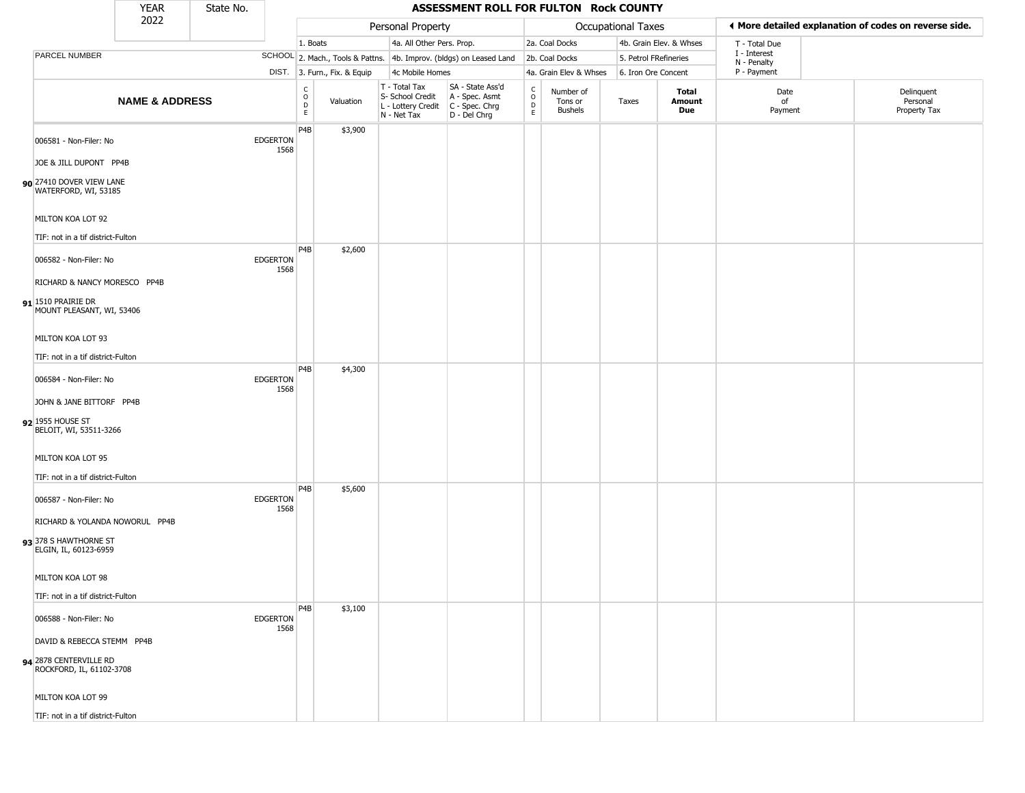|                                                                                 | <b>YEAR</b>                    | State No. |                         |                                                          |                              |                                                                                       | ASSESSMENT ROLL FOR FULTON Rock COUNTY                              |                        |                                        |                           |                         |                             |                                                       |
|---------------------------------------------------------------------------------|--------------------------------|-----------|-------------------------|----------------------------------------------------------|------------------------------|---------------------------------------------------------------------------------------|---------------------------------------------------------------------|------------------------|----------------------------------------|---------------------------|-------------------------|-----------------------------|-------------------------------------------------------|
|                                                                                 | 2022                           |           |                         |                                                          |                              | Personal Property                                                                     |                                                                     |                        |                                        | <b>Occupational Taxes</b> |                         |                             | ◀ More detailed explanation of codes on reverse side. |
|                                                                                 |                                |           |                         | 1. Boats                                                 |                              | 4a. All Other Pers. Prop.                                                             |                                                                     |                        | 2a. Coal Docks                         |                           | 4b. Grain Elev. & Whses | T - Total Due               |                                                       |
| PARCEL NUMBER                                                                   |                                |           |                         |                                                          |                              |                                                                                       | SCHOOL 2. Mach., Tools & Pattns. 4b. Improv. (bldgs) on Leased Land |                        | 2b. Coal Docks                         | 5. Petrol FRefineries     |                         | I - Interest<br>N - Penalty |                                                       |
|                                                                                 |                                |           |                         |                                                          | DIST. 3. Furn., Fix. & Equip | 4c Mobile Homes                                                                       |                                                                     |                        | 4a. Grain Elev & Whses                 | 6. Iron Ore Concent       |                         | P - Payment                 |                                                       |
|                                                                                 | <b>NAME &amp; ADDRESS</b>      |           |                         | $\begin{matrix} 0 \\ 0 \\ D \end{matrix}$<br>$\mathsf E$ | Valuation                    | T - Total Tax<br>S- School Credit<br>L - Lottery Credit C - Spec. Chrg<br>N - Net Tax | SA - State Ass'd<br>A - Spec. Asmt<br>D - Del Chrg                  | C<br>$\circ$<br>D<br>E | Number of<br>Tons or<br><b>Bushels</b> | Taxes                     | Total<br>Amount<br>Due  | Date<br>of<br>Payment       | Delinquent<br>Personal<br>Property Tax                |
| 006581 - Non-Filer: No<br>JOE & JILL DUPONT PP4B                                |                                |           | <b>EDGERTON</b><br>1568 | P4B                                                      | \$3,900                      |                                                                                       |                                                                     |                        |                                        |                           |                         |                             |                                                       |
| 90 27410 DOVER VIEW LANE<br>WATERFORD, WI, 53185                                |                                |           |                         |                                                          |                              |                                                                                       |                                                                     |                        |                                        |                           |                         |                             |                                                       |
| MILTON KOA LOT 92<br>TIF: not in a tif district-Fulton                          |                                |           |                         |                                                          |                              |                                                                                       |                                                                     |                        |                                        |                           |                         |                             |                                                       |
| 006582 - Non-Filer: No                                                          |                                |           | <b>EDGERTON</b><br>1568 | P4B                                                      | \$2,600                      |                                                                                       |                                                                     |                        |                                        |                           |                         |                             |                                                       |
| RICHARD & NANCY MORESCO PP4B<br>91 1510 PRAIRIE DR<br>MOUNT PLEASANT, WI, 53406 |                                |           |                         |                                                          |                              |                                                                                       |                                                                     |                        |                                        |                           |                         |                             |                                                       |
| MILTON KOA LOT 93                                                               |                                |           |                         |                                                          |                              |                                                                                       |                                                                     |                        |                                        |                           |                         |                             |                                                       |
| TIF: not in a tif district-Fulton                                               |                                |           |                         | P <sub>4</sub> B                                         | \$4,300                      |                                                                                       |                                                                     |                        |                                        |                           |                         |                             |                                                       |
| 006584 - Non-Filer: No                                                          |                                |           | <b>EDGERTON</b><br>1568 |                                                          |                              |                                                                                       |                                                                     |                        |                                        |                           |                         |                             |                                                       |
| JOHN & JANE BITTORF PP4B<br>92 1955 HOUSE ST<br>BELOIT, WI, 53511-3266          |                                |           |                         |                                                          |                              |                                                                                       |                                                                     |                        |                                        |                           |                         |                             |                                                       |
| MILTON KOA LOT 95                                                               |                                |           |                         |                                                          |                              |                                                                                       |                                                                     |                        |                                        |                           |                         |                             |                                                       |
| TIF: not in a tif district-Fulton<br>006587 - Non-Filer: No                     |                                |           | <b>EDGERTON</b><br>1568 | P4B                                                      | \$5,600                      |                                                                                       |                                                                     |                        |                                        |                           |                         |                             |                                                       |
| 93 378 S HAWTHORNE ST<br>ELGIN, IL, 60123-6959                                  | RICHARD & YOLANDA NOWORUL PP4B |           |                         |                                                          |                              |                                                                                       |                                                                     |                        |                                        |                           |                         |                             |                                                       |
| MILTON KOA LOT 98                                                               |                                |           |                         |                                                          |                              |                                                                                       |                                                                     |                        |                                        |                           |                         |                             |                                                       |
| TIF: not in a tif district-Fulton                                               |                                |           |                         |                                                          |                              |                                                                                       |                                                                     |                        |                                        |                           |                         |                             |                                                       |
| 006588 - Non-Filer: No                                                          |                                |           | <b>EDGERTON</b><br>1568 | P4B                                                      | \$3,100                      |                                                                                       |                                                                     |                        |                                        |                           |                         |                             |                                                       |
| DAVID & REBECCA STEMM PP4B                                                      |                                |           |                         |                                                          |                              |                                                                                       |                                                                     |                        |                                        |                           |                         |                             |                                                       |
| 94 2878 CENTERVILLE RD<br>ROCKFORD, IL, 61102-3708                              |                                |           |                         |                                                          |                              |                                                                                       |                                                                     |                        |                                        |                           |                         |                             |                                                       |
| MILTON KOA LOT 99                                                               |                                |           |                         |                                                          |                              |                                                                                       |                                                                     |                        |                                        |                           |                         |                             |                                                       |
| TIF: not in a tif district-Fulton                                               |                                |           |                         |                                                          |                              |                                                                                       |                                                                     |                        |                                        |                           |                         |                             |                                                       |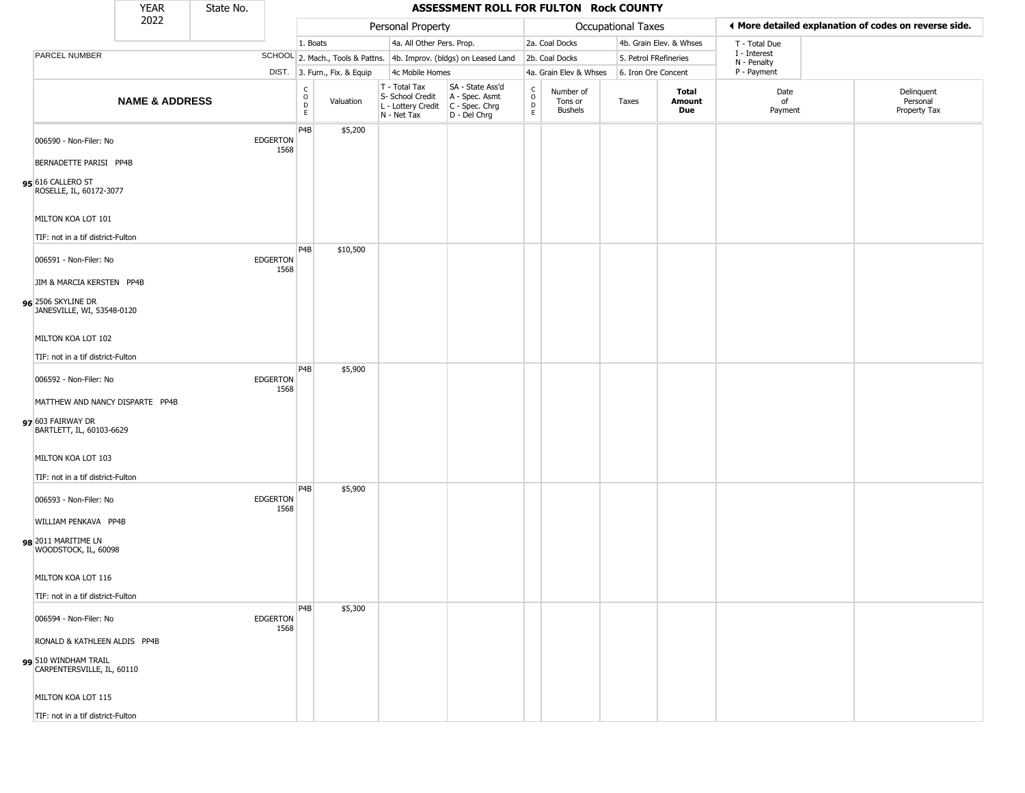|                                                    | <b>YEAR</b>               | State No. |                         |                                                              |                              |                                                                                         | ASSESSMENT ROLL FOR FULTON Rock COUNTY                              |                                   |                                 |                           |                         |                             |                                                       |
|----------------------------------------------------|---------------------------|-----------|-------------------------|--------------------------------------------------------------|------------------------------|-----------------------------------------------------------------------------------------|---------------------------------------------------------------------|-----------------------------------|---------------------------------|---------------------------|-------------------------|-----------------------------|-------------------------------------------------------|
|                                                    | 2022                      |           |                         |                                                              |                              | Personal Property                                                                       |                                                                     |                                   |                                 | <b>Occupational Taxes</b> |                         |                             | ◀ More detailed explanation of codes on reverse side. |
|                                                    |                           |           |                         | 1. Boats                                                     |                              | 4a. All Other Pers. Prop.                                                               |                                                                     |                                   | 2a. Coal Docks                  |                           | 4b. Grain Elev. & Whses | T - Total Due               |                                                       |
| PARCEL NUMBER                                      |                           |           |                         |                                                              |                              |                                                                                         | SCHOOL 2. Mach., Tools & Pattns. 4b. Improv. (bldgs) on Leased Land |                                   | 2b. Coal Docks                  | 5. Petrol FRefineries     |                         | I - Interest<br>N - Penalty |                                                       |
|                                                    |                           |           |                         |                                                              | DIST. 3. Furn., Fix. & Equip | 4c Mobile Homes                                                                         |                                                                     |                                   | 4a. Grain Elev & Whses          | 6. Iron Ore Concent       |                         | P - Payment                 |                                                       |
|                                                    | <b>NAME &amp; ADDRESS</b> |           |                         | $\mathsf{C}$<br>$\begin{array}{c}\n0 \\ D \\ E\n\end{array}$ | Valuation                    | T - Total Tax<br>S- School Credit<br>L - Lottery Credit   C - Spec. Chrg<br>N - Net Tax | SA - State Ass'd<br>A - Spec. Asmt<br>D - Del Chrg                  | $\frac{c}{0}$<br>$\mathsf D$<br>E | Number of<br>Tons or<br>Bushels | Taxes                     | Total<br>Amount<br>Due  | Date<br>of<br>Payment       | Delinquent<br>Personal<br>Property Tax                |
| 006590 - Non-Filer: No                             |                           |           | <b>EDGERTON</b><br>1568 | P4B                                                          | \$5,200                      |                                                                                         |                                                                     |                                   |                                 |                           |                         |                             |                                                       |
| BERNADETTE PARISI PP4B                             |                           |           |                         |                                                              |                              |                                                                                         |                                                                     |                                   |                                 |                           |                         |                             |                                                       |
| 95 616 CALLERO ST<br>ROSELLE, IL, 60172-3077       |                           |           |                         |                                                              |                              |                                                                                         |                                                                     |                                   |                                 |                           |                         |                             |                                                       |
| MILTON KOA LOT 101                                 |                           |           |                         |                                                              |                              |                                                                                         |                                                                     |                                   |                                 |                           |                         |                             |                                                       |
| TIF: not in a tif district-Fulton                  |                           |           |                         | P <sub>4</sub> B                                             | \$10,500                     |                                                                                         |                                                                     |                                   |                                 |                           |                         |                             |                                                       |
| 006591 - Non-Filer: No                             |                           |           | <b>EDGERTON</b><br>1568 |                                                              |                              |                                                                                         |                                                                     |                                   |                                 |                           |                         |                             |                                                       |
| JIM & MARCIA KERSTEN PP4B                          |                           |           |                         |                                                              |                              |                                                                                         |                                                                     |                                   |                                 |                           |                         |                             |                                                       |
| 96 2506 SKYLINE DR<br>JANESVILLE, WI, 53548-0120   |                           |           |                         |                                                              |                              |                                                                                         |                                                                     |                                   |                                 |                           |                         |                             |                                                       |
| MILTON KOA LOT 102                                 |                           |           |                         |                                                              |                              |                                                                                         |                                                                     |                                   |                                 |                           |                         |                             |                                                       |
| TIF: not in a tif district-Fulton                  |                           |           |                         |                                                              |                              |                                                                                         |                                                                     |                                   |                                 |                           |                         |                             |                                                       |
| 006592 - Non-Filer: No                             |                           |           | <b>EDGERTON</b><br>1568 | P4B                                                          | \$5,900                      |                                                                                         |                                                                     |                                   |                                 |                           |                         |                             |                                                       |
| MATTHEW AND NANCY DISPARTE PP4B                    |                           |           |                         |                                                              |                              |                                                                                         |                                                                     |                                   |                                 |                           |                         |                             |                                                       |
| 97 603 FAIRWAY DR<br>BARTLETT, IL, 60103-6629      |                           |           |                         |                                                              |                              |                                                                                         |                                                                     |                                   |                                 |                           |                         |                             |                                                       |
| MILTON KOA LOT 103                                 |                           |           |                         |                                                              |                              |                                                                                         |                                                                     |                                   |                                 |                           |                         |                             |                                                       |
| TIF: not in a tif district-Fulton                  |                           |           |                         |                                                              |                              |                                                                                         |                                                                     |                                   |                                 |                           |                         |                             |                                                       |
| 006593 - Non-Filer: No                             |                           |           | <b>EDGERTON</b><br>1568 | P <sub>4</sub> B                                             | \$5,900                      |                                                                                         |                                                                     |                                   |                                 |                           |                         |                             |                                                       |
| WILLIAM PENKAVA PP4B                               |                           |           |                         |                                                              |                              |                                                                                         |                                                                     |                                   |                                 |                           |                         |                             |                                                       |
| 98 2011 MARITIME LN<br>WOODSTOCK, IL, 60098        |                           |           |                         |                                                              |                              |                                                                                         |                                                                     |                                   |                                 |                           |                         |                             |                                                       |
| MILTON KOA LOT 116                                 |                           |           |                         |                                                              |                              |                                                                                         |                                                                     |                                   |                                 |                           |                         |                             |                                                       |
| TIF: not in a tif district-Fulton                  |                           |           |                         |                                                              |                              |                                                                                         |                                                                     |                                   |                                 |                           |                         |                             |                                                       |
| 006594 - Non-Filer: No                             |                           |           | <b>EDGERTON</b><br>1568 | P <sub>4</sub> B                                             | \$5,300                      |                                                                                         |                                                                     |                                   |                                 |                           |                         |                             |                                                       |
| RONALD & KATHLEEN ALDIS PP4B                       |                           |           |                         |                                                              |                              |                                                                                         |                                                                     |                                   |                                 |                           |                         |                             |                                                       |
| 99 510 WINDHAM TRAIL<br>CARPENTERSVILLE, IL, 60110 |                           |           |                         |                                                              |                              |                                                                                         |                                                                     |                                   |                                 |                           |                         |                             |                                                       |
| MILTON KOA LOT 115                                 |                           |           |                         |                                                              |                              |                                                                                         |                                                                     |                                   |                                 |                           |                         |                             |                                                       |
| TIF: not in a tif district-Fulton                  |                           |           |                         |                                                              |                              |                                                                                         |                                                                     |                                   |                                 |                           |                         |                             |                                                       |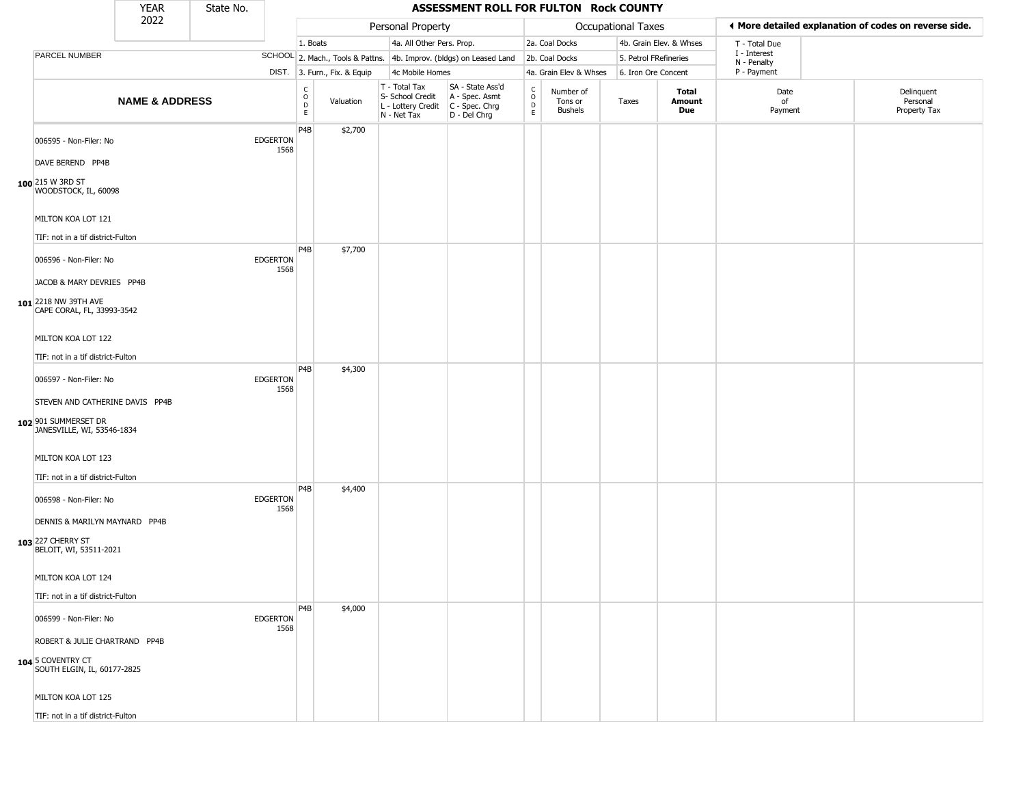|                                                                                                           | <b>YEAR</b>               | State No. |                         |                                                          |                              |                                                                        | ASSESSMENT ROLL FOR FULTON Rock COUNTY                               |                                                |                                 |                           |                         |                             |                                                       |
|-----------------------------------------------------------------------------------------------------------|---------------------------|-----------|-------------------------|----------------------------------------------------------|------------------------------|------------------------------------------------------------------------|----------------------------------------------------------------------|------------------------------------------------|---------------------------------|---------------------------|-------------------------|-----------------------------|-------------------------------------------------------|
|                                                                                                           | 2022                      |           |                         |                                                          |                              | Personal Property                                                      |                                                                      |                                                |                                 | <b>Occupational Taxes</b> |                         |                             | ◀ More detailed explanation of codes on reverse side. |
|                                                                                                           |                           |           |                         | 1. Boats                                                 |                              | 4a. All Other Pers. Prop.                                              |                                                                      |                                                | 2a. Coal Docks                  |                           | 4b. Grain Elev. & Whses | T - Total Due               |                                                       |
| PARCEL NUMBER                                                                                             |                           |           |                         |                                                          |                              |                                                                        | SCHOOL 2. Mach., Tools & Pattns. 4b. Improv. (bldgs) on Leased Land  |                                                | 2b. Coal Docks                  | 5. Petrol FRefineries     |                         | I - Interest<br>N - Penalty |                                                       |
|                                                                                                           |                           |           |                         |                                                          | DIST. 3. Furn., Fix. & Equip | 4c Mobile Homes                                                        |                                                                      |                                                | 4a. Grain Elev & Whses          | 6. Iron Ore Concent       |                         | P - Payment                 |                                                       |
|                                                                                                           | <b>NAME &amp; ADDRESS</b> |           |                         | $\begin{matrix} 0 \\ 0 \\ D \end{matrix}$<br>$\mathsf E$ | Valuation                    | T - Total Tax<br>S- School Credit<br>L - Lottery Credit<br>N - Net Tax | SA - State Ass'd<br>A - Spec. Asmt<br>C - Spec. Chrg<br>D - Del Chrg | $\frac{C}{O}$<br>$\overline{D}$<br>$\mathsf E$ | Number of<br>Tons or<br>Bushels | Taxes                     | Total<br>Amount<br>Due  | Date<br>of<br>Payment       | Delinquent<br>Personal<br>Property Tax                |
| 006595 - Non-Filer: No<br>DAVE BEREND PP4B<br>100 215 W 3RD ST<br>WOODSTOCK, IL, 60098                    |                           |           | <b>EDGERTON</b><br>1568 | P4B                                                      | \$2,700                      |                                                                        |                                                                      |                                                |                                 |                           |                         |                             |                                                       |
| MILTON KOA LOT 121<br>TIF: not in a tif district-Fulton                                                   |                           |           |                         |                                                          |                              |                                                                        |                                                                      |                                                |                                 |                           |                         |                             |                                                       |
| 006596 - Non-Filer: No<br>JACOB & MARY DEVRIES PP4B<br>101 2218 NW 39TH AVE<br>CAPE CORAL, FL, 33993-3542 |                           |           | <b>EDGERTON</b><br>1568 | P <sub>4</sub> B                                         | \$7,700                      |                                                                        |                                                                      |                                                |                                 |                           |                         |                             |                                                       |
| MILTON KOA LOT 122<br>TIF: not in a tif district-Fulton                                                   |                           |           |                         |                                                          |                              |                                                                        |                                                                      |                                                |                                 |                           |                         |                             |                                                       |
| 006597 - Non-Filer: No<br>STEVEN AND CATHERINE DAVIS PP4B                                                 |                           |           | <b>EDGERTON</b><br>1568 | P <sub>4</sub> B                                         | \$4,300                      |                                                                        |                                                                      |                                                |                                 |                           |                         |                             |                                                       |
| 102 901 SUMMERSET DR<br>JANESVILLE, WI, 53546-1834                                                        |                           |           |                         |                                                          |                              |                                                                        |                                                                      |                                                |                                 |                           |                         |                             |                                                       |
| MILTON KOA LOT 123<br>TIF: not in a tif district-Fulton                                                   |                           |           |                         |                                                          |                              |                                                                        |                                                                      |                                                |                                 |                           |                         |                             |                                                       |
| 006598 - Non-Filer: No                                                                                    |                           |           | <b>EDGERTON</b><br>1568 | P <sub>4</sub> B                                         | \$4,400                      |                                                                        |                                                                      |                                                |                                 |                           |                         |                             |                                                       |
| DENNIS & MARILYN MAYNARD PP4B<br>103 227 CHERRY ST<br>BELOIT, WI, 53511-2021                              |                           |           |                         |                                                          |                              |                                                                        |                                                                      |                                                |                                 |                           |                         |                             |                                                       |
| MILTON KOA LOT 124<br>TIF: not in a tif district-Fulton                                                   |                           |           |                         |                                                          |                              |                                                                        |                                                                      |                                                |                                 |                           |                         |                             |                                                       |
| 006599 - Non-Filer: No                                                                                    |                           |           | <b>EDGERTON</b><br>1568 | P4B                                                      | \$4,000                      |                                                                        |                                                                      |                                                |                                 |                           |                         |                             |                                                       |
| ROBERT & JULIE CHARTRAND PP4B<br>104 5 COVENTRY CT<br>SOUTH ELGIN, IL, 60177-2825                         |                           |           |                         |                                                          |                              |                                                                        |                                                                      |                                                |                                 |                           |                         |                             |                                                       |
| MILTON KOA LOT 125                                                                                        |                           |           |                         |                                                          |                              |                                                                        |                                                                      |                                                |                                 |                           |                         |                             |                                                       |
| TIF: not in a tif district-Fulton                                                                         |                           |           |                         |                                                          |                              |                                                                        |                                                                      |                                                |                                 |                           |                         |                             |                                                       |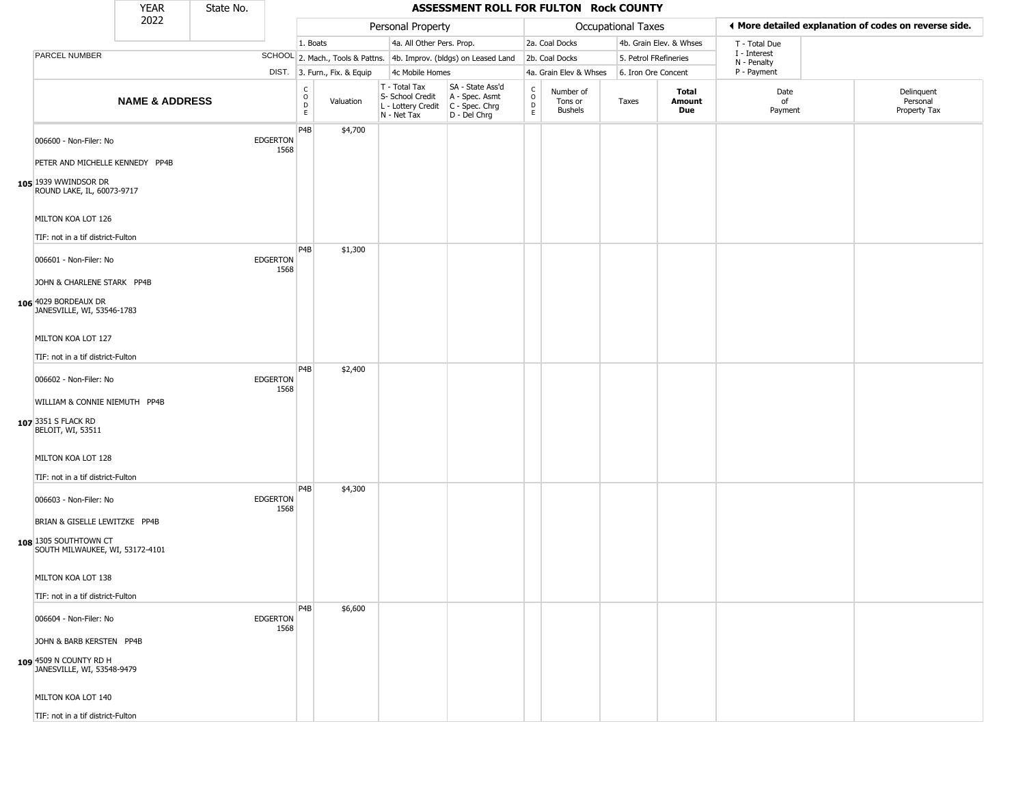|                                                                                           | <b>YEAR</b><br>ASSESSMENT ROLL FOR FULTON Rock COUNTY<br>State No. |  |                         |                                    |                              |                                                                        |                                                                      |                                |                                        |                       |                         |                             |                                                       |
|-------------------------------------------------------------------------------------------|--------------------------------------------------------------------|--|-------------------------|------------------------------------|------------------------------|------------------------------------------------------------------------|----------------------------------------------------------------------|--------------------------------|----------------------------------------|-----------------------|-------------------------|-----------------------------|-------------------------------------------------------|
|                                                                                           | 2022                                                               |  |                         |                                    |                              | Personal Property                                                      |                                                                      |                                |                                        | Occupational Taxes    |                         |                             | ◀ More detailed explanation of codes on reverse side. |
|                                                                                           |                                                                    |  |                         | 1. Boats                           |                              | 4a. All Other Pers. Prop.                                              |                                                                      |                                | 2a. Coal Docks                         |                       | 4b. Grain Elev. & Whses | T - Total Due               |                                                       |
| <b>PARCEL NUMBER</b>                                                                      |                                                                    |  |                         |                                    |                              |                                                                        | SCHOOL 2. Mach., Tools & Pattns. 4b. Improv. (bldgs) on Leased Land  |                                | 2b. Coal Docks                         | 5. Petrol FRefineries |                         | I - Interest<br>N - Penalty |                                                       |
|                                                                                           |                                                                    |  |                         |                                    | DIST. 3. Furn., Fix. & Equip | 4c Mobile Homes                                                        |                                                                      |                                | 4a. Grain Elev & Whses                 | 6. Iron Ore Concent   |                         | P - Payment                 |                                                       |
|                                                                                           | <b>NAME &amp; ADDRESS</b>                                          |  |                         | $\frac{c}{0}$<br>$\mathsf{D}$<br>E | Valuation                    | T - Total Tax<br>S- School Credit<br>L - Lottery Credit<br>N - Net Tax | SA - State Ass'd<br>A - Spec. Asmt<br>C - Spec. Chrg<br>D - Del Chrg | $\rm _o^c$<br>D<br>$\mathsf E$ | Number of<br>Tons or<br><b>Bushels</b> | Taxes                 | Total<br>Amount<br>Due  | Date<br>of<br>Payment       | Delinquent<br>Personal<br>Property Tax                |
| 006600 - Non-Filer: No<br>PETER AND MICHELLE KENNEDY PP4B                                 |                                                                    |  | <b>EDGERTON</b><br>1568 | P <sub>4</sub> B                   | \$4,700                      |                                                                        |                                                                      |                                |                                        |                       |                         |                             |                                                       |
| 105 1939 WWINDSOR DR<br>ROUND LAKE, IL, 60073-9717                                        |                                                                    |  |                         |                                    |                              |                                                                        |                                                                      |                                |                                        |                       |                         |                             |                                                       |
| MILTON KOA LOT 126<br>TIF: not in a tif district-Fulton                                   |                                                                    |  |                         |                                    |                              |                                                                        |                                                                      |                                |                                        |                       |                         |                             |                                                       |
| 006601 - Non-Filer: No                                                                    |                                                                    |  | <b>EDGERTON</b><br>1568 | P4B                                | \$1,300                      |                                                                        |                                                                      |                                |                                        |                       |                         |                             |                                                       |
| JOHN & CHARLENE STARK PP4B<br>106 4029 BORDEAUX DR<br>JANESVILLE, WI, 53546-1783          |                                                                    |  |                         |                                    |                              |                                                                        |                                                                      |                                |                                        |                       |                         |                             |                                                       |
| MILTON KOA LOT 127<br>TIF: not in a tif district-Fulton                                   |                                                                    |  |                         |                                    |                              |                                                                        |                                                                      |                                |                                        |                       |                         |                             |                                                       |
| 006602 - Non-Filer: No                                                                    |                                                                    |  | <b>EDGERTON</b><br>1568 | P <sub>4</sub> B                   | \$2,400                      |                                                                        |                                                                      |                                |                                        |                       |                         |                             |                                                       |
| WILLIAM & CONNIE NIEMUTH PP4B<br>107 3351 S FLACK RD<br>BELOIT, WI, 53511                 |                                                                    |  |                         |                                    |                              |                                                                        |                                                                      |                                |                                        |                       |                         |                             |                                                       |
| MILTON KOA LOT 128<br>TIF: not in a tif district-Fulton                                   |                                                                    |  |                         |                                    |                              |                                                                        |                                                                      |                                |                                        |                       |                         |                             |                                                       |
| 006603 - Non-Filer: No                                                                    |                                                                    |  | <b>EDGERTON</b><br>1568 | P <sub>4</sub> B                   | \$4,300                      |                                                                        |                                                                      |                                |                                        |                       |                         |                             |                                                       |
| BRIAN & GISELLE LEWITZKE PP4B<br>108 1305 SOUTHTOWN CT<br>SOUTH MILWAUKEE, WI, 53172-4101 |                                                                    |  |                         |                                    |                              |                                                                        |                                                                      |                                |                                        |                       |                         |                             |                                                       |
| MILTON KOA LOT 138                                                                        |                                                                    |  |                         |                                    |                              |                                                                        |                                                                      |                                |                                        |                       |                         |                             |                                                       |
| TIF: not in a tif district-Fulton                                                         |                                                                    |  |                         |                                    |                              |                                                                        |                                                                      |                                |                                        |                       |                         |                             |                                                       |
| 006604 - Non-Filer: No                                                                    |                                                                    |  | <b>EDGERTON</b><br>1568 | P4B                                | \$6,600                      |                                                                        |                                                                      |                                |                                        |                       |                         |                             |                                                       |
| JOHN & BARB KERSTEN PP4B<br>109 4509 N COUNTY RD H                                        |                                                                    |  |                         |                                    |                              |                                                                        |                                                                      |                                |                                        |                       |                         |                             |                                                       |
| JANESVILLE, WI, 53548-9479                                                                |                                                                    |  |                         |                                    |                              |                                                                        |                                                                      |                                |                                        |                       |                         |                             |                                                       |
| MILTON KOA LOT 140                                                                        |                                                                    |  |                         |                                    |                              |                                                                        |                                                                      |                                |                                        |                       |                         |                             |                                                       |
| TIF: not in a tif district-Fulton                                                         |                                                                    |  |                         |                                    |                              |                                                                        |                                                                      |                                |                                        |                       |                         |                             |                                                       |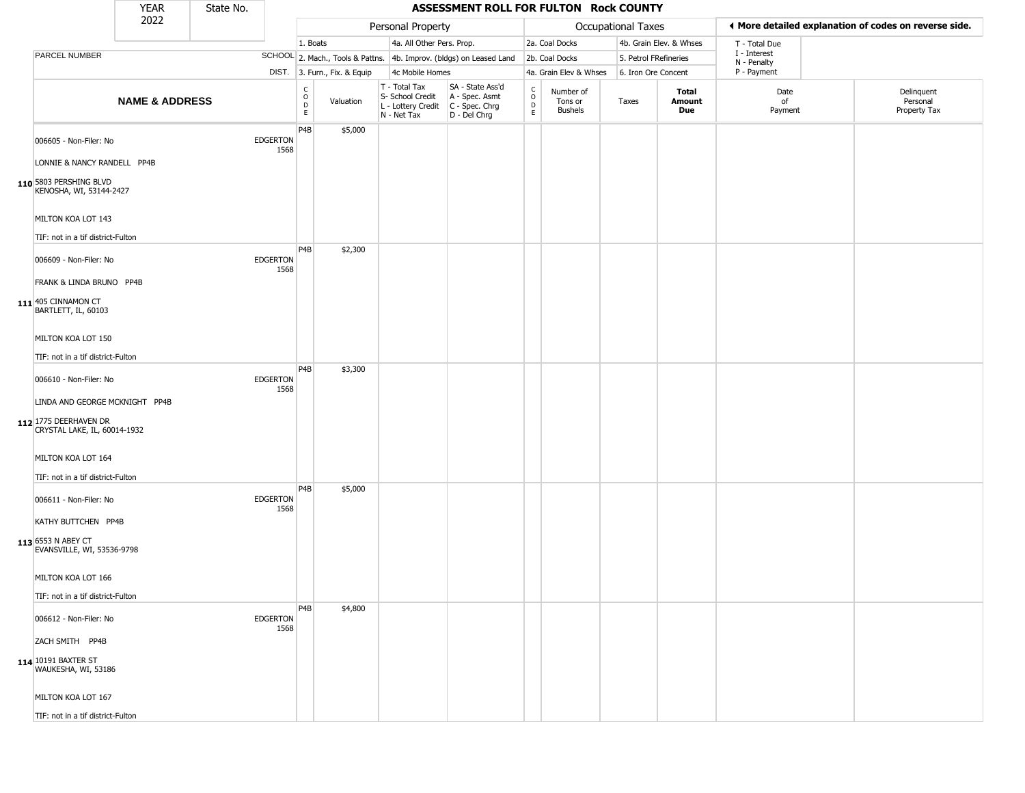|                                                                                                                                  | <b>YEAR</b>               | State No. |                         |                                            |                              |                                                                                         | ASSESSMENT ROLL FOR FULTON Rock COUNTY                              |                    |                                 |                       |                         |                             |                                                       |
|----------------------------------------------------------------------------------------------------------------------------------|---------------------------|-----------|-------------------------|--------------------------------------------|------------------------------|-----------------------------------------------------------------------------------------|---------------------------------------------------------------------|--------------------|---------------------------------|-----------------------|-------------------------|-----------------------------|-------------------------------------------------------|
|                                                                                                                                  | 2022                      |           |                         |                                            |                              | Personal Property                                                                       |                                                                     |                    |                                 | Occupational Taxes    |                         |                             | ◀ More detailed explanation of codes on reverse side. |
|                                                                                                                                  |                           |           |                         | 1. Boats                                   |                              | 4a. All Other Pers. Prop.                                                               |                                                                     |                    | 2a. Coal Docks                  |                       | 4b. Grain Elev. & Whses | T - Total Due               |                                                       |
| PARCEL NUMBER                                                                                                                    |                           |           |                         |                                            |                              |                                                                                         | SCHOOL 2. Mach., Tools & Pattns. 4b. Improv. (bldgs) on Leased Land |                    | 2b. Coal Docks                  | 5. Petrol FRefineries |                         | I - Interest<br>N - Penalty |                                                       |
|                                                                                                                                  |                           |           |                         |                                            | DIST. 3. Furn., Fix. & Equip | 4c Mobile Homes                                                                         |                                                                     |                    | 4a. Grain Elev & Whses          | 6. Iron Ore Concent   |                         | P - Payment                 |                                                       |
|                                                                                                                                  | <b>NAME &amp; ADDRESS</b> |           |                         | $\begin{array}{c} C \\ 0 \\ E \end{array}$ | Valuation                    | T - Total Tax<br>S- School Credit<br>L - Lottery Credit   C - Spec. Chrg<br>N - Net Tax | SA - State Ass'd<br>A - Spec. Asmt<br>D - Del Chrg                  | $\delta$<br>D<br>E | Number of<br>Tons or<br>Bushels | Taxes                 | Total<br>Amount<br>Due  | Date<br>of<br>Payment       | Delinquent<br>Personal<br>Property Tax                |
| 006605 - Non-Filer: No<br>LONNIE & NANCY RANDELL PP4B<br>110 5803 PERSHING BLVD<br>KENOSHA, WI, 53144-2427<br>MILTON KOA LOT 143 |                           |           | <b>EDGERTON</b><br>1568 | P4B                                        | \$5,000                      |                                                                                         |                                                                     |                    |                                 |                       |                         |                             |                                                       |
| TIF: not in a tif district-Fulton                                                                                                |                           |           |                         |                                            |                              |                                                                                         |                                                                     |                    |                                 |                       |                         |                             |                                                       |
| 006609 - Non-Filer: No<br>FRANK & LINDA BRUNO PP4B<br>111 405 CINNAMON CT<br>BARTLETT, IL, 60103                                 |                           |           | <b>EDGERTON</b><br>1568 | P4B                                        | \$2,300                      |                                                                                         |                                                                     |                    |                                 |                       |                         |                             |                                                       |
| MILTON KOA LOT 150                                                                                                               |                           |           |                         |                                            |                              |                                                                                         |                                                                     |                    |                                 |                       |                         |                             |                                                       |
| TIF: not in a tif district-Fulton                                                                                                |                           |           |                         |                                            |                              |                                                                                         |                                                                     |                    |                                 |                       |                         |                             |                                                       |
| 006610 - Non-Filer: No<br>LINDA AND GEORGE MCKNIGHT PP4B<br>112 1775 DEERHAVEN DR                                                |                           |           | <b>EDGERTON</b><br>1568 | P4B                                        | \$3,300                      |                                                                                         |                                                                     |                    |                                 |                       |                         |                             |                                                       |
| CRYSTAL LAKE, IL, 60014-1932<br>MILTON KOA LOT 164<br>TIF: not in a tif district-Fulton                                          |                           |           |                         |                                            |                              |                                                                                         |                                                                     |                    |                                 |                       |                         |                             |                                                       |
| 006611 - Non-Filer: No<br>KATHY BUTTCHEN PP4B<br>113 6553 N ABEY CT<br>EVANSVILLE, WI, 53536-9798                                |                           |           | <b>EDGERTON</b><br>1568 | P4B                                        | \$5,000                      |                                                                                         |                                                                     |                    |                                 |                       |                         |                             |                                                       |
| MILTON KOA LOT 166                                                                                                               |                           |           |                         |                                            |                              |                                                                                         |                                                                     |                    |                                 |                       |                         |                             |                                                       |
| TIF: not in a tif district-Fulton                                                                                                |                           |           |                         |                                            |                              |                                                                                         |                                                                     |                    |                                 |                       |                         |                             |                                                       |
| 006612 - Non-Filer: No<br>ZACH SMITH PP4B                                                                                        |                           |           | <b>EDGERTON</b><br>1568 | P4B                                        | \$4,800                      |                                                                                         |                                                                     |                    |                                 |                       |                         |                             |                                                       |
| 114 10191 BAXTER ST<br>WAUKESHA, WI, 53186                                                                                       |                           |           |                         |                                            |                              |                                                                                         |                                                                     |                    |                                 |                       |                         |                             |                                                       |
| MILTON KOA LOT 167                                                                                                               |                           |           |                         |                                            |                              |                                                                                         |                                                                     |                    |                                 |                       |                         |                             |                                                       |
| TIF: not in a tif district-Fulton                                                                                                |                           |           |                         |                                            |                              |                                                                                         |                                                                     |                    |                                 |                       |                         |                             |                                                       |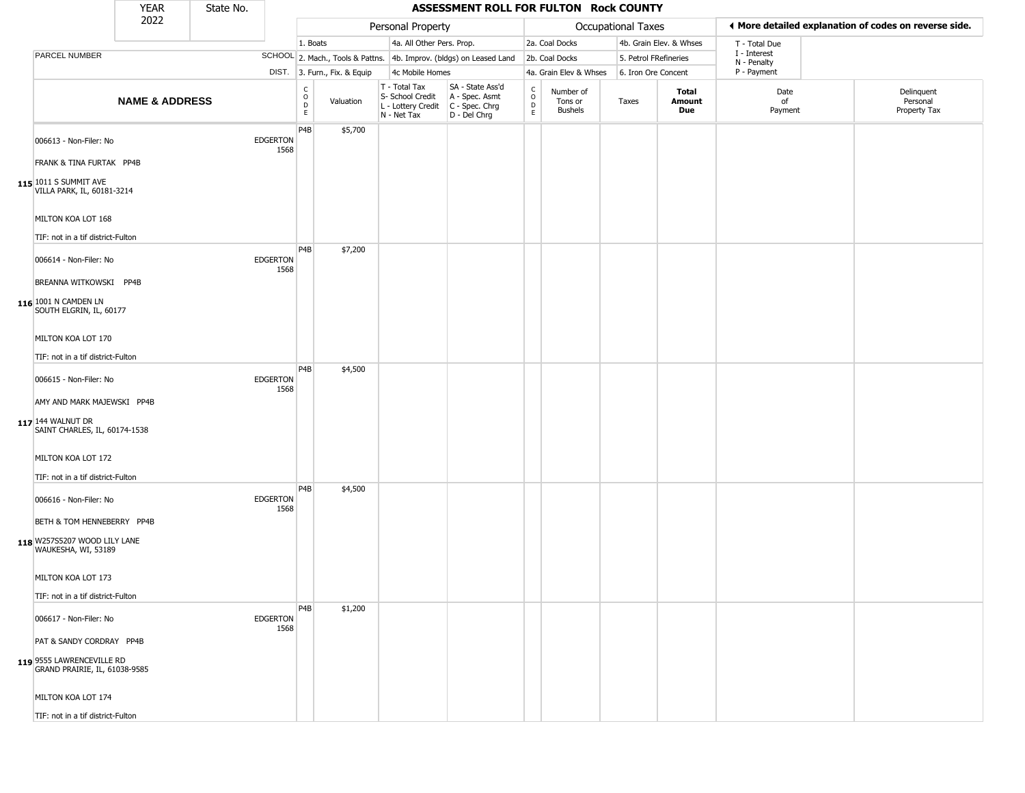|                                                                                                             | <b>YEAR</b>               | State No. |                         |                                |                              |                                                                        | ASSESSMENT ROLL FOR FULTON Rock COUNTY                               |                                   |                                 |                       |                         |                             |                                                       |
|-------------------------------------------------------------------------------------------------------------|---------------------------|-----------|-------------------------|--------------------------------|------------------------------|------------------------------------------------------------------------|----------------------------------------------------------------------|-----------------------------------|---------------------------------|-----------------------|-------------------------|-----------------------------|-------------------------------------------------------|
|                                                                                                             | 2022                      |           |                         |                                |                              | Personal Property                                                      |                                                                      |                                   |                                 | Occupational Taxes    |                         |                             | ♦ More detailed explanation of codes on reverse side. |
|                                                                                                             |                           |           |                         | 1. Boats                       |                              | 4a. All Other Pers. Prop.                                              |                                                                      |                                   | 2a. Coal Docks                  |                       | 4b. Grain Elev. & Whses | T - Total Due               |                                                       |
| PARCEL NUMBER                                                                                               |                           |           |                         |                                |                              |                                                                        | SCHOOL 2. Mach., Tools & Pattns. 4b. Improv. (bldgs) on Leased Land  |                                   | 2b. Coal Docks                  | 5. Petrol FRefineries |                         | I - Interest<br>N - Penalty |                                                       |
|                                                                                                             |                           |           |                         |                                | DIST. 3. Furn., Fix. & Equip | 4c Mobile Homes                                                        |                                                                      |                                   | 4a. Grain Elev & Whses          | 6. Iron Ore Concent   |                         | P - Payment                 |                                                       |
|                                                                                                             | <b>NAME &amp; ADDRESS</b> |           |                         | $\rm _o^C$<br>D<br>$\mathsf E$ | Valuation                    | T - Total Tax<br>S- School Credit<br>L - Lottery Credit<br>N - Net Tax | SA - State Ass'd<br>A - Spec. Asmt<br>C - Spec. Chrg<br>D - Del Chrg | $\frac{C}{O}$<br>D<br>$\mathsf E$ | Number of<br>Tons or<br>Bushels | Taxes                 | Total<br>Amount<br>Due  | Date<br>of<br>Payment       | Delinquent<br>Personal<br>Property Tax                |
| 006613 - Non-Filer: No<br>FRANK & TINA FURTAK PP4B<br>115 1011 S SUMMIT AVE<br>VILLA PARK, IL, 60181-3214   |                           |           | <b>EDGERTON</b><br>1568 | P4B                            | \$5,700                      |                                                                        |                                                                      |                                   |                                 |                       |                         |                             |                                                       |
| MILTON KOA LOT 168<br>TIF: not in a tif district-Fulton                                                     |                           |           |                         |                                |                              |                                                                        |                                                                      |                                   |                                 |                       |                         |                             |                                                       |
| 006614 - Non-Filer: No<br>BREANNA WITKOWSKI PP4B<br>116 1001 N CAMDEN LN<br>SOUTH ELGRIN, IL, 60177         |                           |           | <b>EDGERTON</b><br>1568 | P <sub>4</sub> B               | \$7,200                      |                                                                        |                                                                      |                                   |                                 |                       |                         |                             |                                                       |
| MILTON KOA LOT 170<br>TIF: not in a tif district-Fulton                                                     |                           |           |                         |                                |                              |                                                                        |                                                                      |                                   |                                 |                       |                         |                             |                                                       |
| 006615 - Non-Filer: No<br>AMY AND MARK MAJEWSKI PP4B<br>117 144 WALNUT DR<br>SAINT CHARLES, IL, 60174-1538  |                           |           | <b>EDGERTON</b><br>1568 | P <sub>4</sub> B               | \$4,500                      |                                                                        |                                                                      |                                   |                                 |                       |                         |                             |                                                       |
| MILTON KOA LOT 172<br>TIF: not in a tif district-Fulton                                                     |                           |           |                         |                                |                              |                                                                        |                                                                      |                                   |                                 |                       |                         |                             |                                                       |
| 006616 - Non-Filer: No<br>BETH & TOM HENNEBERRY PP4B<br>118 W257S5207 WOOD LILY LANE<br>WAUKESHA, WI, 53189 |                           |           | <b>EDGERTON</b><br>1568 | P <sub>4</sub> B               | \$4,500                      |                                                                        |                                                                      |                                   |                                 |                       |                         |                             |                                                       |
| MILTON KOA LOT 173<br>TIF: not in a tif district-Fulton                                                     |                           |           |                         |                                |                              |                                                                        |                                                                      |                                   |                                 |                       |                         |                             |                                                       |
| 006617 - Non-Filer: No                                                                                      |                           |           | <b>EDGERTON</b><br>1568 | P4B                            | \$1,200                      |                                                                        |                                                                      |                                   |                                 |                       |                         |                             |                                                       |
| PAT & SANDY CORDRAY PP4B<br>119 9555 LAWRENCEVILLE RD<br>GRAND PRAIRIE, IL, 61038-9585                      |                           |           |                         |                                |                              |                                                                        |                                                                      |                                   |                                 |                       |                         |                             |                                                       |
| MILTON KOA LOT 174                                                                                          |                           |           |                         |                                |                              |                                                                        |                                                                      |                                   |                                 |                       |                         |                             |                                                       |
| TIF: not in a tif district-Fulton                                                                           |                           |           |                         |                                |                              |                                                                        |                                                                      |                                   |                                 |                       |                         |                             |                                                       |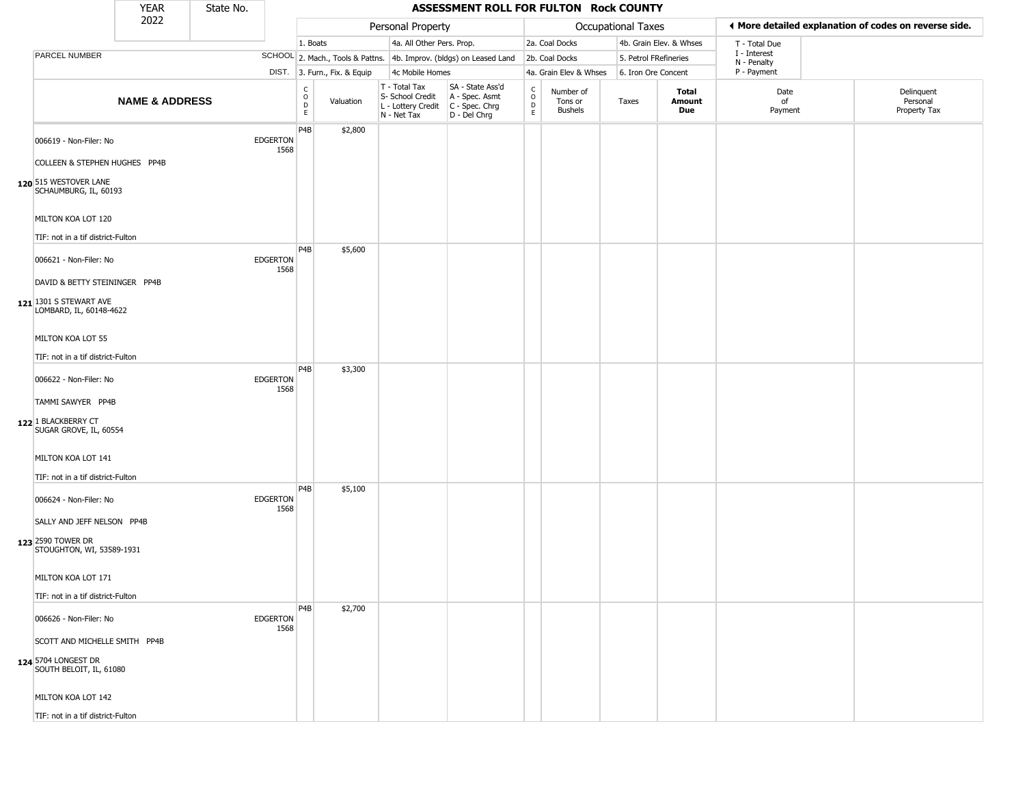|                                                                                                                                                                                                        | <b>YEAR</b>               | State No. |                         |                                                |                              |                                                                        | ASSESSMENT ROLL FOR FULTON Rock COUNTY                                 |                                   |                                 |                       |                         |                             |                                                       |
|--------------------------------------------------------------------------------------------------------------------------------------------------------------------------------------------------------|---------------------------|-----------|-------------------------|------------------------------------------------|------------------------------|------------------------------------------------------------------------|------------------------------------------------------------------------|-----------------------------------|---------------------------------|-----------------------|-------------------------|-----------------------------|-------------------------------------------------------|
|                                                                                                                                                                                                        | 2022                      |           |                         |                                                |                              | Personal Property                                                      |                                                                        |                                   |                                 | Occupational Taxes    |                         |                             | ◀ More detailed explanation of codes on reverse side. |
|                                                                                                                                                                                                        |                           |           |                         | 1. Boats                                       |                              | 4a. All Other Pers. Prop.                                              |                                                                        |                                   | 2a. Coal Docks                  |                       | 4b. Grain Elev. & Whses | T - Total Due               |                                                       |
| PARCEL NUMBER                                                                                                                                                                                          |                           |           |                         |                                                |                              |                                                                        | SCHOOL 2. Mach., Tools & Pattns. 4b. Improv. (bldgs) on Leased Land    |                                   | 2b. Coal Docks                  | 5. Petrol FRefineries |                         | I - Interest<br>N - Penalty |                                                       |
|                                                                                                                                                                                                        |                           |           |                         |                                                | DIST. 3. Furn., Fix. & Equip | 4c Mobile Homes                                                        |                                                                        |                                   | 4a. Grain Elev & Whses          | 6. Iron Ore Concent   |                         | P - Payment                 |                                                       |
|                                                                                                                                                                                                        | <b>NAME &amp; ADDRESS</b> |           |                         | $\begin{matrix} 0 \\ 0 \\ D \end{matrix}$<br>E | Valuation                    | T - Total Tax<br>S- School Credit<br>L - Lottery Credit<br>N - Net Tax | SA - State Ass'd<br>A - Spec. Asmt<br>$C - Spec. Chrg$<br>D - Del Chrg | $\frac{C}{O}$<br>D<br>$\mathsf E$ | Number of<br>Tons or<br>Bushels | Taxes                 | Total<br>Amount<br>Due  | Date<br>of<br>Payment       | Delinquent<br>Personal<br>Property Tax                |
| 006619 - Non-Filer: No<br>COLLEEN & STEPHEN HUGHES PP4B<br>120 515 WESTOVER LANE<br>SCHAUMBURG, IL, 60193                                                                                              |                           |           | <b>EDGERTON</b><br>1568 | P4B                                            | \$2,800                      |                                                                        |                                                                        |                                   |                                 |                       |                         |                             |                                                       |
| MILTON KOA LOT 120<br>TIF: not in a tif district-Fulton                                                                                                                                                |                           |           |                         |                                                |                              |                                                                        |                                                                        |                                   |                                 |                       |                         |                             |                                                       |
| 006621 - Non-Filer: No<br>DAVID & BETTY STEININGER PP4B<br>$121$ <sup>1301</sup> S STEWART AVE<br>LOMBARD, IL, 60148-4622<br>MILTON KOA LOT 55<br>TIF: not in a tif district-Fulton                    |                           |           | <b>EDGERTON</b><br>1568 | P <sub>4</sub> B                               | \$5,600                      |                                                                        |                                                                        |                                   |                                 |                       |                         |                             |                                                       |
| 006622 - Non-Filer: No<br>TAMMI SAWYER PP4B<br>122 1 BLACKBERRY CT<br>SUGAR GROVE, IL, 60554<br>MILTON KOA LOT 141                                                                                     |                           |           | <b>EDGERTON</b><br>1568 | P <sub>4</sub> B                               | \$3,300                      |                                                                        |                                                                        |                                   |                                 |                       |                         |                             |                                                       |
| TIF: not in a tif district-Fulton<br>006624 - Non-Filer: No<br>SALLY AND JEFF NELSON PP4B<br>123 2590 TOWER DR<br>STOUGHTON, WI, 53589-1931<br>MILTON KOA LOT 171<br>TIF: not in a tif district-Fulton |                           |           | <b>EDGERTON</b><br>1568 | P <sub>4</sub> B                               | \$5,100                      |                                                                        |                                                                        |                                   |                                 |                       |                         |                             |                                                       |
| 006626 - Non-Filer: No<br>SCOTT AND MICHELLE SMITH PP4B<br>124 5704 LONGEST DR<br>SOUTH BELOIT, IL, 61080<br>MILTON KOA LOT 142<br>TIF: not in a tif district-Fulton                                   |                           |           | <b>EDGERTON</b><br>1568 | P <sub>4</sub> B                               | \$2,700                      |                                                                        |                                                                        |                                   |                                 |                       |                         |                             |                                                       |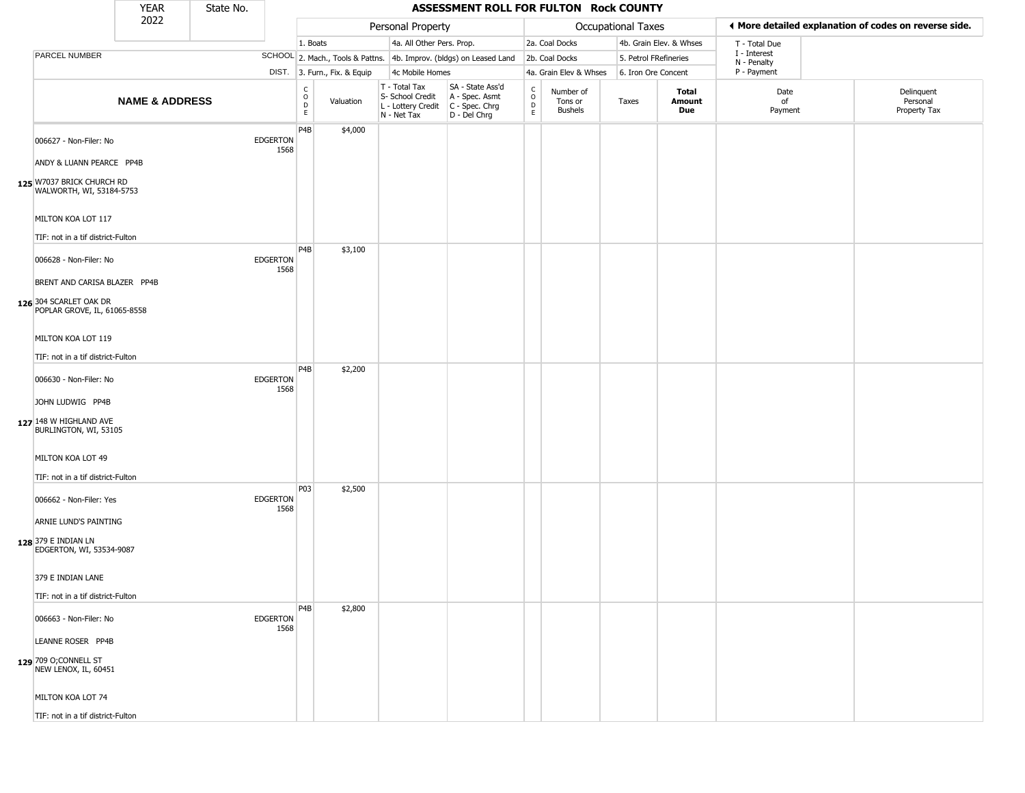|                                                                                        | <b>YEAR</b>               | State No. |                         |                                      |                              |                                                                        | ASSESSMENT ROLL FOR FULTON Rock COUNTY                               |                                          |                                        |                       |                               |                             |                                                       |
|----------------------------------------------------------------------------------------|---------------------------|-----------|-------------------------|--------------------------------------|------------------------------|------------------------------------------------------------------------|----------------------------------------------------------------------|------------------------------------------|----------------------------------------|-----------------------|-------------------------------|-----------------------------|-------------------------------------------------------|
|                                                                                        | 2022                      |           |                         |                                      |                              | Personal Property                                                      |                                                                      |                                          |                                        | Occupational Taxes    |                               |                             | ♦ More detailed explanation of codes on reverse side. |
|                                                                                        |                           |           |                         | 1. Boats                             |                              | 4a. All Other Pers. Prop.                                              |                                                                      |                                          | 2a. Coal Docks                         |                       | 4b. Grain Elev. & Whses       | T - Total Due               |                                                       |
| PARCEL NUMBER                                                                          |                           |           |                         |                                      |                              |                                                                        | SCHOOL 2. Mach., Tools & Pattns. 4b. Improv. (bldgs) on Leased Land  |                                          | 2b. Coal Docks                         | 5. Petrol FRefineries |                               | I - Interest<br>N - Penalty |                                                       |
|                                                                                        |                           |           |                         |                                      | DIST. 3. Furn., Fix. & Equip | 4c Mobile Homes                                                        |                                                                      |                                          | 4a. Grain Elev & Whses                 | 6. Iron Ore Concent   |                               | P - Payment                 |                                                       |
|                                                                                        | <b>NAME &amp; ADDRESS</b> |           |                         | C<br>$\mathsf O$<br>$\mathsf D$<br>E | Valuation                    | T - Total Tax<br>S- School Credit<br>L - Lottery Credit<br>N - Net Tax | SA - State Ass'd<br>A - Spec. Asmt<br>C - Spec. Chrg<br>D - Del Chrg | $\rm _o^C$<br>$\mathsf D$<br>$\mathsf E$ | Number of<br>Tons or<br><b>Bushels</b> | Taxes                 | <b>Total</b><br>Amount<br>Due | Date<br>of<br>Payment       | Delinquent<br>Personal<br>Property Tax                |
| 006627 - Non-Filer: No<br>ANDY & LUANN PEARCE PP4B                                     |                           |           | <b>EDGERTON</b><br>1568 | P <sub>4</sub> B                     | \$4,000                      |                                                                        |                                                                      |                                          |                                        |                       |                               |                             |                                                       |
| 125 W7037 BRICK CHURCH RD<br>WALWORTH, WI, 53184-5753                                  |                           |           |                         |                                      |                              |                                                                        |                                                                      |                                          |                                        |                       |                               |                             |                                                       |
| MILTON KOA LOT 117<br>TIF: not in a tif district-Fulton                                |                           |           |                         |                                      |                              |                                                                        |                                                                      |                                          |                                        |                       |                               |                             |                                                       |
| 006628 - Non-Filer: No                                                                 |                           |           | <b>EDGERTON</b><br>1568 | P4B                                  | \$3,100                      |                                                                        |                                                                      |                                          |                                        |                       |                               |                             |                                                       |
| BRENT AND CARISA BLAZER PP4B<br>126 304 SCARLET OAK DR<br>POPLAR GROVE, IL, 61065-8558 |                           |           |                         |                                      |                              |                                                                        |                                                                      |                                          |                                        |                       |                               |                             |                                                       |
| MILTON KOA LOT 119<br>TIF: not in a tif district-Fulton                                |                           |           |                         |                                      |                              |                                                                        |                                                                      |                                          |                                        |                       |                               |                             |                                                       |
| 006630 - Non-Filer: No                                                                 |                           |           | <b>EDGERTON</b><br>1568 | P4B                                  | \$2,200                      |                                                                        |                                                                      |                                          |                                        |                       |                               |                             |                                                       |
| JOHN LUDWIG PP4B<br>127 148 W HIGHLAND AVE<br>BURLINGTON, WI, 53105                    |                           |           |                         |                                      |                              |                                                                        |                                                                      |                                          |                                        |                       |                               |                             |                                                       |
| MILTON KOA LOT 49                                                                      |                           |           |                         |                                      |                              |                                                                        |                                                                      |                                          |                                        |                       |                               |                             |                                                       |
| TIF: not in a tif district-Fulton<br>006662 - Non-Filer: Yes                           |                           |           | <b>EDGERTON</b><br>1568 | P03                                  | \$2,500                      |                                                                        |                                                                      |                                          |                                        |                       |                               |                             |                                                       |
| ARNIE LUND'S PAINTING<br>128 379 E INDIAN LN<br>EDGERTON, WI, 53534-9087               |                           |           |                         |                                      |                              |                                                                        |                                                                      |                                          |                                        |                       |                               |                             |                                                       |
| 379 E INDIAN LANE                                                                      |                           |           |                         |                                      |                              |                                                                        |                                                                      |                                          |                                        |                       |                               |                             |                                                       |
| TIF: not in a tif district-Fulton                                                      |                           |           |                         |                                      |                              |                                                                        |                                                                      |                                          |                                        |                       |                               |                             |                                                       |
| 006663 - Non-Filer: No                                                                 |                           |           | <b>EDGERTON</b><br>1568 | P4B                                  | \$2,800                      |                                                                        |                                                                      |                                          |                                        |                       |                               |                             |                                                       |
| LEANNE ROSER PP4B                                                                      |                           |           |                         |                                      |                              |                                                                        |                                                                      |                                          |                                        |                       |                               |                             |                                                       |
| 129 709 O;CONNELL ST<br>NEW LENOX, IL, 60451                                           |                           |           |                         |                                      |                              |                                                                        |                                                                      |                                          |                                        |                       |                               |                             |                                                       |
| MILTON KOA LOT 74                                                                      |                           |           |                         |                                      |                              |                                                                        |                                                                      |                                          |                                        |                       |                               |                             |                                                       |
| TIF: not in a tif district-Fulton                                                      |                           |           |                         |                                      |                              |                                                                        |                                                                      |                                          |                                        |                       |                               |                             |                                                       |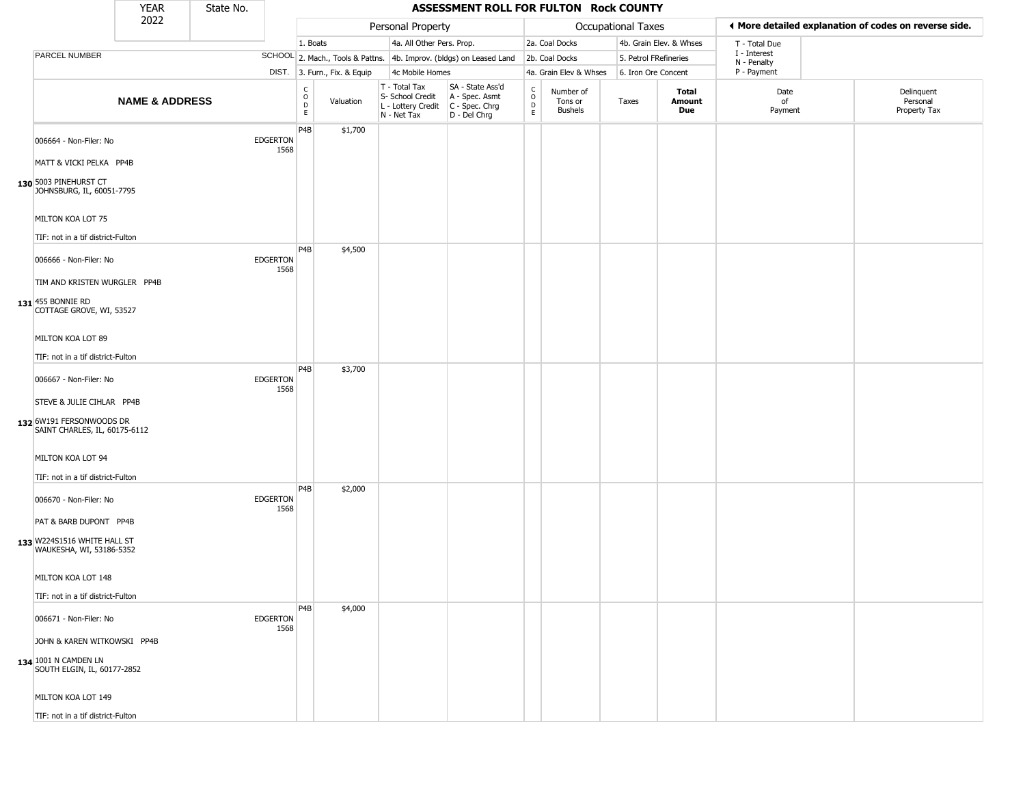|                                                                                                                                       | <b>YEAR</b>               | State No. |                         |                               |                              |                                                                        | ASSESSMENT ROLL FOR FULTON Rock COUNTY                               |                                    |                                        |                       |                         |                             |                                                       |
|---------------------------------------------------------------------------------------------------------------------------------------|---------------------------|-----------|-------------------------|-------------------------------|------------------------------|------------------------------------------------------------------------|----------------------------------------------------------------------|------------------------------------|----------------------------------------|-----------------------|-------------------------|-----------------------------|-------------------------------------------------------|
|                                                                                                                                       | 2022                      |           |                         |                               |                              | Personal Property                                                      |                                                                      |                                    |                                        | Occupational Taxes    |                         |                             | ◀ More detailed explanation of codes on reverse side. |
|                                                                                                                                       |                           |           |                         | 1. Boats                      |                              | 4a. All Other Pers. Prop.                                              |                                                                      |                                    | 2a. Coal Docks                         |                       | 4b. Grain Elev. & Whses | T - Total Due               |                                                       |
| PARCEL NUMBER                                                                                                                         |                           |           |                         |                               |                              |                                                                        | SCHOOL 2. Mach., Tools & Pattns. 4b. Improv. (bldgs) on Leased Land  |                                    | 2b. Coal Docks                         | 5. Petrol FRefineries |                         | I - Interest<br>N - Penalty |                                                       |
|                                                                                                                                       |                           |           |                         |                               | DIST. 3. Furn., Fix. & Equip | 4c Mobile Homes                                                        |                                                                      |                                    | 4a. Grain Elev & Whses                 | 6. Iron Ore Concent   |                         | P - Payment                 |                                                       |
|                                                                                                                                       | <b>NAME &amp; ADDRESS</b> |           |                         | $\rm ^c$<br>$\mathsf{D}$<br>E | Valuation                    | T - Total Tax<br>S- School Credit<br>L - Lottery Credit<br>N - Net Tax | SA - State Ass'd<br>A - Spec. Asmt<br>C - Spec. Chrg<br>D - Del Chrg | $\frac{c}{0}$<br>$\mathsf D$<br>E. | Number of<br>Tons or<br><b>Bushels</b> | Taxes                 | Total<br>Amount<br>Due  | Date<br>of<br>Payment       | Delinquent<br>Personal<br>Property Tax                |
| 006664 - Non-Filer: No<br>MATT & VICKI PELKA PP4B<br>130 5003 PINEHURST CT<br>JOHNSBURG, IL, 60051-7795                               |                           |           | <b>EDGERTON</b><br>1568 | P4B                           | \$1,700                      |                                                                        |                                                                      |                                    |                                        |                       |                         |                             |                                                       |
| MILTON KOA LOT 75<br>TIF: not in a tif district-Fulton                                                                                |                           |           |                         |                               |                              |                                                                        |                                                                      |                                    |                                        |                       |                         |                             |                                                       |
| 006666 - Non-Filer: No<br>TIM AND KRISTEN WURGLER PP4B<br>131 455 BONNIE RD<br>COTTAGE GROVE, WI, 53527                               |                           |           | <b>EDGERTON</b><br>1568 | P <sub>4</sub> B              | \$4,500                      |                                                                        |                                                                      |                                    |                                        |                       |                         |                             |                                                       |
| MILTON KOA LOT 89<br>TIF: not in a tif district-Fulton                                                                                |                           |           |                         | P <sub>4</sub> B              |                              |                                                                        |                                                                      |                                    |                                        |                       |                         |                             |                                                       |
| 006667 - Non-Filer: No<br>STEVE & JULIE CIHLAR PP4B<br>132 6W191 FERSONWOODS DR<br>SAINT CHARLES, IL, 60175-6112<br>MILTON KOA LOT 94 |                           |           | <b>EDGERTON</b><br>1568 |                               | \$3,700                      |                                                                        |                                                                      |                                    |                                        |                       |                         |                             |                                                       |
| TIF: not in a tif district-Fulton<br>006670 - Non-Filer: No                                                                           |                           |           | <b>EDGERTON</b>         | P4B                           | \$2,000                      |                                                                        |                                                                      |                                    |                                        |                       |                         |                             |                                                       |
| PAT & BARB DUPONT PP4B<br>133 W224S1516 WHITE HALL ST<br>WAUKESHA, WI, 53186-5352                                                     |                           |           | 1568                    |                               |                              |                                                                        |                                                                      |                                    |                                        |                       |                         |                             |                                                       |
| MILTON KOA LOT 148<br>TIF: not in a tif district-Fulton                                                                               |                           |           |                         |                               |                              |                                                                        |                                                                      |                                    |                                        |                       |                         |                             |                                                       |
| 006671 - Non-Filer: No<br>JOHN & KAREN WITKOWSKI PP4B                                                                                 |                           |           | <b>EDGERTON</b><br>1568 | P <sub>4</sub> B              | \$4,000                      |                                                                        |                                                                      |                                    |                                        |                       |                         |                             |                                                       |
| 134 1001 N CAMDEN LN<br>SOUTH ELGIN, IL, 60177-2852<br>MILTON KOA LOT 149<br>TIF: not in a tif district-Fulton                        |                           |           |                         |                               |                              |                                                                        |                                                                      |                                    |                                        |                       |                         |                             |                                                       |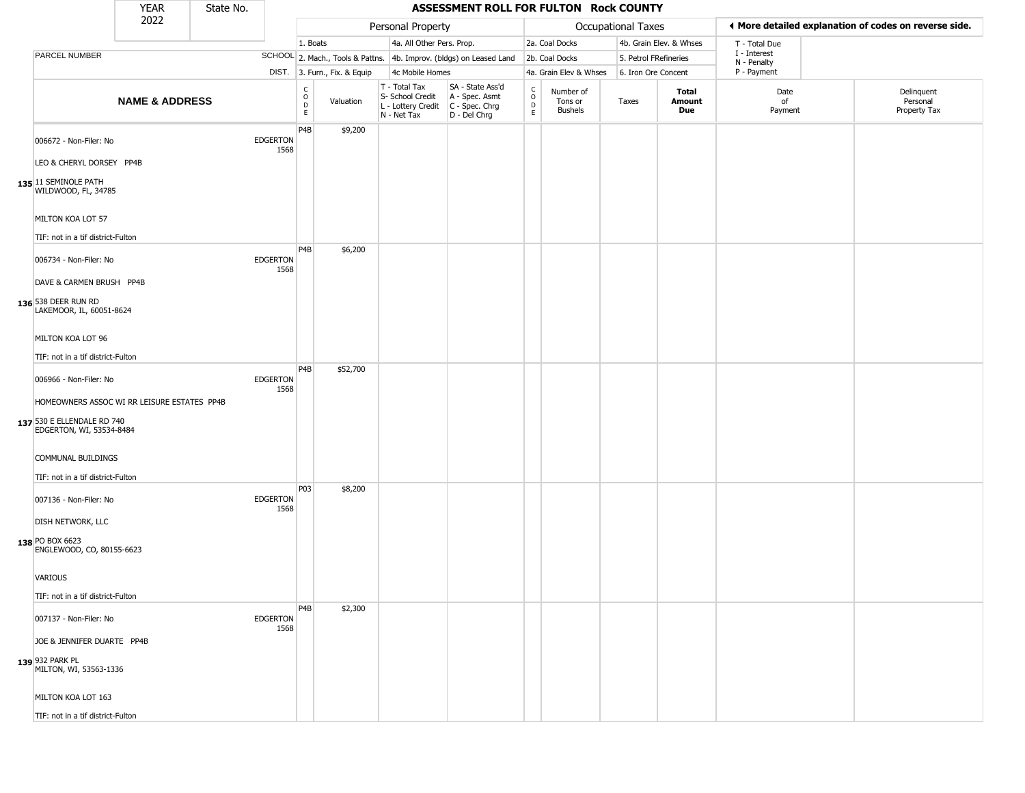|                                                                                                                        | <b>YEAR</b>               | State No. |                         |                                            |                              |                                                                                         | ASSESSMENT ROLL FOR FULTON Rock COUNTY                              |                    |                                 |                       |                         |                             |                                                       |
|------------------------------------------------------------------------------------------------------------------------|---------------------------|-----------|-------------------------|--------------------------------------------|------------------------------|-----------------------------------------------------------------------------------------|---------------------------------------------------------------------|--------------------|---------------------------------|-----------------------|-------------------------|-----------------------------|-------------------------------------------------------|
|                                                                                                                        | 2022                      |           |                         |                                            |                              | Personal Property                                                                       |                                                                     |                    |                                 | Occupational Taxes    |                         |                             | ◀ More detailed explanation of codes on reverse side. |
|                                                                                                                        |                           |           |                         | 1. Boats                                   |                              | 4a. All Other Pers. Prop.                                                               |                                                                     |                    | 2a. Coal Docks                  |                       | 4b. Grain Elev. & Whses | T - Total Due               |                                                       |
| PARCEL NUMBER                                                                                                          |                           |           |                         |                                            |                              |                                                                                         | SCHOOL 2. Mach., Tools & Pattns. 4b. Improv. (bldgs) on Leased Land |                    | 2b. Coal Docks                  | 5. Petrol FRefineries |                         | I - Interest<br>N - Penalty |                                                       |
|                                                                                                                        |                           |           |                         |                                            | DIST. 3. Furn., Fix. & Equip | 4c Mobile Homes                                                                         |                                                                     |                    | 4a. Grain Elev & Whses          | 6. Iron Ore Concent   |                         | P - Payment                 |                                                       |
|                                                                                                                        | <b>NAME &amp; ADDRESS</b> |           |                         | $\begin{array}{c} C \\ 0 \\ E \end{array}$ | Valuation                    | T - Total Tax<br>S- School Credit<br>L - Lottery Credit   C - Spec. Chrg<br>N - Net Tax | SA - State Ass'd<br>A - Spec. Asmt<br>D - Del Chrg                  | $\delta$<br>D<br>E | Number of<br>Tons or<br>Bushels | Taxes                 | Total<br>Amount<br>Due  | Date<br>of<br>Payment       | Delinquent<br>Personal<br>Property Tax                |
| 006672 - Non-Filer: No<br>LEO & CHERYL DORSEY PP4B<br>135 11 SEMINOLE PATH<br>WILDWOOD, FL, 34785<br>MILTON KOA LOT 57 |                           |           | <b>EDGERTON</b><br>1568 | P4B                                        | \$9,200                      |                                                                                         |                                                                     |                    |                                 |                       |                         |                             |                                                       |
|                                                                                                                        |                           |           |                         |                                            |                              |                                                                                         |                                                                     |                    |                                 |                       |                         |                             |                                                       |
| TIF: not in a tif district-Fulton<br>006734 - Non-Filer: No<br>DAVE & CARMEN BRUSH PP4B                                |                           |           | <b>EDGERTON</b><br>1568 | P4B                                        | \$6,200                      |                                                                                         |                                                                     |                    |                                 |                       |                         |                             |                                                       |
| 136 538 DEER RUN RD<br>LAKEMOOR, IL, 60051-8624<br>MILTON KOA LOT 96<br>TIF: not in a tif district-Fulton              |                           |           |                         |                                            |                              |                                                                                         |                                                                     |                    |                                 |                       |                         |                             |                                                       |
| 006966 - Non-Filer: No                                                                                                 |                           |           | <b>EDGERTON</b><br>1568 | P4B                                        | \$52,700                     |                                                                                         |                                                                     |                    |                                 |                       |                         |                             |                                                       |
| HOMEOWNERS ASSOC WI RR LEISURE ESTATES PP4B<br>137 530 E ELLENDALE RD 740<br>EDGERTON, WI, 53534-8484                  |                           |           |                         |                                            |                              |                                                                                         |                                                                     |                    |                                 |                       |                         |                             |                                                       |
| COMMUNAL BUILDINGS<br>TIF: not in a tif district-Fulton                                                                |                           |           |                         |                                            |                              |                                                                                         |                                                                     |                    |                                 |                       |                         |                             |                                                       |
| 007136 - Non-Filer: No                                                                                                 |                           |           | <b>EDGERTON</b><br>1568 | P03                                        | \$8,200                      |                                                                                         |                                                                     |                    |                                 |                       |                         |                             |                                                       |
| DISH NETWORK, LLC<br>138 PO BOX 6623<br>ENGLEWOOD, CO, 80155-6623                                                      |                           |           |                         |                                            |                              |                                                                                         |                                                                     |                    |                                 |                       |                         |                             |                                                       |
| VARIOUS                                                                                                                |                           |           |                         |                                            |                              |                                                                                         |                                                                     |                    |                                 |                       |                         |                             |                                                       |
| TIF: not in a tif district-Fulton                                                                                      |                           |           |                         | P4B                                        | \$2,300                      |                                                                                         |                                                                     |                    |                                 |                       |                         |                             |                                                       |
| 007137 - Non-Filer: No                                                                                                 |                           |           | <b>EDGERTON</b><br>1568 |                                            |                              |                                                                                         |                                                                     |                    |                                 |                       |                         |                             |                                                       |
| JOE & JENNIFER DUARTE PP4B<br>139 932 PARK PL<br>MILTON, WI, 53563-1336                                                |                           |           |                         |                                            |                              |                                                                                         |                                                                     |                    |                                 |                       |                         |                             |                                                       |
| MILTON KOA LOT 163                                                                                                     |                           |           |                         |                                            |                              |                                                                                         |                                                                     |                    |                                 |                       |                         |                             |                                                       |
| TIF: not in a tif district-Fulton                                                                                      |                           |           |                         |                                            |                              |                                                                                         |                                                                     |                    |                                 |                       |                         |                             |                                                       |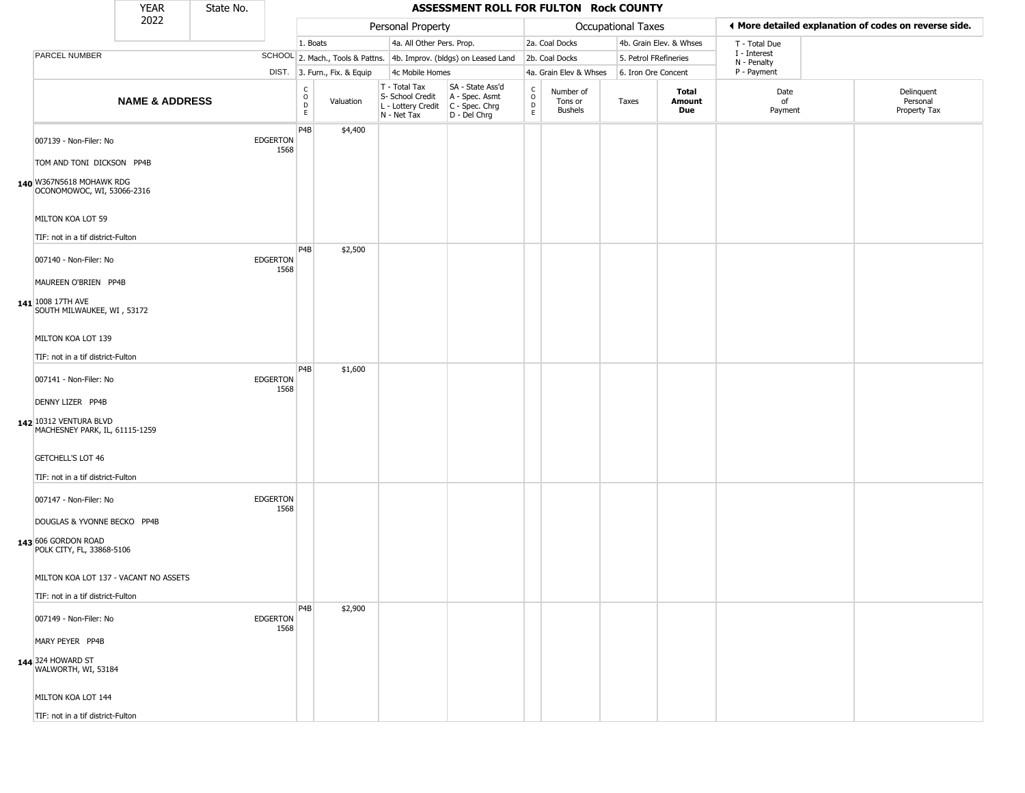|                                                                                                               | <b>YEAR</b>               | State No. |                         |                                              |                              |                                                                        | ASSESSMENT ROLL FOR FULTON Rock COUNTY                               |                                                       |                                        |                       |                         |                             |                                                       |
|---------------------------------------------------------------------------------------------------------------|---------------------------|-----------|-------------------------|----------------------------------------------|------------------------------|------------------------------------------------------------------------|----------------------------------------------------------------------|-------------------------------------------------------|----------------------------------------|-----------------------|-------------------------|-----------------------------|-------------------------------------------------------|
|                                                                                                               | 2022                      |           |                         |                                              |                              | Personal Property                                                      |                                                                      |                                                       |                                        | Occupational Taxes    |                         |                             | ◀ More detailed explanation of codes on reverse side. |
|                                                                                                               |                           |           |                         | 1. Boats                                     |                              | 4a. All Other Pers. Prop.                                              |                                                                      |                                                       | 2a. Coal Docks                         |                       | 4b. Grain Elev. & Whses | T - Total Due               |                                                       |
| PARCEL NUMBER                                                                                                 |                           |           |                         |                                              |                              |                                                                        | SCHOOL 2. Mach., Tools & Pattns. 4b. Improv. (bldgs) on Leased Land  |                                                       | 2b. Coal Docks                         | 5. Petrol FRefineries |                         | I - Interest<br>N - Penalty |                                                       |
|                                                                                                               |                           |           |                         |                                              | DIST. 3. Furn., Fix. & Equip | 4c Mobile Homes                                                        |                                                                      |                                                       | 4a. Grain Elev & Whses                 | 6. Iron Ore Concent   |                         | P - Payment                 |                                                       |
|                                                                                                               | <b>NAME &amp; ADDRESS</b> |           |                         | $\int_{0}^{c}$<br>$\mathsf D$<br>$\mathsf E$ | Valuation                    | T - Total Tax<br>S- School Credit<br>L - Lottery Credit<br>N - Net Tax | SA - State Ass'd<br>A - Spec. Asmt<br>C - Spec. Chrg<br>D - Del Chrg | $\int_{0}^{c}$<br>$\mathrel{\mathsf{D}}_{\mathsf{E}}$ | Number of<br>Tons or<br><b>Bushels</b> | Taxes                 | Total<br>Amount<br>Due  | Date<br>of<br>Payment       | Delinquent<br>Personal<br>Property Tax                |
| 007139 - Non-Filer: No<br>TOM AND TONI DICKSON PP4B<br>140 W367N5618 MOHAWK RDG<br>OCONOMOWOC, WI, 53066-2316 |                           |           | <b>EDGERTON</b><br>1568 | P <sub>4</sub> B                             | \$4,400                      |                                                                        |                                                                      |                                                       |                                        |                       |                         |                             |                                                       |
| MILTON KOA LOT 59<br>TIF: not in a tif district-Fulton                                                        |                           |           |                         |                                              |                              |                                                                        |                                                                      |                                                       |                                        |                       |                         |                             |                                                       |
| 007140 - Non-Filer: No<br>MAUREEN O'BRIEN PP4B<br>141 1008 17TH AVE<br>SOUTH MILWAUKEE, WI, 53172             |                           |           | <b>EDGERTON</b><br>1568 | P4B                                          | \$2,500                      |                                                                        |                                                                      |                                                       |                                        |                       |                         |                             |                                                       |
| MILTON KOA LOT 139<br>TIF: not in a tif district-Fulton                                                       |                           |           |                         |                                              |                              |                                                                        |                                                                      |                                                       |                                        |                       |                         |                             |                                                       |
| 007141 - Non-Filer: No<br>DENNY LIZER PP4B                                                                    |                           |           | <b>EDGERTON</b><br>1568 | P <sub>4</sub> B                             | \$1,600                      |                                                                        |                                                                      |                                                       |                                        |                       |                         |                             |                                                       |
| 142 10312 VENTURA BLVD<br>MACHESNEY PARK, IL, 61115-1259<br>GETCHELL'S LOT 46                                 |                           |           |                         |                                              |                              |                                                                        |                                                                      |                                                       |                                        |                       |                         |                             |                                                       |
| TIF: not in a tif district-Fulton                                                                             |                           |           |                         |                                              |                              |                                                                        |                                                                      |                                                       |                                        |                       |                         |                             |                                                       |
| 007147 - Non-Filer: No                                                                                        |                           |           | <b>EDGERTON</b><br>1568 |                                              |                              |                                                                        |                                                                      |                                                       |                                        |                       |                         |                             |                                                       |
| DOUGLAS & YVONNE BECKO PP4B<br>143 606 GORDON ROAD<br>POLK CITY, FL, 33868-5106                               |                           |           |                         |                                              |                              |                                                                        |                                                                      |                                                       |                                        |                       |                         |                             |                                                       |
| MILTON KOA LOT 137 - VACANT NO ASSETS<br>TIF: not in a tif district-Fulton                                    |                           |           |                         |                                              |                              |                                                                        |                                                                      |                                                       |                                        |                       |                         |                             |                                                       |
| 007149 - Non-Filer: No                                                                                        |                           |           | <b>EDGERTON</b><br>1568 | P <sub>4</sub> B                             | \$2,900                      |                                                                        |                                                                      |                                                       |                                        |                       |                         |                             |                                                       |
| MARY PEYER PP4B<br>144 324 HOWARD ST                                                                          |                           |           |                         |                                              |                              |                                                                        |                                                                      |                                                       |                                        |                       |                         |                             |                                                       |
| WALWORTH, WI, 53184                                                                                           |                           |           |                         |                                              |                              |                                                                        |                                                                      |                                                       |                                        |                       |                         |                             |                                                       |
| MILTON KOA LOT 144                                                                                            |                           |           |                         |                                              |                              |                                                                        |                                                                      |                                                       |                                        |                       |                         |                             |                                                       |
| TIF: not in a tif district-Fulton                                                                             |                           |           |                         |                                              |                              |                                                                        |                                                                      |                                                       |                                        |                       |                         |                             |                                                       |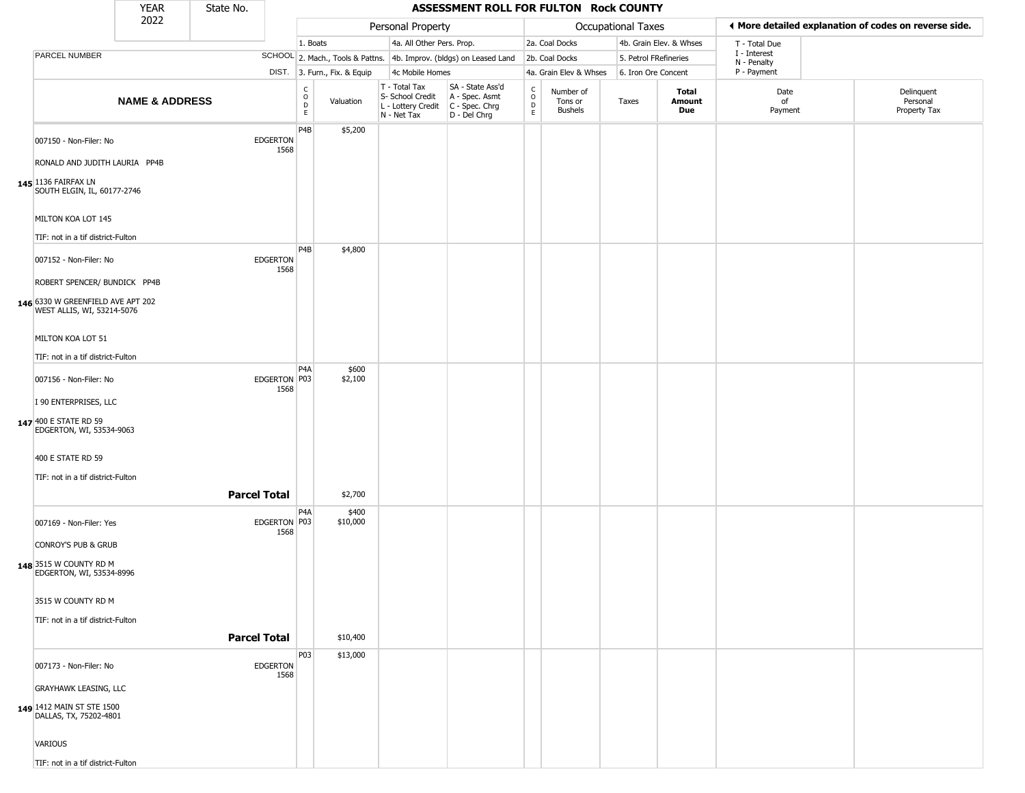|                                                                                                 | <b>YEAR</b>               | State No.           |                         |                  |                              |                                                                        | ASSESSMENT ROLL FOR FULTON Rock COUNTY                                 |                                            |                                        |                       |                         |                             |                                                       |
|-------------------------------------------------------------------------------------------------|---------------------------|---------------------|-------------------------|------------------|------------------------------|------------------------------------------------------------------------|------------------------------------------------------------------------|--------------------------------------------|----------------------------------------|-----------------------|-------------------------|-----------------------------|-------------------------------------------------------|
|                                                                                                 | 2022                      |                     |                         |                  |                              | Personal Property                                                      |                                                                        |                                            |                                        | Occupational Taxes    |                         |                             | ♦ More detailed explanation of codes on reverse side. |
|                                                                                                 |                           |                     |                         | 1. Boats         |                              | 4a. All Other Pers. Prop.                                              |                                                                        |                                            | 2a. Coal Docks                         |                       | 4b. Grain Elev. & Whses | T - Total Due               |                                                       |
| PARCEL NUMBER                                                                                   |                           |                     |                         |                  |                              |                                                                        | SCHOOL 2. Mach., Tools & Pattns. 4b. Improv. (bldgs) on Leased Land    |                                            | 2b. Coal Docks                         | 5. Petrol FRefineries |                         | I - Interest<br>N - Penalty |                                                       |
|                                                                                                 |                           |                     |                         |                  | DIST. 3. Furn., Fix. & Equip | 4c Mobile Homes                                                        |                                                                        |                                            | 4a. Grain Elev & Whses                 | 6. Iron Ore Concent   |                         | P - Payment                 |                                                       |
|                                                                                                 | <b>NAME &amp; ADDRESS</b> |                     |                         | C<br>0<br>D<br>E | Valuation                    | T - Total Tax<br>S- School Credit<br>L - Lottery Credit<br>N - Net Tax | SA - State Ass'd<br>A - Spec. Asmt<br>$C - Spec. Chrg$<br>D - Del Chrg | C<br>$\circ$<br>$\mathsf D$<br>$\mathsf E$ | Number of<br>Tons or<br><b>Bushels</b> | Taxes                 | Total<br>Amount<br>Due  | Date<br>of<br>Payment       | Delinquent<br>Personal<br>Property Tax                |
| 007150 - Non-Filer: No<br>RONALD AND JUDITH LAURIA PP4B                                         |                           |                     | <b>EDGERTON</b><br>1568 | P4B              | \$5,200                      |                                                                        |                                                                        |                                            |                                        |                       |                         |                             |                                                       |
| 145 1136 FAIRFAX LN<br>SOUTH ELGIN, IL, 60177-2746                                              |                           |                     |                         |                  |                              |                                                                        |                                                                        |                                            |                                        |                       |                         |                             |                                                       |
| MILTON KOA LOT 145<br>TIF: not in a tif district-Fulton                                         |                           |                     |                         |                  |                              |                                                                        |                                                                        |                                            |                                        |                       |                         |                             |                                                       |
|                                                                                                 |                           |                     |                         | P <sub>4</sub> B | \$4,800                      |                                                                        |                                                                        |                                            |                                        |                       |                         |                             |                                                       |
| 007152 - Non-Filer: No                                                                          |                           |                     | <b>EDGERTON</b><br>1568 |                  |                              |                                                                        |                                                                        |                                            |                                        |                       |                         |                             |                                                       |
| ROBERT SPENCER/ BUNDICK PP4B<br>146 6330 W GREENFIELD AVE APT 202<br>WEST ALLIS, WI, 53214-5076 |                           |                     |                         |                  |                              |                                                                        |                                                                        |                                            |                                        |                       |                         |                             |                                                       |
| MILTON KOA LOT 51                                                                               |                           |                     |                         |                  |                              |                                                                        |                                                                        |                                            |                                        |                       |                         |                             |                                                       |
| TIF: not in a tif district-Fulton                                                               |                           |                     |                         | P <sub>4</sub> A | \$600                        |                                                                        |                                                                        |                                            |                                        |                       |                         |                             |                                                       |
| 007156 - Non-Filer: No                                                                          |                           |                     | EDGERTON P03<br>1568    |                  | \$2,100                      |                                                                        |                                                                        |                                            |                                        |                       |                         |                             |                                                       |
| I 90 ENTERPRISES, LLC                                                                           |                           |                     |                         |                  |                              |                                                                        |                                                                        |                                            |                                        |                       |                         |                             |                                                       |
| 147 400 E STATE RD 59<br>EDGERTON, WI, 53534-9063                                               |                           |                     |                         |                  |                              |                                                                        |                                                                        |                                            |                                        |                       |                         |                             |                                                       |
| 400 E STATE RD 59                                                                               |                           |                     |                         |                  |                              |                                                                        |                                                                        |                                            |                                        |                       |                         |                             |                                                       |
| TIF: not in a tif district-Fulton                                                               |                           |                     |                         |                  |                              |                                                                        |                                                                        |                                            |                                        |                       |                         |                             |                                                       |
|                                                                                                 |                           | <b>Parcel Total</b> |                         | P <sub>4</sub> A | \$2,700                      |                                                                        |                                                                        |                                            |                                        |                       |                         |                             |                                                       |
| 007169 - Non-Filer: Yes                                                                         |                           |                     | EDGERTON P03<br>1568    |                  | \$400<br>\$10,000            |                                                                        |                                                                        |                                            |                                        |                       |                         |                             |                                                       |
| CONROY'S PUB & GRUB                                                                             |                           |                     |                         |                  |                              |                                                                        |                                                                        |                                            |                                        |                       |                         |                             |                                                       |
| 148 3515 W COUNTY RD M<br>EDGERTON, WI, 53534-8996                                              |                           |                     |                         |                  |                              |                                                                        |                                                                        |                                            |                                        |                       |                         |                             |                                                       |
| 3515 W COUNTY RD M                                                                              |                           |                     |                         |                  |                              |                                                                        |                                                                        |                                            |                                        |                       |                         |                             |                                                       |
| TIF: not in a tif district-Fulton                                                               |                           |                     |                         |                  |                              |                                                                        |                                                                        |                                            |                                        |                       |                         |                             |                                                       |
|                                                                                                 |                           | <b>Parcel Total</b> |                         |                  | \$10,400                     |                                                                        |                                                                        |                                            |                                        |                       |                         |                             |                                                       |
| 007173 - Non-Filer: No                                                                          |                           |                     | <b>EDGERTON</b><br>1568 | P03              | \$13,000                     |                                                                        |                                                                        |                                            |                                        |                       |                         |                             |                                                       |
| <b>GRAYHAWK LEASING, LLC</b>                                                                    |                           |                     |                         |                  |                              |                                                                        |                                                                        |                                            |                                        |                       |                         |                             |                                                       |
| 149 1412 MAIN ST STE 1500<br>DALLAS, TX, 75202-4801                                             |                           |                     |                         |                  |                              |                                                                        |                                                                        |                                            |                                        |                       |                         |                             |                                                       |
| <b>VARIOUS</b>                                                                                  |                           |                     |                         |                  |                              |                                                                        |                                                                        |                                            |                                        |                       |                         |                             |                                                       |
| TIF: not in a tif district-Fulton                                                               |                           |                     |                         |                  |                              |                                                                        |                                                                        |                                            |                                        |                       |                         |                             |                                                       |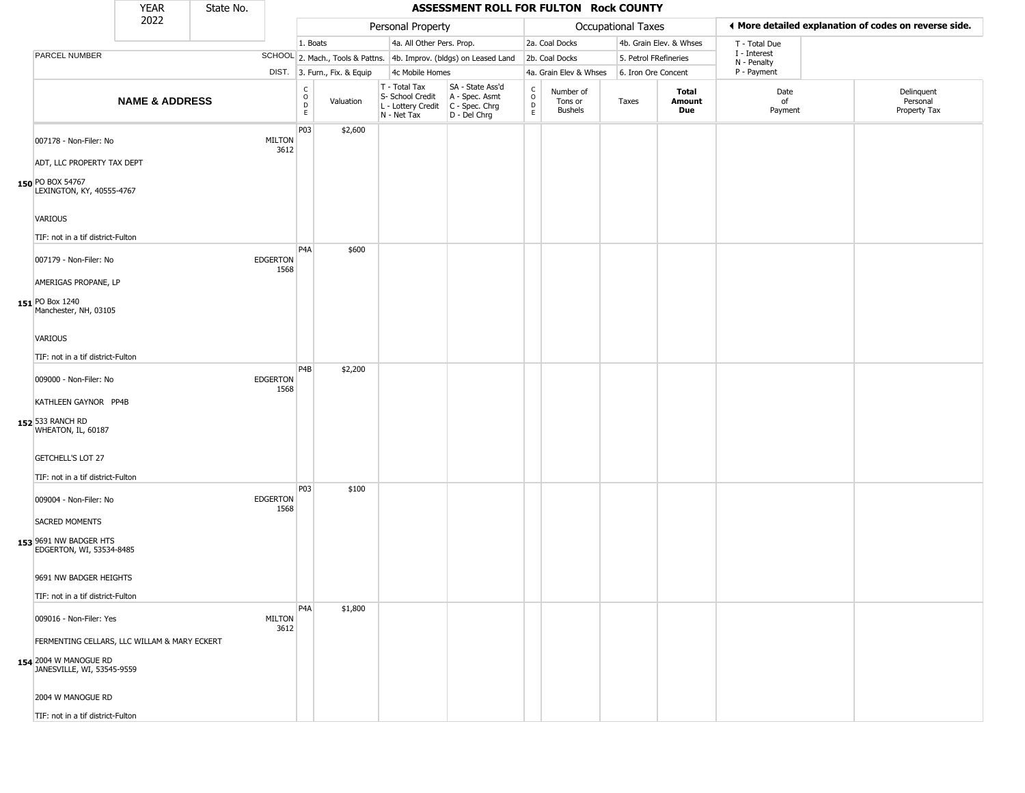|                                                                                            | <b>YEAR</b>               | State No. |                         |                                             |                              |                                                                        | ASSESSMENT ROLL FOR FULTON Rock COUNTY                                 |                                             |                                 |                       |                               |                             |                                                       |
|--------------------------------------------------------------------------------------------|---------------------------|-----------|-------------------------|---------------------------------------------|------------------------------|------------------------------------------------------------------------|------------------------------------------------------------------------|---------------------------------------------|---------------------------------|-----------------------|-------------------------------|-----------------------------|-------------------------------------------------------|
|                                                                                            | 2022                      |           |                         |                                             |                              | Personal Property                                                      |                                                                        |                                             |                                 | Occupational Taxes    |                               |                             | ◀ More detailed explanation of codes on reverse side. |
|                                                                                            |                           |           |                         | 1. Boats                                    |                              | 4a. All Other Pers. Prop.                                              |                                                                        |                                             | 2a. Coal Docks                  |                       | 4b. Grain Elev. & Whses       | T - Total Due               |                                                       |
| PARCEL NUMBER                                                                              |                           |           |                         |                                             |                              |                                                                        | SCHOOL 2. Mach., Tools & Pattns. 4b. Improv. (bldgs) on Leased Land    |                                             | 2b. Coal Docks                  | 5. Petrol FRefineries |                               | I - Interest<br>N - Penalty |                                                       |
|                                                                                            |                           |           |                         |                                             | DIST. 3. Furn., Fix. & Equip | 4c Mobile Homes                                                        |                                                                        |                                             | 4a. Grain Elev & Whses          | 6. Iron Ore Concent   |                               | P - Payment                 |                                                       |
|                                                                                            | <b>NAME &amp; ADDRESS</b> |           |                         | $\frac{c}{0}$<br>$\mathsf D$<br>$\mathsf E$ | Valuation                    | T - Total Tax<br>S- School Credit<br>L - Lottery Credit<br>N - Net Tax | SA - State Ass'd<br>A - Spec. Asmt<br>$C - Spec. Chrg$<br>D - Del Chrg | $\frac{C}{O}$<br>$\mathsf D$<br>$\mathsf E$ | Number of<br>Tons or<br>Bushels | Taxes                 | Total<br>Amount<br><b>Due</b> | Date<br>of<br>Payment       | Delinquent<br>Personal<br>Property Tax                |
| 007178 - Non-Filer: No<br>ADT, LLC PROPERTY TAX DEPT<br>150 PO BOX 54767                   |                           |           | <b>MILTON</b><br>3612   | P03                                         | \$2,600                      |                                                                        |                                                                        |                                             |                                 |                       |                               |                             |                                                       |
| LEXINGTON, KY, 40555-4767<br><b>VARIOUS</b><br>TIF: not in a tif district-Fulton           |                           |           |                         |                                             |                              |                                                                        |                                                                        |                                             |                                 |                       |                               |                             |                                                       |
| 007179 - Non-Filer: No<br>AMERIGAS PROPANE, LP<br>151 PO Box 1240<br>Manchester, NH, 03105 |                           |           | <b>EDGERTON</b><br>1568 | P <sub>4</sub> A                            | \$600                        |                                                                        |                                                                        |                                             |                                 |                       |                               |                             |                                                       |
| <b>VARIOUS</b><br>TIF: not in a tif district-Fulton                                        |                           |           |                         | P4B                                         | \$2,200                      |                                                                        |                                                                        |                                             |                                 |                       |                               |                             |                                                       |
| 009000 - Non-Filer: No<br>KATHLEEN GAYNOR PP4B<br>152 533 RANCH RD<br>WHEATON, IL, 60187   |                           |           | <b>EDGERTON</b><br>1568 |                                             |                              |                                                                        |                                                                        |                                             |                                 |                       |                               |                             |                                                       |
| GETCHELL'S LOT 27<br>TIF: not in a tif district-Fulton                                     |                           |           |                         |                                             |                              |                                                                        |                                                                        |                                             |                                 |                       |                               |                             |                                                       |
| 009004 - Non-Filer: No<br><b>SACRED MOMENTS</b>                                            |                           |           | <b>EDGERTON</b><br>1568 | P03                                         | \$100                        |                                                                        |                                                                        |                                             |                                 |                       |                               |                             |                                                       |
| 153 9691 NW BADGER HTS<br>EDGERTON, WI, 53534-8485                                         |                           |           |                         |                                             |                              |                                                                        |                                                                        |                                             |                                 |                       |                               |                             |                                                       |
| 9691 NW BADGER HEIGHTS<br>TIF: not in a tif district-Fulton                                |                           |           |                         |                                             |                              |                                                                        |                                                                        |                                             |                                 |                       |                               |                             |                                                       |
| 009016 - Non-Filer: Yes<br>FERMENTING CELLARS, LLC WILLAM & MARY ECKERT                    |                           |           | <b>MILTON</b><br>3612   | P <sub>4</sub> A                            | \$1,800                      |                                                                        |                                                                        |                                             |                                 |                       |                               |                             |                                                       |
| <b>154</b> 2004 W MANOGUE RD<br>JANESVILLE, WI, 53545-9559                                 |                           |           |                         |                                             |                              |                                                                        |                                                                        |                                             |                                 |                       |                               |                             |                                                       |
| 2004 W MANOGUE RD                                                                          |                           |           |                         |                                             |                              |                                                                        |                                                                        |                                             |                                 |                       |                               |                             |                                                       |
| TIF: not in a tif district-Fulton                                                          |                           |           |                         |                                             |                              |                                                                        |                                                                        |                                             |                                 |                       |                               |                             |                                                       |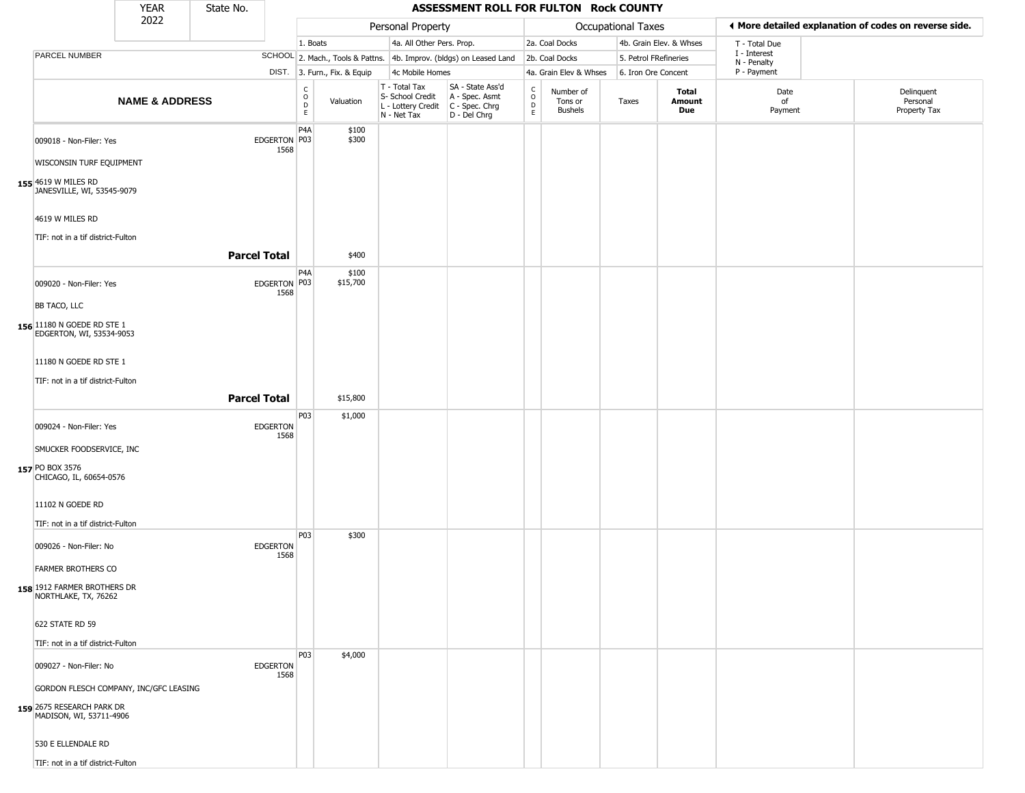| 2022<br>♦ More detailed explanation of codes on reverse side.<br>Personal Property<br>Occupational Taxes<br>4a. All Other Pers. Prop.<br>4b. Grain Elev. & Whses<br>2a. Coal Docks<br>1. Boats<br>T - Total Due<br>I - Interest<br>PARCEL NUMBER<br>SCHOOL 2. Mach., Tools & Pattns. 4b. Improv. (bldgs) on Leased Land<br>2b. Coal Docks<br>5. Petrol FRefineries<br>N - Penalty<br>P - Payment<br>DIST. 3. Furn., Fix. & Equip<br>4c Mobile Homes<br>4a. Grain Elev & Whses<br>6. Iron Ore Concent<br>SA - State Ass'd<br>T - Total Tax<br>$\mathsf{C}$<br>$_{\rm o}^{\rm c}$<br>Delinquent<br>Number of<br>Total<br>Date<br>$\mathsf O$<br>S- School Credit<br>A - Spec. Asmt<br><b>NAME &amp; ADDRESS</b><br>Valuation<br>of<br>Personal<br>Taxes<br>Amount<br>Tons or<br>D<br>$\mathsf D$<br>L - Lottery Credit<br>C - Spec. Chrg<br><b>Bushels</b><br>Due<br>Property Tax<br>Payment<br>$\mathsf E$<br>$\mathsf E$<br>N - Net Tax<br>D - Del Chrg<br>P4A<br>\$100<br>\$300<br>EDGERTON P03<br>009018 - Non-Filer: Yes<br>1568<br>WISCONSIN TURF EQUIPMENT<br>155 4619 W MILES RD<br>JANESVILLE, WI, 53545-9079<br>4619 W MILES RD<br>TIF: not in a tif district-Fulton<br><b>Parcel Total</b><br>\$400<br>P4A<br>\$100<br>EDGERTON P03<br>\$15,700<br>009020 - Non-Filer: Yes<br>1568<br>BB TACO, LLC<br>156 11180 N GOEDE RD STE 1<br>EDGERTON, WI, 53534-9053<br>11180 N GOEDE RD STE 1<br>TIF: not in a tif district-Fulton<br><b>Parcel Total</b><br>\$15,800<br>P03<br>\$1,000<br><b>EDGERTON</b><br>009024 - Non-Filer: Yes<br>1568 |  | <b>YEAR</b> | State No. |  |  | ASSESSMENT ROLL FOR FULTON Rock COUNTY |  |  |  |
|-------------------------------------------------------------------------------------------------------------------------------------------------------------------------------------------------------------------------------------------------------------------------------------------------------------------------------------------------------------------------------------------------------------------------------------------------------------------------------------------------------------------------------------------------------------------------------------------------------------------------------------------------------------------------------------------------------------------------------------------------------------------------------------------------------------------------------------------------------------------------------------------------------------------------------------------------------------------------------------------------------------------------------------------------------------------------------------------------------------------------------------------------------------------------------------------------------------------------------------------------------------------------------------------------------------------------------------------------------------------------------------------------------------------------------------------------------------------------------------------------------------------------------------------------|--|-------------|-----------|--|--|----------------------------------------|--|--|--|
|                                                                                                                                                                                                                                                                                                                                                                                                                                                                                                                                                                                                                                                                                                                                                                                                                                                                                                                                                                                                                                                                                                                                                                                                                                                                                                                                                                                                                                                                                                                                                 |  |             |           |  |  |                                        |  |  |  |
|                                                                                                                                                                                                                                                                                                                                                                                                                                                                                                                                                                                                                                                                                                                                                                                                                                                                                                                                                                                                                                                                                                                                                                                                                                                                                                                                                                                                                                                                                                                                                 |  |             |           |  |  |                                        |  |  |  |
|                                                                                                                                                                                                                                                                                                                                                                                                                                                                                                                                                                                                                                                                                                                                                                                                                                                                                                                                                                                                                                                                                                                                                                                                                                                                                                                                                                                                                                                                                                                                                 |  |             |           |  |  |                                        |  |  |  |
|                                                                                                                                                                                                                                                                                                                                                                                                                                                                                                                                                                                                                                                                                                                                                                                                                                                                                                                                                                                                                                                                                                                                                                                                                                                                                                                                                                                                                                                                                                                                                 |  |             |           |  |  |                                        |  |  |  |
|                                                                                                                                                                                                                                                                                                                                                                                                                                                                                                                                                                                                                                                                                                                                                                                                                                                                                                                                                                                                                                                                                                                                                                                                                                                                                                                                                                                                                                                                                                                                                 |  |             |           |  |  |                                        |  |  |  |
|                                                                                                                                                                                                                                                                                                                                                                                                                                                                                                                                                                                                                                                                                                                                                                                                                                                                                                                                                                                                                                                                                                                                                                                                                                                                                                                                                                                                                                                                                                                                                 |  |             |           |  |  |                                        |  |  |  |
|                                                                                                                                                                                                                                                                                                                                                                                                                                                                                                                                                                                                                                                                                                                                                                                                                                                                                                                                                                                                                                                                                                                                                                                                                                                                                                                                                                                                                                                                                                                                                 |  |             |           |  |  |                                        |  |  |  |
|                                                                                                                                                                                                                                                                                                                                                                                                                                                                                                                                                                                                                                                                                                                                                                                                                                                                                                                                                                                                                                                                                                                                                                                                                                                                                                                                                                                                                                                                                                                                                 |  |             |           |  |  |                                        |  |  |  |
|                                                                                                                                                                                                                                                                                                                                                                                                                                                                                                                                                                                                                                                                                                                                                                                                                                                                                                                                                                                                                                                                                                                                                                                                                                                                                                                                                                                                                                                                                                                                                 |  |             |           |  |  |                                        |  |  |  |
| SMUCKER FOODSERVICE, INC<br>157 PO BOX 3576<br>CHICAGO, IL, 60654-0576                                                                                                                                                                                                                                                                                                                                                                                                                                                                                                                                                                                                                                                                                                                                                                                                                                                                                                                                                                                                                                                                                                                                                                                                                                                                                                                                                                                                                                                                          |  |             |           |  |  |                                        |  |  |  |
| 11102 N GOEDE RD                                                                                                                                                                                                                                                                                                                                                                                                                                                                                                                                                                                                                                                                                                                                                                                                                                                                                                                                                                                                                                                                                                                                                                                                                                                                                                                                                                                                                                                                                                                                |  |             |           |  |  |                                        |  |  |  |
| TIF: not in a tif district-Fulton<br>P03<br>\$300<br>009026 - Non-Filer: No<br><b>EDGERTON</b><br>1568<br><b>FARMER BROTHERS CO</b><br>158 1912 FARMER BROTHERS DR<br>NORTHLAKE, TX, 76262                                                                                                                                                                                                                                                                                                                                                                                                                                                                                                                                                                                                                                                                                                                                                                                                                                                                                                                                                                                                                                                                                                                                                                                                                                                                                                                                                      |  |             |           |  |  |                                        |  |  |  |
| 622 STATE RD 59                                                                                                                                                                                                                                                                                                                                                                                                                                                                                                                                                                                                                                                                                                                                                                                                                                                                                                                                                                                                                                                                                                                                                                                                                                                                                                                                                                                                                                                                                                                                 |  |             |           |  |  |                                        |  |  |  |
| TIF: not in a tif district-Fulton                                                                                                                                                                                                                                                                                                                                                                                                                                                                                                                                                                                                                                                                                                                                                                                                                                                                                                                                                                                                                                                                                                                                                                                                                                                                                                                                                                                                                                                                                                               |  |             |           |  |  |                                        |  |  |  |
| \$4,000<br>P <sub>03</sub><br>009027 - Non-Filer: No<br><b>EDGERTON</b><br>1568<br>GORDON FLESCH COMPANY, INC/GFC LEASING<br>159 2675 RESEARCH PARK DR<br>MADISON, WI, 53711-4906<br>530 E ELLENDALE RD                                                                                                                                                                                                                                                                                                                                                                                                                                                                                                                                                                                                                                                                                                                                                                                                                                                                                                                                                                                                                                                                                                                                                                                                                                                                                                                                         |  |             |           |  |  |                                        |  |  |  |
| TIF: not in a tif district-Fulton                                                                                                                                                                                                                                                                                                                                                                                                                                                                                                                                                                                                                                                                                                                                                                                                                                                                                                                                                                                                                                                                                                                                                                                                                                                                                                                                                                                                                                                                                                               |  |             |           |  |  |                                        |  |  |  |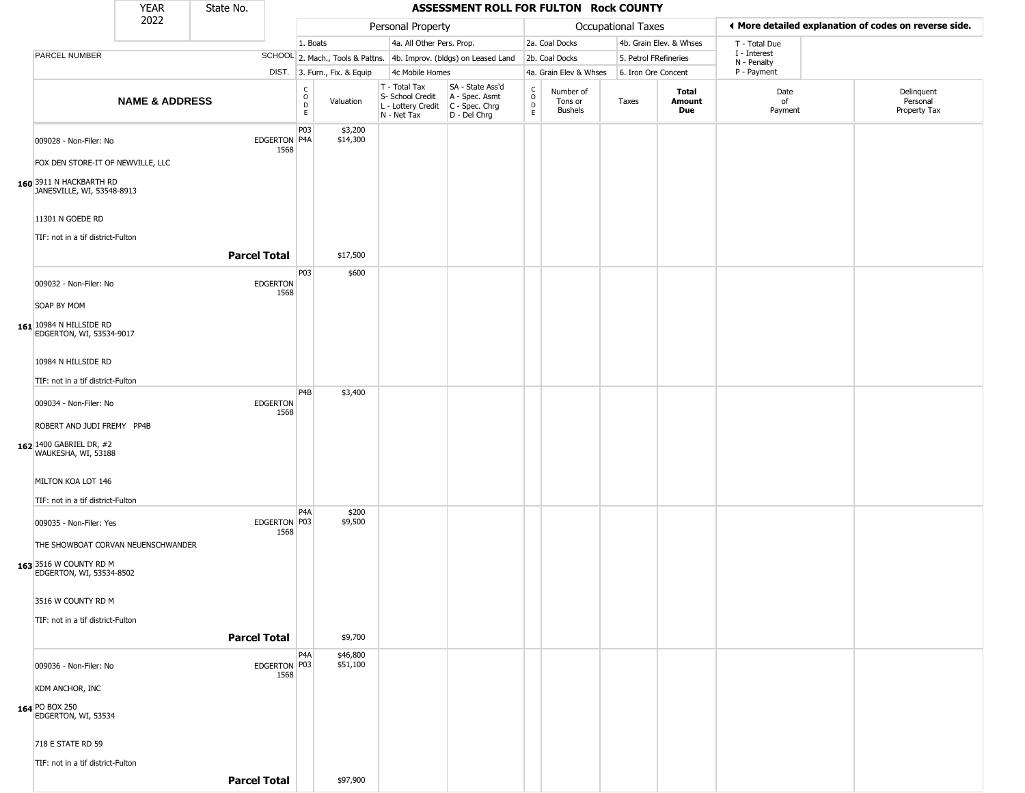|                                                                                          | <b>YEAR</b>               | State No.           |                         |                                   |                              |                                                                        | ASSESSMENT ROLL FOR FULTON Rock COUNTY                               |                                                 |                                        |                           |                         |                             |                                                       |
|------------------------------------------------------------------------------------------|---------------------------|---------------------|-------------------------|-----------------------------------|------------------------------|------------------------------------------------------------------------|----------------------------------------------------------------------|-------------------------------------------------|----------------------------------------|---------------------------|-------------------------|-----------------------------|-------------------------------------------------------|
|                                                                                          | 2022                      |                     |                         |                                   |                              | Personal Property                                                      |                                                                      |                                                 |                                        | <b>Occupational Taxes</b> |                         |                             | ♦ More detailed explanation of codes on reverse side. |
|                                                                                          |                           |                     |                         | 1. Boats                          |                              | 4a. All Other Pers. Prop.                                              |                                                                      |                                                 | 2a. Coal Docks                         |                           | 4b. Grain Elev. & Whses | T - Total Due               |                                                       |
| PARCEL NUMBER                                                                            |                           |                     |                         |                                   |                              |                                                                        | SCHOOL 2. Mach., Tools & Pattns. 4b. Improv. (bldgs) on Leased Land  |                                                 | 2b. Coal Docks                         | 5. Petrol FRefineries     |                         | I - Interest<br>N - Penalty |                                                       |
|                                                                                          |                           |                     |                         |                                   | DIST. 3. Furn., Fix. & Equip | 4c Mobile Homes                                                        |                                                                      |                                                 | 4a. Grain Elev & Whses                 | 6. Iron Ore Concent       |                         | P - Payment                 |                                                       |
|                                                                                          | <b>NAME &amp; ADDRESS</b> |                     |                         | $\frac{C}{O}$<br>$\mathsf D$<br>E | Valuation                    | T - Total Tax<br>S- School Credit<br>L - Lottery Credit<br>N - Net Tax | SA - State Ass'd<br>A - Spec. Asmt<br>C - Spec. Chrg<br>D - Del Chrg | $\begin{array}{c} C \\ O \\ D \\ E \end{array}$ | Number of<br>Tons or<br><b>Bushels</b> | Taxes                     | Total<br>Amount<br>Due  | Date<br>of<br>Payment       | Delinquent<br>Personal<br>Property Tax                |
| 009028 - Non-Filer: No                                                                   |                           |                     | EDGERTON P4A<br>1568    | P03                               | \$3,200<br>\$14,300          |                                                                        |                                                                      |                                                 |                                        |                           |                         |                             |                                                       |
| FOX DEN STORE-IT OF NEWVILLE, LLC                                                        |                           |                     |                         |                                   |                              |                                                                        |                                                                      |                                                 |                                        |                           |                         |                             |                                                       |
| 160 3911 N HACKBARTH RD<br>JANESVILLE, WI, 53548-8913                                    |                           |                     |                         |                                   |                              |                                                                        |                                                                      |                                                 |                                        |                           |                         |                             |                                                       |
| 11301 N GOEDE RD                                                                         |                           |                     |                         |                                   |                              |                                                                        |                                                                      |                                                 |                                        |                           |                         |                             |                                                       |
| TIF: not in a tif district-Fulton                                                        |                           | <b>Parcel Total</b> |                         |                                   | \$17,500                     |                                                                        |                                                                      |                                                 |                                        |                           |                         |                             |                                                       |
| 009032 - Non-Filer: No                                                                   |                           |                     | <b>EDGERTON</b><br>1568 | P03                               | \$600                        |                                                                        |                                                                      |                                                 |                                        |                           |                         |                             |                                                       |
| SOAP BY MOM                                                                              |                           |                     |                         |                                   |                              |                                                                        |                                                                      |                                                 |                                        |                           |                         |                             |                                                       |
| 161 10984 N HILLSIDE RD<br>EDGERTON, WI, 53534-9017                                      |                           |                     |                         |                                   |                              |                                                                        |                                                                      |                                                 |                                        |                           |                         |                             |                                                       |
| 10984 N HILLSIDE RD                                                                      |                           |                     |                         |                                   |                              |                                                                        |                                                                      |                                                 |                                        |                           |                         |                             |                                                       |
| TIF: not in a tif district-Fulton                                                        |                           |                     |                         |                                   |                              |                                                                        |                                                                      |                                                 |                                        |                           |                         |                             |                                                       |
| 009034 - Non-Filer: No                                                                   |                           |                     | EDGERTON<br>1568        | P <sub>4</sub> B                  | \$3,400                      |                                                                        |                                                                      |                                                 |                                        |                           |                         |                             |                                                       |
| ROBERT AND JUDI FREMY PP4B                                                               |                           |                     |                         |                                   |                              |                                                                        |                                                                      |                                                 |                                        |                           |                         |                             |                                                       |
| 162 1400 GABRIEL DR, #2<br>WAUKESHA, WI, 53188                                           |                           |                     |                         |                                   |                              |                                                                        |                                                                      |                                                 |                                        |                           |                         |                             |                                                       |
| MILTON KOA LOT 146                                                                       |                           |                     |                         |                                   |                              |                                                                        |                                                                      |                                                 |                                        |                           |                         |                             |                                                       |
| TIF: not in a tif district-Fulton                                                        |                           |                     |                         |                                   |                              |                                                                        |                                                                      |                                                 |                                        |                           |                         |                             |                                                       |
| 009035 - Non-Filer: Yes                                                                  |                           |                     | EDGERTON P03<br>1568    | P <sub>4</sub> A                  | \$200<br>\$9,500             |                                                                        |                                                                      |                                                 |                                        |                           |                         |                             |                                                       |
| THE SHOWBOAT CORVAN NEUENSCHWANDER<br>163 3516 W COUNTY RD M<br>EDGERTON, WI, 53534-8502 |                           |                     |                         |                                   |                              |                                                                        |                                                                      |                                                 |                                        |                           |                         |                             |                                                       |
| 3516 W COUNTY RD M                                                                       |                           |                     |                         |                                   |                              |                                                                        |                                                                      |                                                 |                                        |                           |                         |                             |                                                       |
| TIF: not in a tif district-Fulton                                                        |                           |                     |                         |                                   |                              |                                                                        |                                                                      |                                                 |                                        |                           |                         |                             |                                                       |
|                                                                                          |                           | <b>Parcel Total</b> |                         |                                   | \$9,700                      |                                                                        |                                                                      |                                                 |                                        |                           |                         |                             |                                                       |
| 009036 - Non-Filer: No                                                                   |                           |                     | EDGERTON   P03          | P <sub>4</sub> A                  | \$46,800<br>\$51,100         |                                                                        |                                                                      |                                                 |                                        |                           |                         |                             |                                                       |
| KDM ANCHOR, INC                                                                          |                           |                     | 1568                    |                                   |                              |                                                                        |                                                                      |                                                 |                                        |                           |                         |                             |                                                       |
| 164 PO BOX 250<br>EDGERTON, WI, 53534                                                    |                           |                     |                         |                                   |                              |                                                                        |                                                                      |                                                 |                                        |                           |                         |                             |                                                       |
| 718 E STATE RD 59                                                                        |                           |                     |                         |                                   |                              |                                                                        |                                                                      |                                                 |                                        |                           |                         |                             |                                                       |
| TIF: not in a tif district-Fulton                                                        |                           | <b>Parcel Total</b> |                         |                                   | \$97,900                     |                                                                        |                                                                      |                                                 |                                        |                           |                         |                             |                                                       |
|                                                                                          |                           |                     |                         |                                   |                              |                                                                        |                                                                      |                                                 |                                        |                           |                         |                             |                                                       |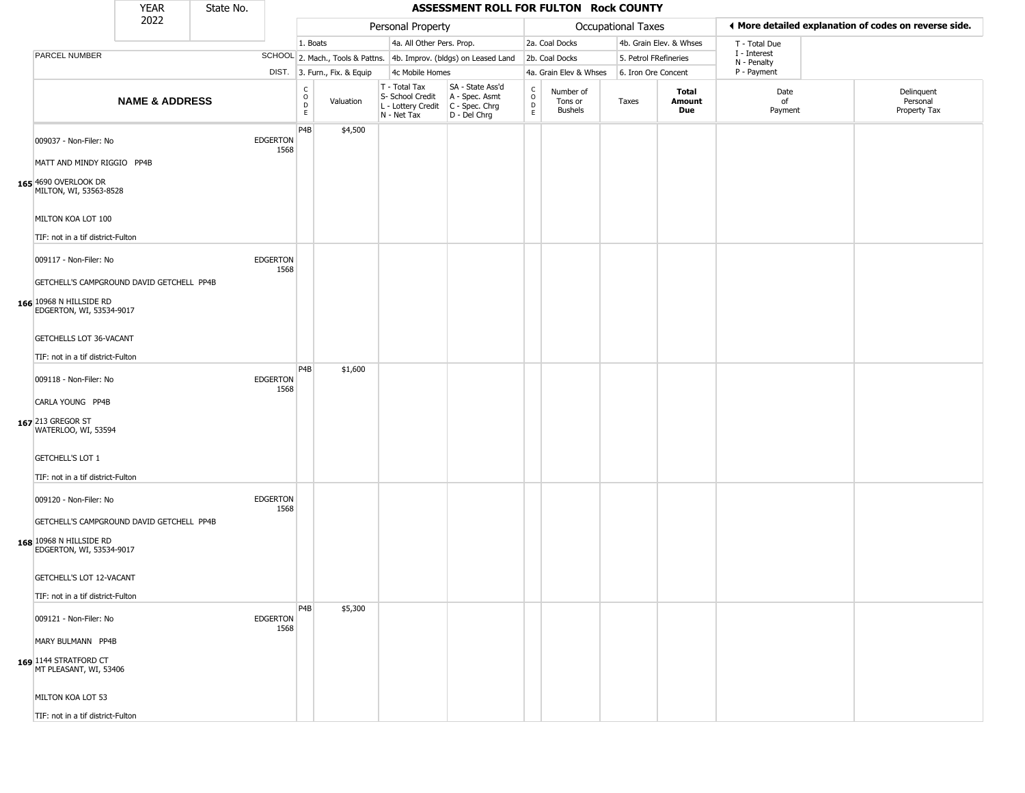|                                                                                                        | <b>YEAR</b>               | State No. |                         |                                  |                              |                                                                        | ASSESSMENT ROLL FOR FULTON Rock COUNTY                                 |                                  |                                 |                       |                         |                             |                                                       |
|--------------------------------------------------------------------------------------------------------|---------------------------|-----------|-------------------------|----------------------------------|------------------------------|------------------------------------------------------------------------|------------------------------------------------------------------------|----------------------------------|---------------------------------|-----------------------|-------------------------|-----------------------------|-------------------------------------------------------|
|                                                                                                        | 2022                      |           |                         |                                  |                              | Personal Property                                                      |                                                                        |                                  |                                 | Occupational Taxes    |                         |                             | ♦ More detailed explanation of codes on reverse side. |
|                                                                                                        |                           |           |                         | 1. Boats                         |                              | 4a. All Other Pers. Prop.                                              |                                                                        |                                  | 2a. Coal Docks                  |                       | 4b. Grain Elev. & Whses | T - Total Due               |                                                       |
| PARCEL NUMBER                                                                                          |                           |           |                         |                                  |                              |                                                                        | SCHOOL 2. Mach., Tools & Pattns. 4b. Improv. (bldgs) on Leased Land    |                                  | 2b. Coal Docks                  | 5. Petrol FRefineries |                         | I - Interest<br>N - Penalty |                                                       |
|                                                                                                        |                           |           |                         |                                  | DIST. 3. Furn., Fix. & Equip | 4c Mobile Homes                                                        |                                                                        |                                  | 4a. Grain Elev & Whses          | 6. Iron Ore Concent   |                         | P - Payment                 |                                                       |
|                                                                                                        | <b>NAME &amp; ADDRESS</b> |           |                         | C<br>$\circ$<br>$\mathsf D$<br>E | Valuation                    | T - Total Tax<br>S- School Credit<br>L - Lottery Credit<br>N - Net Tax | SA - State Ass'd<br>A - Spec. Asmt<br>$C - Spec. Chrg$<br>D - Del Chrg | C<br>$\circ$<br>D<br>$\mathsf E$ | Number of<br>Tons or<br>Bushels | Taxes                 | Total<br>Amount<br>Due  | Date<br>of<br>Payment       | Delinquent<br>Personal<br>Property Tax                |
| 009037 - Non-Filer: No<br>MATT AND MINDY RIGGIO PP4B<br>165 4690 OVERLOOK DR<br>MILTON, WI, 53563-8528 |                           |           | <b>EDGERTON</b><br>1568 | P4B                              | \$4,500                      |                                                                        |                                                                        |                                  |                                 |                       |                         |                             |                                                       |
| MILTON KOA LOT 100<br>TIF: not in a tif district-Fulton                                                |                           |           |                         |                                  |                              |                                                                        |                                                                        |                                  |                                 |                       |                         |                             |                                                       |
| 009117 - Non-Filer: No<br>GETCHELL'S CAMPGROUND DAVID GETCHELL PP4B                                    |                           |           | <b>EDGERTON</b><br>1568 |                                  |                              |                                                                        |                                                                        |                                  |                                 |                       |                         |                             |                                                       |
| 166 10968 N HILLSIDE RD<br>EDGERTON, WI, 53534-9017<br>GETCHELLS LOT 36-VACANT                         |                           |           |                         |                                  |                              |                                                                        |                                                                        |                                  |                                 |                       |                         |                             |                                                       |
| TIF: not in a tif district-Fulton                                                                      |                           |           |                         |                                  |                              |                                                                        |                                                                        |                                  |                                 |                       |                         |                             |                                                       |
| 009118 - Non-Filer: No                                                                                 |                           |           | <b>EDGERTON</b><br>1568 | P <sub>4</sub> B                 | \$1,600                      |                                                                        |                                                                        |                                  |                                 |                       |                         |                             |                                                       |
| CARLA YOUNG PP4B<br>167 213 GREGOR ST<br>WATERLOO, WI, 53594                                           |                           |           |                         |                                  |                              |                                                                        |                                                                        |                                  |                                 |                       |                         |                             |                                                       |
| <b>GETCHELL'S LOT 1</b><br>TIF: not in a tif district-Fulton                                           |                           |           |                         |                                  |                              |                                                                        |                                                                        |                                  |                                 |                       |                         |                             |                                                       |
| 009120 - Non-Filer: No                                                                                 |                           |           | <b>EDGERTON</b><br>1568 |                                  |                              |                                                                        |                                                                        |                                  |                                 |                       |                         |                             |                                                       |
| GETCHELL'S CAMPGROUND DAVID GETCHELL PP4B<br>168 10968 N HILLSIDE RD<br>EDGERTON, WI, 53534-9017       |                           |           |                         |                                  |                              |                                                                        |                                                                        |                                  |                                 |                       |                         |                             |                                                       |
| GETCHELL'S LOT 12-VACANT                                                                               |                           |           |                         |                                  |                              |                                                                        |                                                                        |                                  |                                 |                       |                         |                             |                                                       |
| TIF: not in a tif district-Fulton<br>009121 - Non-Filer: No                                            |                           |           | <b>EDGERTON</b><br>1568 | P4B                              | \$5,300                      |                                                                        |                                                                        |                                  |                                 |                       |                         |                             |                                                       |
| MARY BULMANN PP4B                                                                                      |                           |           |                         |                                  |                              |                                                                        |                                                                        |                                  |                                 |                       |                         |                             |                                                       |
| 169 1144 STRATFORD CT<br>MT PLEASANT, WI, 53406                                                        |                           |           |                         |                                  |                              |                                                                        |                                                                        |                                  |                                 |                       |                         |                             |                                                       |
| MILTON KOA LOT 53                                                                                      |                           |           |                         |                                  |                              |                                                                        |                                                                        |                                  |                                 |                       |                         |                             |                                                       |
| TIF: not in a tif district-Fulton                                                                      |                           |           |                         |                                  |                              |                                                                        |                                                                        |                                  |                                 |                       |                         |                             |                                                       |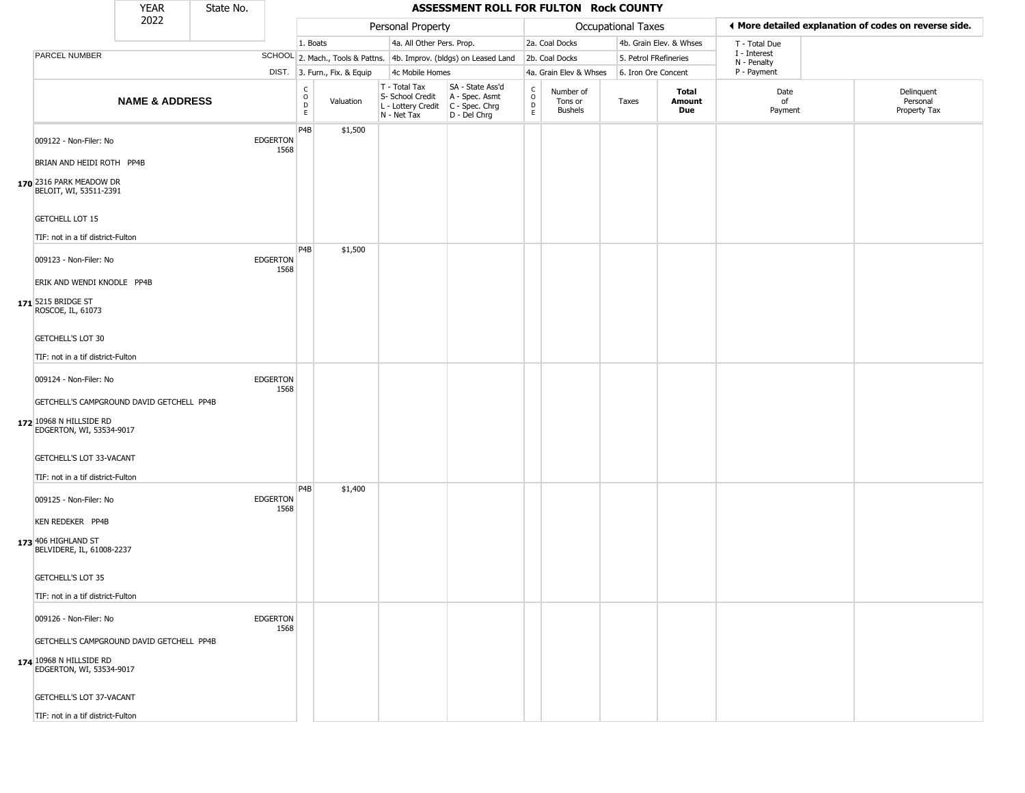|                                                                                                                                                                                             | <b>YEAR</b>               | State No. |                         |                                                 |                              |                                                                                         | ASSESSMENT ROLL FOR FULTON Rock COUNTY                              |                    |                                 |                       |                         |                             |                                                       |
|---------------------------------------------------------------------------------------------------------------------------------------------------------------------------------------------|---------------------------|-----------|-------------------------|-------------------------------------------------|------------------------------|-----------------------------------------------------------------------------------------|---------------------------------------------------------------------|--------------------|---------------------------------|-----------------------|-------------------------|-----------------------------|-------------------------------------------------------|
|                                                                                                                                                                                             | 2022                      |           |                         |                                                 |                              | Personal Property                                                                       |                                                                     |                    |                                 | Occupational Taxes    |                         |                             | ◀ More detailed explanation of codes on reverse side. |
|                                                                                                                                                                                             |                           |           |                         | 1. Boats                                        |                              | 4a. All Other Pers. Prop.                                                               |                                                                     |                    | 2a. Coal Docks                  |                       | 4b. Grain Elev. & Whses | T - Total Due               |                                                       |
| PARCEL NUMBER                                                                                                                                                                               |                           |           |                         |                                                 |                              |                                                                                         | SCHOOL 2. Mach., Tools & Pattns. 4b. Improv. (bldgs) on Leased Land |                    | 2b. Coal Docks                  | 5. Petrol FRefineries |                         | I - Interest<br>N - Penalty |                                                       |
|                                                                                                                                                                                             |                           |           |                         |                                                 | DIST. 3. Furn., Fix. & Equip | 4c Mobile Homes                                                                         |                                                                     |                    | 4a. Grain Elev & Whses          | 6. Iron Ore Concent   |                         | P - Payment                 |                                                       |
|                                                                                                                                                                                             | <b>NAME &amp; ADDRESS</b> |           |                         | $\begin{array}{c} C \\ O \\ D \\ E \end{array}$ | Valuation                    | T - Total Tax<br>S- School Credit<br>L - Lottery Credit   C - Spec. Chrg<br>N - Net Tax | SA - State Ass'd<br>A - Spec. Asmt<br>D - Del Chrg                  | $\delta$<br>D<br>E | Number of<br>Tons or<br>Bushels | Taxes                 | Total<br>Amount<br>Due  | Date<br>of<br>Payment       | Delinquent<br>Personal<br>Property Tax                |
| 009122 - Non-Filer: No<br>BRIAN AND HEIDI ROTH PP4B<br>170 2316 PARK MEADOW DR<br>BELOIT, WI, 53511-2391<br><b>GETCHELL LOT 15</b>                                                          |                           |           | <b>EDGERTON</b><br>1568 | P4B                                             | \$1,500                      |                                                                                         |                                                                     |                    |                                 |                       |                         |                             |                                                       |
| TIF: not in a tif district-Fulton                                                                                                                                                           |                           |           |                         |                                                 |                              |                                                                                         |                                                                     |                    |                                 |                       |                         |                             |                                                       |
| 009123 - Non-Filer: No<br>ERIK AND WENDI KNODLE PP4B<br>171 5215 BRIDGE ST<br>ROSCOE, IL, 61073<br>GETCHELL'S LOT 30                                                                        |                           |           | <b>EDGERTON</b><br>1568 | P4B                                             | \$1,500                      |                                                                                         |                                                                     |                    |                                 |                       |                         |                             |                                                       |
| TIF: not in a tif district-Fulton                                                                                                                                                           |                           |           |                         |                                                 |                              |                                                                                         |                                                                     |                    |                                 |                       |                         |                             |                                                       |
| 009124 - Non-Filer: No<br>GETCHELL'S CAMPGROUND DAVID GETCHELL PP4B<br>172 10968 N HILLSIDE RD<br>EDGERTON, WI, 53534-9017<br>GETCHELL'S LOT 33-VACANT<br>TIF: not in a tif district-Fulton |                           |           | <b>EDGERTON</b><br>1568 |                                                 |                              |                                                                                         |                                                                     |                    |                                 |                       |                         |                             |                                                       |
| 009125 - Non-Filer: No<br><b>KEN REDEKER PP4B</b><br>173 406 HIGHLAND ST<br>BELVIDERE, IL, 61008-2237<br>GETCHELL'S LOT 35<br>TIF: not in a tif district-Fulton                             |                           |           | <b>EDGERTON</b><br>1568 | P4B                                             | \$1,400                      |                                                                                         |                                                                     |                    |                                 |                       |                         |                             |                                                       |
| 009126 - Non-Filer: No<br>GETCHELL'S CAMPGROUND DAVID GETCHELL PP4B<br>174 10968 N HILLSIDE RD<br>EDGERTON, WI, 53534-9017<br>GETCHELL'S LOT 37-VACANT<br>TIF: not in a tif district-Fulton |                           |           | <b>EDGERTON</b><br>1568 |                                                 |                              |                                                                                         |                                                                     |                    |                                 |                       |                         |                             |                                                       |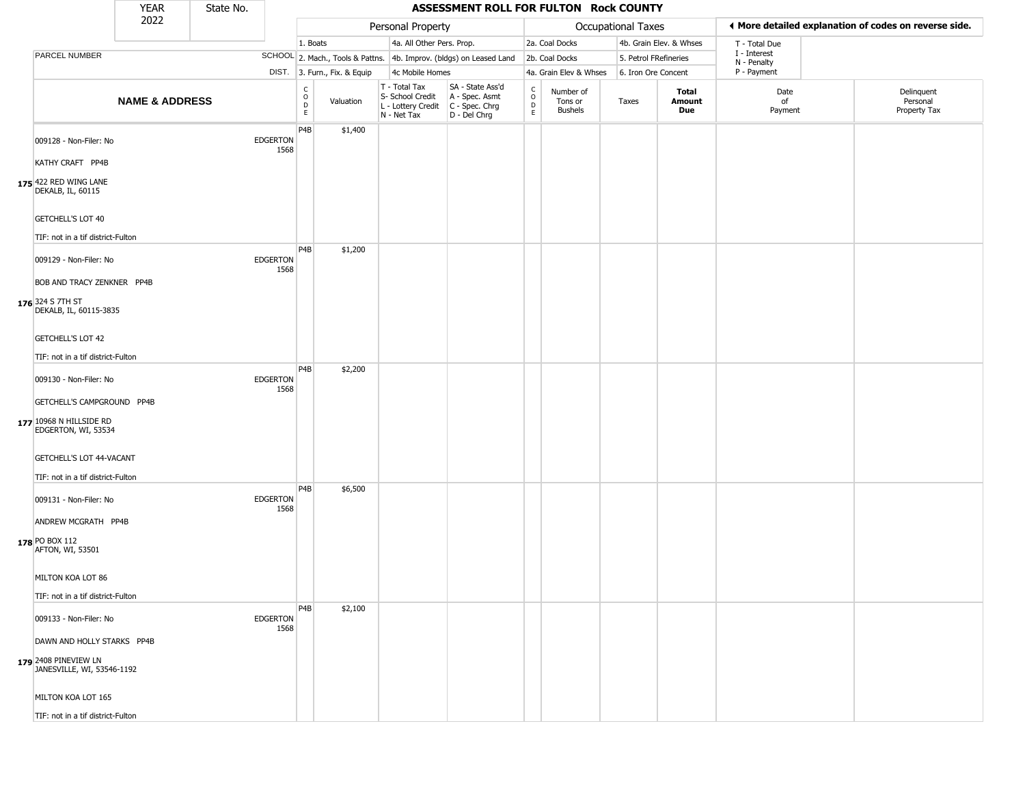|                                                                                  | <b>YEAR</b>               | State No. |                         |                                                          |                              |                                                                        | ASSESSMENT ROLL FOR FULTON Rock COUNTY                               |                                                |                                 |                       |                         |                             |                                                       |
|----------------------------------------------------------------------------------|---------------------------|-----------|-------------------------|----------------------------------------------------------|------------------------------|------------------------------------------------------------------------|----------------------------------------------------------------------|------------------------------------------------|---------------------------------|-----------------------|-------------------------|-----------------------------|-------------------------------------------------------|
|                                                                                  | 2022                      |           |                         |                                                          |                              | Personal Property                                                      |                                                                      |                                                |                                 | Occupational Taxes    |                         |                             | ◀ More detailed explanation of codes on reverse side. |
|                                                                                  |                           |           |                         | 1. Boats                                                 |                              | 4a. All Other Pers. Prop.                                              |                                                                      |                                                | 2a. Coal Docks                  |                       | 4b. Grain Elev. & Whses | T - Total Due               |                                                       |
| PARCEL NUMBER                                                                    |                           |           |                         |                                                          |                              |                                                                        | SCHOOL 2. Mach., Tools & Pattns. 4b. Improv. (bldgs) on Leased Land  |                                                | 2b. Coal Docks                  | 5. Petrol FRefineries |                         | I - Interest<br>N - Penalty |                                                       |
|                                                                                  |                           |           |                         |                                                          | DIST. 3. Furn., Fix. & Equip | 4c Mobile Homes                                                        |                                                                      |                                                | 4a. Grain Elev & Whses          | 6. Iron Ore Concent   |                         | P - Payment                 |                                                       |
|                                                                                  | <b>NAME &amp; ADDRESS</b> |           |                         | $\begin{matrix} 0 \\ 0 \\ D \end{matrix}$<br>$\mathsf E$ | Valuation                    | T - Total Tax<br>S- School Credit<br>L - Lottery Credit<br>N - Net Tax | SA - State Ass'd<br>A - Spec. Asmt<br>C - Spec. Chrg<br>D - Del Chrg | $\begin{matrix} 0 \\ 0 \\ D \end{matrix}$<br>E | Number of<br>Tons or<br>Bushels | Taxes                 | Total<br>Amount<br>Due  | Date<br>of<br>Payment       | Delinquent<br>Personal<br>Property Tax                |
| 009128 - Non-Filer: No                                                           |                           |           | <b>EDGERTON</b><br>1568 | P4B                                                      | \$1,400                      |                                                                        |                                                                      |                                                |                                 |                       |                         |                             |                                                       |
| KATHY CRAFT PP4B<br>175 422 RED WING LANE<br>DEKALB, IL, 60115                   |                           |           |                         |                                                          |                              |                                                                        |                                                                      |                                                |                                 |                       |                         |                             |                                                       |
| GETCHELL'S LOT 40<br>TIF: not in a tif district-Fulton                           |                           |           |                         |                                                          |                              |                                                                        |                                                                      |                                                |                                 |                       |                         |                             |                                                       |
| 009129 - Non-Filer: No                                                           |                           |           | <b>EDGERTON</b><br>1568 | P4B                                                      | \$1,200                      |                                                                        |                                                                      |                                                |                                 |                       |                         |                             |                                                       |
| BOB AND TRACY ZENKNER PP4B<br>176 324 S 7TH ST<br>DEKALB, IL, 60115-3835         |                           |           |                         |                                                          |                              |                                                                        |                                                                      |                                                |                                 |                       |                         |                             |                                                       |
| GETCHELL'S LOT 42<br>TIF: not in a tif district-Fulton                           |                           |           |                         |                                                          |                              |                                                                        |                                                                      |                                                |                                 |                       |                         |                             |                                                       |
| 009130 - Non-Filer: No                                                           |                           |           | <b>EDGERTON</b><br>1568 | P <sub>4</sub> B                                         | \$2,200                      |                                                                        |                                                                      |                                                |                                 |                       |                         |                             |                                                       |
| GETCHELL'S CAMPGROUND PP4B<br>177 10968 N HILLSIDE RD<br>EDGERTON, WI, 53534     |                           |           |                         |                                                          |                              |                                                                        |                                                                      |                                                |                                 |                       |                         |                             |                                                       |
| GETCHELL'S LOT 44-VACANT<br>TIF: not in a tif district-Fulton                    |                           |           |                         |                                                          |                              |                                                                        |                                                                      |                                                |                                 |                       |                         |                             |                                                       |
| 009131 - Non-Filer: No                                                           |                           |           | <b>EDGERTON</b><br>1568 | P <sub>4</sub> B                                         | \$6,500                      |                                                                        |                                                                      |                                                |                                 |                       |                         |                             |                                                       |
| ANDREW MCGRATH PP4B<br>178 PO BOX 112<br>AFTON, WI, 53501                        |                           |           |                         |                                                          |                              |                                                                        |                                                                      |                                                |                                 |                       |                         |                             |                                                       |
| MILTON KOA LOT 86                                                                |                           |           |                         |                                                          |                              |                                                                        |                                                                      |                                                |                                 |                       |                         |                             |                                                       |
| TIF: not in a tif district-Fulton<br>009133 - Non-Filer: No                      |                           |           | <b>EDGERTON</b><br>1568 | P4B                                                      | \$2,100                      |                                                                        |                                                                      |                                                |                                 |                       |                         |                             |                                                       |
| DAWN AND HOLLY STARKS PP4B<br>179 2408 PINEVIEW LN<br>JANESVILLE, WI, 53546-1192 |                           |           |                         |                                                          |                              |                                                                        |                                                                      |                                                |                                 |                       |                         |                             |                                                       |
| MILTON KOA LOT 165                                                               |                           |           |                         |                                                          |                              |                                                                        |                                                                      |                                                |                                 |                       |                         |                             |                                                       |
| TIF: not in a tif district-Fulton                                                |                           |           |                         |                                                          |                              |                                                                        |                                                                      |                                                |                                 |                       |                         |                             |                                                       |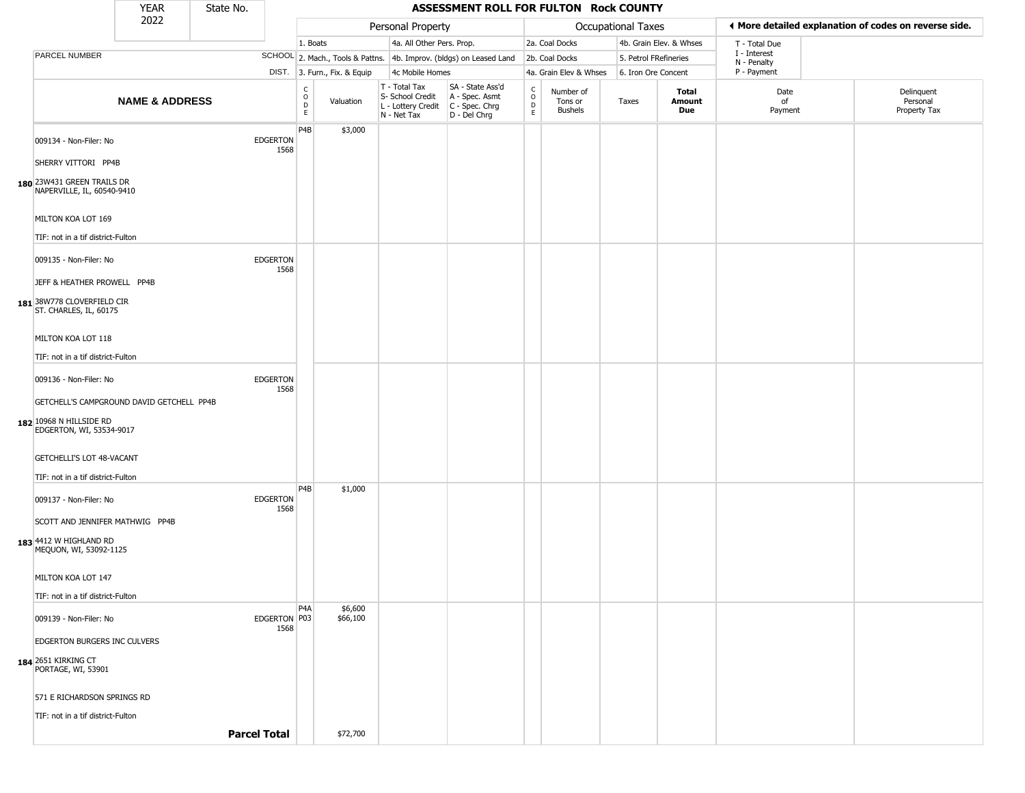|                                                                                                  | <b>YEAR</b>               | State No. |                         |                                                |                              |                                                                        | ASSESSMENT ROLL FOR FULTON Rock COUNTY                               |                                              |                                        |                       |                         |                             |                                                       |
|--------------------------------------------------------------------------------------------------|---------------------------|-----------|-------------------------|------------------------------------------------|------------------------------|------------------------------------------------------------------------|----------------------------------------------------------------------|----------------------------------------------|----------------------------------------|-----------------------|-------------------------|-----------------------------|-------------------------------------------------------|
|                                                                                                  | 2022                      |           |                         |                                                |                              | Personal Property                                                      |                                                                      |                                              |                                        | Occupational Taxes    |                         |                             | ◀ More detailed explanation of codes on reverse side. |
|                                                                                                  |                           |           |                         | 1. Boats                                       |                              | 4a. All Other Pers. Prop.                                              |                                                                      |                                              | 2a. Coal Docks                         |                       | 4b. Grain Elev. & Whses | T - Total Due               |                                                       |
| PARCEL NUMBER                                                                                    |                           |           |                         |                                                |                              |                                                                        | SCHOOL 2. Mach., Tools & Pattns. 4b. Improv. (bldgs) on Leased Land  |                                              | 2b. Coal Docks                         | 5. Petrol FRefineries |                         | I - Interest<br>N - Penalty |                                                       |
|                                                                                                  |                           |           |                         |                                                | DIST. 3. Furn., Fix. & Equip | 4c Mobile Homes                                                        |                                                                      |                                              | 4a. Grain Elev & Whses                 | 6. Iron Ore Concent   |                         | P - Payment                 |                                                       |
|                                                                                                  | <b>NAME &amp; ADDRESS</b> |           |                         | C<br>$\mathsf O$<br>$\mathsf D$<br>$\mathsf E$ | Valuation                    | T - Total Tax<br>S- School Credit<br>L - Lottery Credit<br>N - Net Tax | SA - State Ass'd<br>A - Spec. Asmt<br>C - Spec. Chrg<br>D - Del Chrg | $\int_{0}^{c}$<br>$\mathsf D$<br>$\mathsf E$ | Number of<br>Tons or<br><b>Bushels</b> | Taxes                 | Total<br>Amount<br>Due  | Date<br>of<br>Payment       | Delinquent<br>Personal<br>Property Tax                |
| 009134 - Non-Filer: No                                                                           |                           |           | <b>EDGERTON</b><br>1568 | P4B                                            | \$3,000                      |                                                                        |                                                                      |                                              |                                        |                       |                         |                             |                                                       |
| SHERRY VITTORI PP4B<br>180 23W431 GREEN TRAILS DR<br>NAPERVILLE, IL, 60540-9410                  |                           |           |                         |                                                |                              |                                                                        |                                                                      |                                              |                                        |                       |                         |                             |                                                       |
| MILTON KOA LOT 169                                                                               |                           |           |                         |                                                |                              |                                                                        |                                                                      |                                              |                                        |                       |                         |                             |                                                       |
| TIF: not in a tif district-Fulton                                                                |                           |           |                         |                                                |                              |                                                                        |                                                                      |                                              |                                        |                       |                         |                             |                                                       |
| 009135 - Non-Filer: No<br>JEFF & HEATHER PROWELL PP4B                                            |                           |           | <b>EDGERTON</b><br>1568 |                                                |                              |                                                                        |                                                                      |                                              |                                        |                       |                         |                             |                                                       |
| 181 38W778 CLOVERFIELD CIR<br>ST. CHARLES, IL, 60175                                             |                           |           |                         |                                                |                              |                                                                        |                                                                      |                                              |                                        |                       |                         |                             |                                                       |
| MILTON KOA LOT 118                                                                               |                           |           |                         |                                                |                              |                                                                        |                                                                      |                                              |                                        |                       |                         |                             |                                                       |
| TIF: not in a tif district-Fulton                                                                |                           |           |                         |                                                |                              |                                                                        |                                                                      |                                              |                                        |                       |                         |                             |                                                       |
| 009136 - Non-Filer: No                                                                           |                           |           | <b>EDGERTON</b><br>1568 |                                                |                              |                                                                        |                                                                      |                                              |                                        |                       |                         |                             |                                                       |
| GETCHELL'S CAMPGROUND DAVID GETCHELL PP4B<br>182 10968 N HILLSIDE RD<br>EDGERTON, WI, 53534-9017 |                           |           |                         |                                                |                              |                                                                        |                                                                      |                                              |                                        |                       |                         |                             |                                                       |
| GETCHELLI'S LOT 48-VACANT                                                                        |                           |           |                         |                                                |                              |                                                                        |                                                                      |                                              |                                        |                       |                         |                             |                                                       |
| TIF: not in a tif district-Fulton                                                                |                           |           |                         | P4B                                            | \$1,000                      |                                                                        |                                                                      |                                              |                                        |                       |                         |                             |                                                       |
| 009137 - Non-Filer: No<br>SCOTT AND JENNIFER MATHWIG PP4B                                        |                           |           | <b>EDGERTON</b><br>1568 |                                                |                              |                                                                        |                                                                      |                                              |                                        |                       |                         |                             |                                                       |
| 183 4412 W HIGHLAND RD<br>MEQUON, WI, 53092-1125                                                 |                           |           |                         |                                                |                              |                                                                        |                                                                      |                                              |                                        |                       |                         |                             |                                                       |
| MILTON KOA LOT 147                                                                               |                           |           |                         |                                                |                              |                                                                        |                                                                      |                                              |                                        |                       |                         |                             |                                                       |
| TIF: not in a tif district-Fulton<br>009139 - Non-Filer: No                                      |                           |           | EDGERTON P03<br>1568    | P <sub>4</sub> A                               | \$6,600<br>\$66,100          |                                                                        |                                                                      |                                              |                                        |                       |                         |                             |                                                       |
| <b>EDGERTON BURGERS INC CULVERS</b>                                                              |                           |           |                         |                                                |                              |                                                                        |                                                                      |                                              |                                        |                       |                         |                             |                                                       |
| 184 2651 KIRKING CT<br>PORTAGE, WI, 53901                                                        |                           |           |                         |                                                |                              |                                                                        |                                                                      |                                              |                                        |                       |                         |                             |                                                       |
| 571 E RICHARDSON SPRINGS RD                                                                      |                           |           |                         |                                                |                              |                                                                        |                                                                      |                                              |                                        |                       |                         |                             |                                                       |
| TIF: not in a tif district-Fulton                                                                |                           |           |                         |                                                |                              |                                                                        |                                                                      |                                              |                                        |                       |                         |                             |                                                       |
|                                                                                                  |                           |           | <b>Parcel Total</b>     |                                                | \$72,700                     |                                                                        |                                                                      |                                              |                                        |                       |                         |                             |                                                       |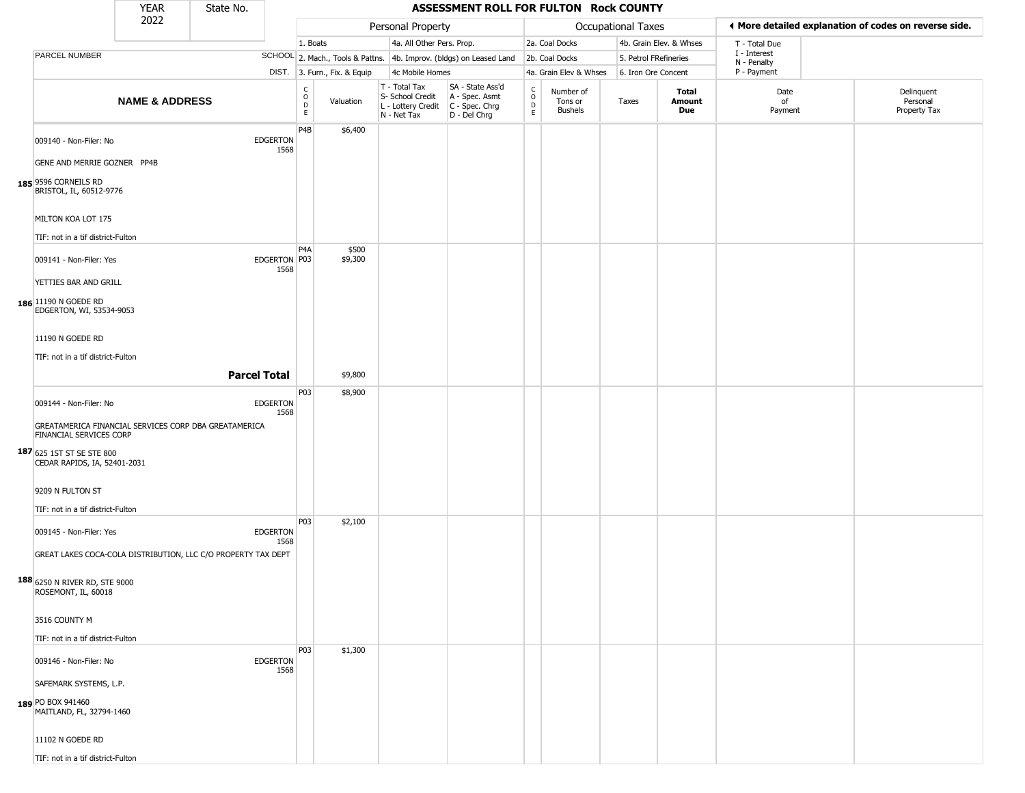|                                                                                 | <b>YEAR</b>               | State No. |                         |                                             |                              |                                                                        | ASSESSMENT ROLL FOR FULTON Rock COUNTY                               |                                |                                        |                       |                         |                             |                                                       |
|---------------------------------------------------------------------------------|---------------------------|-----------|-------------------------|---------------------------------------------|------------------------------|------------------------------------------------------------------------|----------------------------------------------------------------------|--------------------------------|----------------------------------------|-----------------------|-------------------------|-----------------------------|-------------------------------------------------------|
|                                                                                 | 2022                      |           |                         |                                             |                              | Personal Property                                                      |                                                                      |                                |                                        | Occupational Taxes    |                         |                             | ◀ More detailed explanation of codes on reverse side. |
|                                                                                 |                           |           |                         | 1. Boats                                    |                              | 4a. All Other Pers. Prop.                                              |                                                                      |                                | 2a. Coal Docks                         |                       | 4b. Grain Elev. & Whses | T - Total Due               |                                                       |
| PARCEL NUMBER                                                                   |                           |           |                         |                                             |                              |                                                                        | SCHOOL 2. Mach., Tools & Pattns. 4b. Improv. (bldgs) on Leased Land  |                                | 2b. Coal Docks                         | 5. Petrol FRefineries |                         | I - Interest<br>N - Penalty |                                                       |
|                                                                                 |                           |           |                         |                                             | DIST. 3. Furn., Fix. & Equip | 4c Mobile Homes                                                        |                                                                      |                                | 4a. Grain Elev & Whses                 | 6. Iron Ore Concent   |                         | P - Payment                 |                                                       |
|                                                                                 | <b>NAME &amp; ADDRESS</b> |           |                         | C<br>$\circ$<br>$\mathsf{D}$<br>$\mathsf E$ | Valuation                    | T - Total Tax<br>S- School Credit<br>L - Lottery Credit<br>N - Net Tax | SA - State Ass'd<br>A - Spec. Asmt<br>C - Spec. Chrg<br>D - Del Chrg | $\rm _o^C$<br>D<br>$\mathsf E$ | Number of<br>Tons or<br><b>Bushels</b> | Taxes                 | Total<br>Amount<br>Due  | Date<br>of<br>Payment       | Delinquent<br>Personal<br>Property Tax                |
| 009140 - Non-Filer: No                                                          |                           |           | <b>EDGERTON</b><br>1568 | P4B                                         | \$6,400                      |                                                                        |                                                                      |                                |                                        |                       |                         |                             |                                                       |
| GENE AND MERRIE GOZNER PP4B                                                     |                           |           |                         |                                             |                              |                                                                        |                                                                      |                                |                                        |                       |                         |                             |                                                       |
| 185 9596 CORNEILS RD<br>BRISTOL, IL, 60512-9776                                 |                           |           |                         |                                             |                              |                                                                        |                                                                      |                                |                                        |                       |                         |                             |                                                       |
| MILTON KOA LOT 175                                                              |                           |           |                         |                                             |                              |                                                                        |                                                                      |                                |                                        |                       |                         |                             |                                                       |
| TIF: not in a tif district-Fulton                                               |                           |           |                         | P <sub>4</sub> A                            | \$500                        |                                                                        |                                                                      |                                |                                        |                       |                         |                             |                                                       |
| 009141 - Non-Filer: Yes                                                         |                           |           | EDGERTON P03<br>1568    |                                             | \$9,300                      |                                                                        |                                                                      |                                |                                        |                       |                         |                             |                                                       |
| YETTIES BAR AND GRILL<br>186 11190 N GOEDE RD                                   |                           |           |                         |                                             |                              |                                                                        |                                                                      |                                |                                        |                       |                         |                             |                                                       |
| EDGERTON, WI, 53534-9053                                                        |                           |           |                         |                                             |                              |                                                                        |                                                                      |                                |                                        |                       |                         |                             |                                                       |
| 11190 N GOEDE RD                                                                |                           |           |                         |                                             |                              |                                                                        |                                                                      |                                |                                        |                       |                         |                             |                                                       |
| TIF: not in a tif district-Fulton                                               |                           |           |                         |                                             |                              |                                                                        |                                                                      |                                |                                        |                       |                         |                             |                                                       |
|                                                                                 |                           |           | <b>Parcel Total</b>     |                                             | \$9,800                      |                                                                        |                                                                      |                                |                                        |                       |                         |                             |                                                       |
| 009144 - Non-Filer: No<br>GREATAMERICA FINANCIAL SERVICES CORP DBA GREATAMERICA |                           |           | <b>EDGERTON</b><br>1568 | P03                                         | \$8,900                      |                                                                        |                                                                      |                                |                                        |                       |                         |                             |                                                       |
| FINANCIAL SERVICES CORP<br>187 625 1ST ST SE STE 800                            |                           |           |                         |                                             |                              |                                                                        |                                                                      |                                |                                        |                       |                         |                             |                                                       |
| CEDAR RAPIDS, IA, 52401-2031                                                    |                           |           |                         |                                             |                              |                                                                        |                                                                      |                                |                                        |                       |                         |                             |                                                       |
| 9209 N FULTON ST<br>TIF: not in a tif district-Fulton                           |                           |           |                         |                                             |                              |                                                                        |                                                                      |                                |                                        |                       |                         |                             |                                                       |
| 009145 - Non-Filer: Yes                                                         |                           |           | <b>EDGERTON</b><br>1568 | P03                                         | \$2,100                      |                                                                        |                                                                      |                                |                                        |                       |                         |                             |                                                       |
| GREAT LAKES COCA-COLA DISTRIBUTION, LLC C/O PROPERTY TAX DEPT                   |                           |           |                         |                                             |                              |                                                                        |                                                                      |                                |                                        |                       |                         |                             |                                                       |
| 188 6250 N RIVER RD, STE 9000<br>ROSEMONT, IL, 60018                            |                           |           |                         |                                             |                              |                                                                        |                                                                      |                                |                                        |                       |                         |                             |                                                       |
| 3516 COUNTY M                                                                   |                           |           |                         |                                             |                              |                                                                        |                                                                      |                                |                                        |                       |                         |                             |                                                       |
| TIF: not in a tif district-Fulton                                               |                           |           |                         |                                             |                              |                                                                        |                                                                      |                                |                                        |                       |                         |                             |                                                       |
| 009146 - Non-Filer: No                                                          |                           |           | <b>EDGERTON</b><br>1568 | P03                                         | \$1,300                      |                                                                        |                                                                      |                                |                                        |                       |                         |                             |                                                       |
| SAFEMARK SYSTEMS, L.P.<br>189 PO BOX 941460                                     |                           |           |                         |                                             |                              |                                                                        |                                                                      |                                |                                        |                       |                         |                             |                                                       |
| MAITLAND, FL, 32794-1460                                                        |                           |           |                         |                                             |                              |                                                                        |                                                                      |                                |                                        |                       |                         |                             |                                                       |
| 11102 N GOEDE RD                                                                |                           |           |                         |                                             |                              |                                                                        |                                                                      |                                |                                        |                       |                         |                             |                                                       |
| TIF: not in a tif district-Fulton                                               |                           |           |                         |                                             |                              |                                                                        |                                                                      |                                |                                        |                       |                         |                             |                                                       |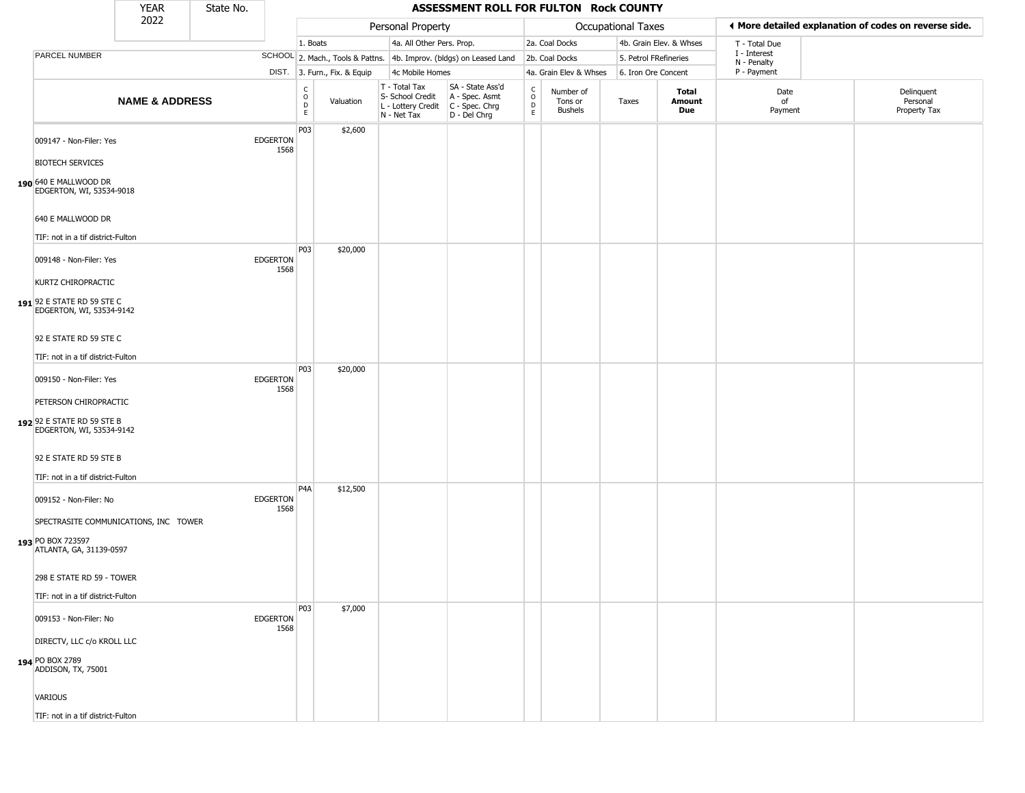|                                                                                                                 | <b>YEAR</b>               | State No. |                         | ASSESSMENT ROLL FOR FULTON Rock COUNTY      |          |                                                                                         |                                                                     |                                |                                        |                       |                         |                             |  |                                                       |
|-----------------------------------------------------------------------------------------------------------------|---------------------------|-----------|-------------------------|---------------------------------------------|----------|-----------------------------------------------------------------------------------------|---------------------------------------------------------------------|--------------------------------|----------------------------------------|-----------------------|-------------------------|-----------------------------|--|-------------------------------------------------------|
|                                                                                                                 | 2022                      |           |                         |                                             |          | Personal Property                                                                       |                                                                     |                                |                                        | Occupational Taxes    |                         |                             |  | ◀ More detailed explanation of codes on reverse side. |
|                                                                                                                 |                           |           |                         | 1. Boats                                    |          | 4a. All Other Pers. Prop.                                                               |                                                                     |                                | 2a. Coal Docks                         |                       | 4b. Grain Elev. & Whses | T - Total Due               |  |                                                       |
| PARCEL NUMBER                                                                                                   |                           |           |                         |                                             |          |                                                                                         | SCHOOL 2. Mach., Tools & Pattns. 4b. Improv. (bldgs) on Leased Land |                                | 2b. Coal Docks                         | 5. Petrol FRefineries |                         | I - Interest<br>N - Penalty |  |                                                       |
|                                                                                                                 |                           |           |                         | DIST. 3. Furn., Fix. & Equip                |          | 4c Mobile Homes                                                                         |                                                                     |                                | 4a. Grain Elev & Whses                 | 6. Iron Ore Concent   |                         | P - Payment                 |  |                                                       |
|                                                                                                                 | <b>NAME &amp; ADDRESS</b> |           |                         | $\frac{c}{0}$<br>Valuation<br>$\frac{D}{E}$ |          | T - Total Tax<br>S- School Credit<br>L - Lottery Credit   C - Spec. Chrg<br>N - Net Tax | SA - State Ass'd<br>A - Spec. Asmt<br>D - Del Chrg                  | $\rm _o^c$<br>D<br>$\mathsf E$ | Number of<br>Tons or<br><b>Bushels</b> | Taxes                 | Total<br>Amount<br>Due  | Date<br>of<br>Payment       |  | Delinquent<br>Personal<br>Property Tax                |
| 009147 - Non-Filer: Yes<br><b>BIOTECH SERVICES</b><br>190 640 E MALLWOOD DR<br>EDGERTON, WI, 53534-9018         |                           |           | <b>EDGERTON</b><br>1568 | P03                                         | \$2,600  |                                                                                         |                                                                     |                                |                                        |                       |                         |                             |  |                                                       |
| 640 E MALLWOOD DR<br>TIF: not in a tif district-Fulton                                                          |                           |           |                         |                                             |          |                                                                                         |                                                                     |                                |                                        |                       |                         |                             |  |                                                       |
| 009148 - Non-Filer: Yes<br>KURTZ CHIROPRACTIC<br>191 92 E STATE RD 59 STE C<br>EDGERTON, WI, 53534-9142         |                           |           | <b>EDGERTON</b><br>1568 | P03                                         | \$20,000 |                                                                                         |                                                                     |                                |                                        |                       |                         |                             |  |                                                       |
| 92 E STATE RD 59 STE C<br>TIF: not in a tif district-Fulton                                                     |                           |           |                         |                                             |          |                                                                                         |                                                                     |                                |                                        |                       |                         |                             |  |                                                       |
| 009150 - Non-Filer: Yes<br>PETERSON CHIROPRACTIC<br>192 92 E STATE RD 59 STE B<br>EDGERTON, WI, 53534-9142      |                           |           | <b>EDGERTON</b><br>1568 | P03                                         | \$20,000 |                                                                                         |                                                                     |                                |                                        |                       |                         |                             |  |                                                       |
| 92 E STATE RD 59 STE B<br>TIF: not in a tif district-Fulton                                                     |                           |           |                         |                                             |          |                                                                                         |                                                                     |                                |                                        |                       |                         |                             |  |                                                       |
| 009152 - Non-Filer: No<br>SPECTRASITE COMMUNICATIONS, INC TOWER<br>193 PO BOX 723597<br>ATLANTA, GA, 31139-0597 |                           |           | <b>EDGERTON</b><br>1568 | P <sub>4</sub> A                            | \$12,500 |                                                                                         |                                                                     |                                |                                        |                       |                         |                             |  |                                                       |
| 298 E STATE RD 59 - TOWER<br>TIF: not in a tif district-Fulton                                                  |                           |           |                         |                                             |          |                                                                                         |                                                                     |                                |                                        |                       |                         |                             |  |                                                       |
| 009153 - Non-Filer: No                                                                                          |                           |           | <b>EDGERTON</b><br>1568 | P03                                         | \$7,000  |                                                                                         |                                                                     |                                |                                        |                       |                         |                             |  |                                                       |
| DIRECTV, LLC c/o KROLL LLC<br>194 PO BOX 2789<br>ADDISON, TX, 75001                                             |                           |           |                         |                                             |          |                                                                                         |                                                                     |                                |                                        |                       |                         |                             |  |                                                       |
| <b>VARIOUS</b><br>TIF: not in a tif district-Fulton                                                             |                           |           |                         |                                             |          |                                                                                         |                                                                     |                                |                                        |                       |                         |                             |  |                                                       |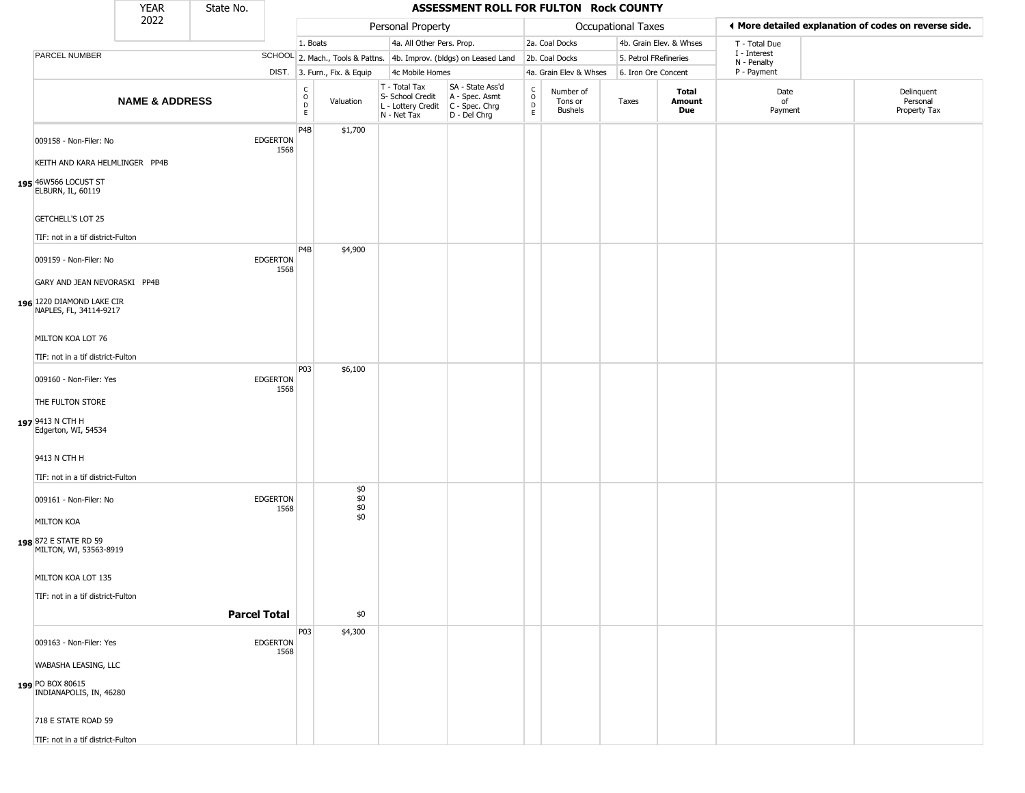|                                                                             | YEAR                      | State No. |                         |                              |                              |                                                                        | ASSESSMENT ROLL FOR FULTON Rock COUNTY                               |                                              |                                        |                       |                         |                             |                                                       |
|-----------------------------------------------------------------------------|---------------------------|-----------|-------------------------|------------------------------|------------------------------|------------------------------------------------------------------------|----------------------------------------------------------------------|----------------------------------------------|----------------------------------------|-----------------------|-------------------------|-----------------------------|-------------------------------------------------------|
|                                                                             | 2022                      |           |                         |                              |                              | Personal Property                                                      |                                                                      |                                              |                                        | Occupational Taxes    |                         |                             | ♦ More detailed explanation of codes on reverse side. |
|                                                                             |                           |           |                         | 1. Boats                     |                              | 4a. All Other Pers. Prop.                                              |                                                                      |                                              | 2a. Coal Docks                         |                       | 4b. Grain Elev. & Whses | T - Total Due               |                                                       |
| PARCEL NUMBER                                                               |                           |           |                         |                              |                              |                                                                        | SCHOOL 2. Mach., Tools & Pattns. 4b. Improv. (bldgs) on Leased Land  |                                              | 2b. Coal Docks                         | 5. Petrol FRefineries |                         | I - Interest<br>N - Penalty |                                                       |
|                                                                             |                           |           |                         |                              | DIST. 3. Furn., Fix. & Equip | 4c Mobile Homes                                                        |                                                                      |                                              | 4a. Grain Elev & Whses                 | 6. Iron Ore Concent   |                         | P - Payment                 |                                                       |
|                                                                             | <b>NAME &amp; ADDRESS</b> |           |                         | C<br>$\mathsf{O}$<br>D<br>E. | Valuation                    | T - Total Tax<br>S- School Credit<br>L - Lottery Credit<br>N - Net Tax | SA - State Ass'd<br>A - Spec. Asmt<br>C - Spec. Chrg<br>D - Del Chrg | $\int_{0}^{c}$<br>$\mathsf D$<br>$\mathsf E$ | Number of<br>Tons or<br><b>Bushels</b> | Taxes                 | Total<br>Amount<br>Due  | Date<br>of<br>Payment       | Delinquent<br>Personal<br>Property Tax                |
| 009158 - Non-Filer: No                                                      |                           |           | <b>EDGERTON</b><br>1568 | P4B                          | \$1,700                      |                                                                        |                                                                      |                                              |                                        |                       |                         |                             |                                                       |
| KEITH AND KARA HELMLINGER PP4B<br>195 46W566 LOCUST ST<br>ELBURN, IL, 60119 |                           |           |                         |                              |                              |                                                                        |                                                                      |                                              |                                        |                       |                         |                             |                                                       |
| <b>GETCHELL'S LOT 25</b>                                                    |                           |           |                         |                              |                              |                                                                        |                                                                      |                                              |                                        |                       |                         |                             |                                                       |
| TIF: not in a tif district-Fulton                                           |                           |           |                         | P4B                          | \$4,900                      |                                                                        |                                                                      |                                              |                                        |                       |                         |                             |                                                       |
| 009159 - Non-Filer: No<br>GARY AND JEAN NEVORASKI PP4B                      |                           |           | <b>EDGERTON</b><br>1568 |                              |                              |                                                                        |                                                                      |                                              |                                        |                       |                         |                             |                                                       |
| 196 1220 DIAMOND LAKE CIR<br>NAPLES, FL, 34114-9217                         |                           |           |                         |                              |                              |                                                                        |                                                                      |                                              |                                        |                       |                         |                             |                                                       |
| MILTON KOA LOT 76                                                           |                           |           |                         |                              |                              |                                                                        |                                                                      |                                              |                                        |                       |                         |                             |                                                       |
| TIF: not in a tif district-Fulton                                           |                           |           |                         | P03                          | \$6,100                      |                                                                        |                                                                      |                                              |                                        |                       |                         |                             |                                                       |
| 009160 - Non-Filer: Yes<br>THE FULTON STORE                                 |                           |           | <b>EDGERTON</b><br>1568 |                              |                              |                                                                        |                                                                      |                                              |                                        |                       |                         |                             |                                                       |
| 197 9413 N CTH H<br>Edgerton, WI, 54534                                     |                           |           |                         |                              |                              |                                                                        |                                                                      |                                              |                                        |                       |                         |                             |                                                       |
| 9413 N CTH H                                                                |                           |           |                         |                              |                              |                                                                        |                                                                      |                                              |                                        |                       |                         |                             |                                                       |
| TIF: not in a tif district-Fulton                                           |                           |           |                         |                              | \$0                          |                                                                        |                                                                      |                                              |                                        |                       |                         |                             |                                                       |
| 009161 - Non-Filer: No<br><b>MILTON KOA</b>                                 |                           |           | <b>EDGERTON</b><br>1568 |                              | \$0<br>\$0<br>\$0            |                                                                        |                                                                      |                                              |                                        |                       |                         |                             |                                                       |
| 198 872 E STATE RD 59<br>MILTON, WI, 53563-8919                             |                           |           |                         |                              |                              |                                                                        |                                                                      |                                              |                                        |                       |                         |                             |                                                       |
| MILTON KOA LOT 135                                                          |                           |           |                         |                              |                              |                                                                        |                                                                      |                                              |                                        |                       |                         |                             |                                                       |
| TIF: not in a tif district-Fulton                                           |                           |           | <b>Parcel Total</b>     |                              | \$0                          |                                                                        |                                                                      |                                              |                                        |                       |                         |                             |                                                       |
| 009163 - Non-Filer: Yes                                                     |                           |           | <b>EDGERTON</b><br>1568 | P03                          | \$4,300                      |                                                                        |                                                                      |                                              |                                        |                       |                         |                             |                                                       |
| WABASHA LEASING, LLC<br>199 PO BOX 80615<br>INDIANAPOLIS, IN, 46280         |                           |           |                         |                              |                              |                                                                        |                                                                      |                                              |                                        |                       |                         |                             |                                                       |
| 718 E STATE ROAD 59                                                         |                           |           |                         |                              |                              |                                                                        |                                                                      |                                              |                                        |                       |                         |                             |                                                       |
| TIF: not in a tif district-Fulton                                           |                           |           |                         |                              |                              |                                                                        |                                                                      |                                              |                                        |                       |                         |                             |                                                       |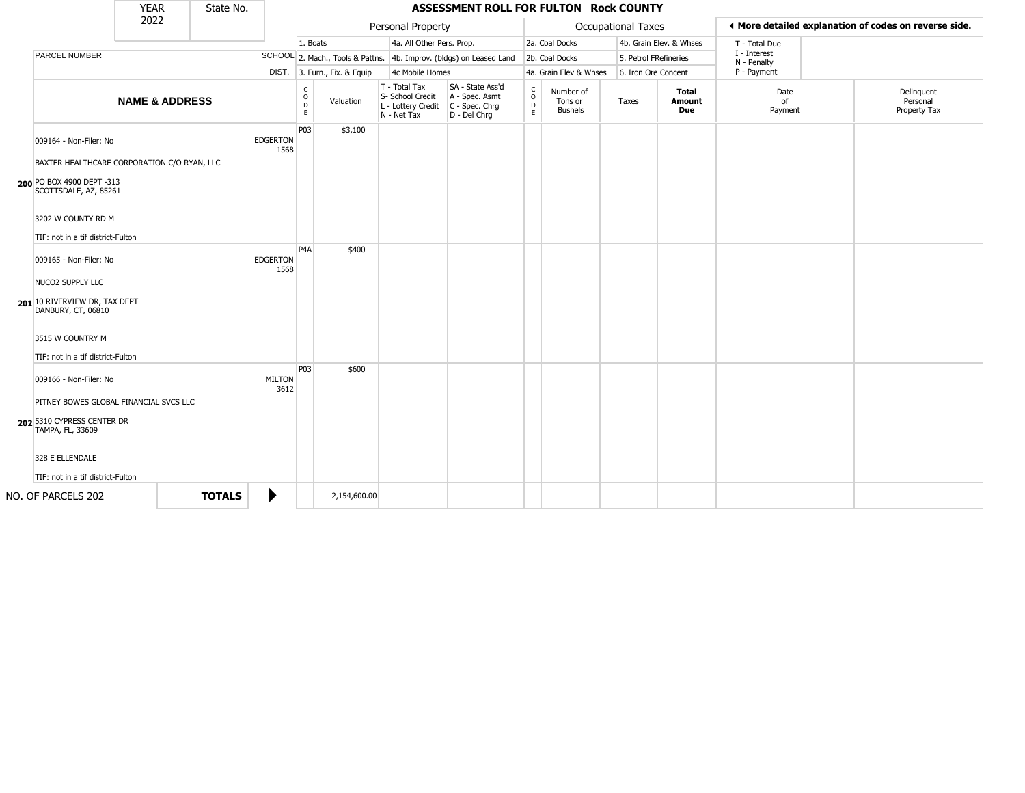|                                                                       | <b>YEAR</b>               | State No.     |                         |                        |                              |                                                                        | ASSESSMENT ROLL FOR FULTON Rock COUNTY                               |                         |                                        |                       |                         |                                  |                                                       |
|-----------------------------------------------------------------------|---------------------------|---------------|-------------------------|------------------------|------------------------------|------------------------------------------------------------------------|----------------------------------------------------------------------|-------------------------|----------------------------------------|-----------------------|-------------------------|----------------------------------|-------------------------------------------------------|
|                                                                       | 2022                      |               |                         |                        |                              | Personal Property                                                      |                                                                      |                         |                                        | Occupational Taxes    |                         |                                  | ♦ More detailed explanation of codes on reverse side. |
|                                                                       |                           |               |                         | 1. Boats               |                              | 4a. All Other Pers. Prop.                                              |                                                                      |                         | 2a. Coal Docks                         |                       | 4b. Grain Elev. & Whses | T - Total Due                    |                                                       |
| PARCEL NUMBER                                                         |                           |               |                         |                        |                              |                                                                        | SCHOOL 2. Mach., Tools & Pattns. 4b. Improv. (bldgs) on Leased Land  |                         | 2b. Coal Docks                         | 5. Petrol FRefineries |                         | I - Interest<br>N - Penalty      |                                                       |
|                                                                       |                           |               |                         |                        | DIST. 3. Furn., Fix. & Equip | 4c Mobile Homes                                                        |                                                                      |                         | 4a. Grain Elev & Whses                 | 6. Iron Ore Concent   |                         | P - Payment                      |                                                       |
|                                                                       | <b>NAME &amp; ADDRESS</b> |               |                         | C<br>$\circ$<br>D<br>E | Valuation                    | T - Total Tax<br>S- School Credit<br>L - Lottery Credit<br>N - Net Tax | SA - State Ass'd<br>A - Spec. Asmt<br>C - Spec. Chrg<br>D - Del Chrg | C<br>$\circ$<br>D<br>E. | Number of<br>Tons or<br><b>Bushels</b> | Taxes                 | Total<br>Amount<br>Due  | Date<br><sub>of</sub><br>Payment | Delinquent<br>Personal<br>Property Tax                |
| 009164 - Non-Filer: No<br>BAXTER HEALTHCARE CORPORATION C/O RYAN, LLC |                           |               | <b>EDGERTON</b><br>1568 | P03                    | \$3,100                      |                                                                        |                                                                      |                         |                                        |                       |                         |                                  |                                                       |
| 200 PO BOX 4900 DEPT -313<br>SCOTTSDALE, AZ, 85261                    |                           |               |                         |                        |                              |                                                                        |                                                                      |                         |                                        |                       |                         |                                  |                                                       |
| 3202 W COUNTY RD M                                                    |                           |               |                         |                        |                              |                                                                        |                                                                      |                         |                                        |                       |                         |                                  |                                                       |
| TIF: not in a tif district-Fulton                                     |                           |               |                         |                        |                              |                                                                        |                                                                      |                         |                                        |                       |                         |                                  |                                                       |
| 009165 - Non-Filer: No                                                |                           |               | <b>EDGERTON</b><br>1568 | P <sub>4</sub> A       | \$400                        |                                                                        |                                                                      |                         |                                        |                       |                         |                                  |                                                       |
| NUCO2 SUPPLY LLC                                                      |                           |               |                         |                        |                              |                                                                        |                                                                      |                         |                                        |                       |                         |                                  |                                                       |
| 201 10 RIVERVIEW DR, TAX DEPT<br>DANBURY, CT, 06810                   |                           |               |                         |                        |                              |                                                                        |                                                                      |                         |                                        |                       |                         |                                  |                                                       |
| 3515 W COUNTRY M                                                      |                           |               |                         |                        |                              |                                                                        |                                                                      |                         |                                        |                       |                         |                                  |                                                       |
| TIF: not in a tif district-Fulton                                     |                           |               |                         | P03                    | \$600                        |                                                                        |                                                                      |                         |                                        |                       |                         |                                  |                                                       |
| 009166 - Non-Filer: No                                                |                           |               | <b>MILTON</b><br>3612   |                        |                              |                                                                        |                                                                      |                         |                                        |                       |                         |                                  |                                                       |
| PITNEY BOWES GLOBAL FINANCIAL SVCS LLC                                |                           |               |                         |                        |                              |                                                                        |                                                                      |                         |                                        |                       |                         |                                  |                                                       |
| 202 5310 CYPRESS CENTER DR<br>TAMPA, FL, 33609                        |                           |               |                         |                        |                              |                                                                        |                                                                      |                         |                                        |                       |                         |                                  |                                                       |
| 328 E ELLENDALE                                                       |                           |               |                         |                        |                              |                                                                        |                                                                      |                         |                                        |                       |                         |                                  |                                                       |
| TIF: not in a tif district-Fulton                                     |                           |               |                         |                        |                              |                                                                        |                                                                      |                         |                                        |                       |                         |                                  |                                                       |
| NO. OF PARCELS 202                                                    |                           | <b>TOTALS</b> | ▶                       |                        | 2,154,600.00                 |                                                                        |                                                                      |                         |                                        |                       |                         |                                  |                                                       |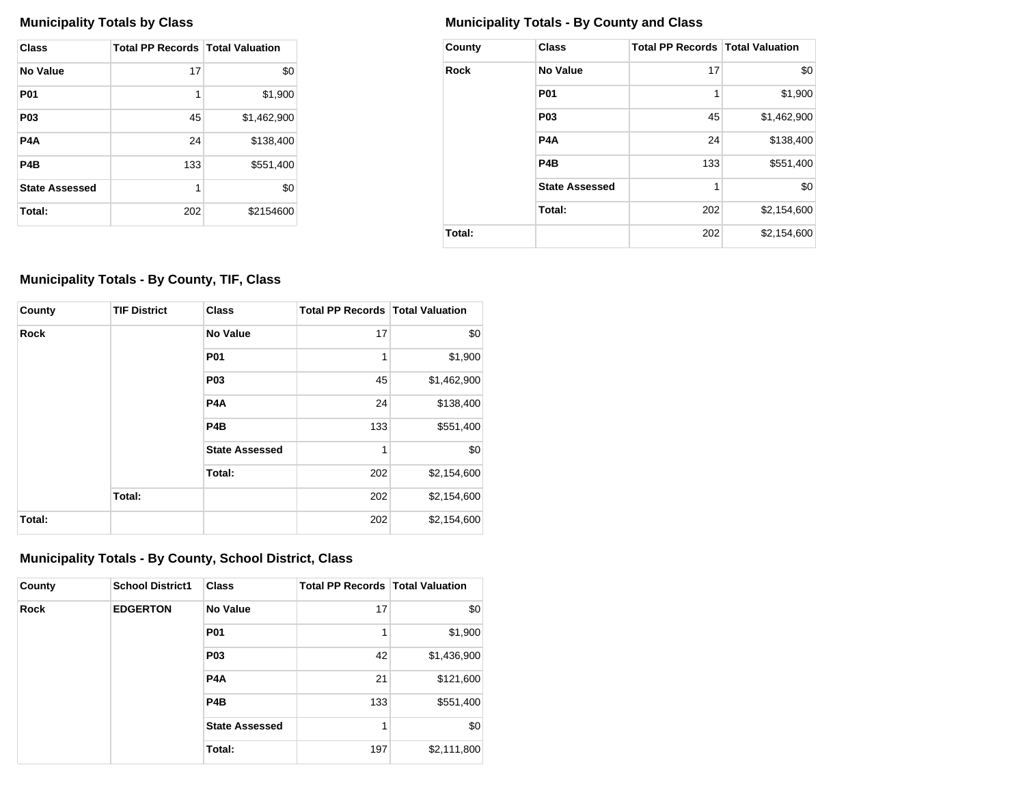| Class                 | <b>Total PP Records   Total Valuation</b> |             |
|-----------------------|-------------------------------------------|-------------|
| No Value              | 17                                        | \$0         |
| <b>P01</b>            | 1                                         | \$1,900     |
| P <sub>0</sub> 3      | 45                                        | \$1,462,900 |
| P4A                   | 24                                        | \$138,400   |
| P4B                   | 133                                       | \$551,400   |
| <b>State Assessed</b> | 1                                         | \$0         |
| Total:                | 202                                       | \$2154600   |

# **Municipality Totals by Class Municipality Totals - By County and Class**

| County      | <b>Class</b>          | <b>Total PP Records   Total Valuation</b> |             |
|-------------|-----------------------|-------------------------------------------|-------------|
| <b>Rock</b> | No Value              | 17                                        | \$0         |
|             | <b>P01</b>            | 1                                         | \$1,900     |
|             | <b>P03</b>            | 45                                        | \$1,462,900 |
|             | P <sub>4</sub> A      | 24                                        | \$138,400   |
|             | P <sub>4</sub> B      | 133                                       | \$551,400   |
|             | <b>State Assessed</b> | 1                                         | \$0         |
|             | Total:                | 202                                       | \$2,154,600 |
| Total:      |                       | 202                                       | \$2,154,600 |

# **Municipality Totals - By County, TIF, Class**

| County      | <b>TIF District</b> | <b>Class</b>          | <b>Total PP Records   Total Valuation</b> |             |
|-------------|---------------------|-----------------------|-------------------------------------------|-------------|
| <b>Rock</b> |                     | <b>No Value</b>       | 17                                        | \$0         |
|             |                     | <b>P01</b>            | 1                                         | \$1,900     |
|             |                     | <b>P03</b>            | 45                                        | \$1,462,900 |
|             |                     | P <sub>4</sub> A      | 24                                        | \$138,400   |
|             |                     | P <sub>4</sub> B      | 133                                       | \$551,400   |
|             |                     | <b>State Assessed</b> | 1                                         | \$0         |
|             |                     | Total:                | 202                                       | \$2,154,600 |
|             | Total:              |                       | 202                                       | \$2,154,600 |
| Total:      |                     |                       | 202                                       | \$2,154,600 |

### **Municipality Totals - By County, School District, Class**

| County      | <b>School District1</b> | Class                 | <b>Total PP Records   Total Valuation</b> |             |
|-------------|-------------------------|-----------------------|-------------------------------------------|-------------|
| <b>Rock</b> | <b>EDGERTON</b>         | <b>No Value</b>       | 17                                        | \$0         |
|             |                         | <b>P01</b>            | 1                                         | \$1,900     |
|             |                         | <b>P03</b>            | 42                                        | \$1,436,900 |
|             |                         | <b>P4A</b>            | 21                                        | \$121,600   |
|             |                         | P <sub>4</sub> B      | 133                                       | \$551,400   |
|             |                         | <b>State Assessed</b> | 1                                         | \$0         |
|             |                         | Total:                | 197                                       | \$2,111,800 |